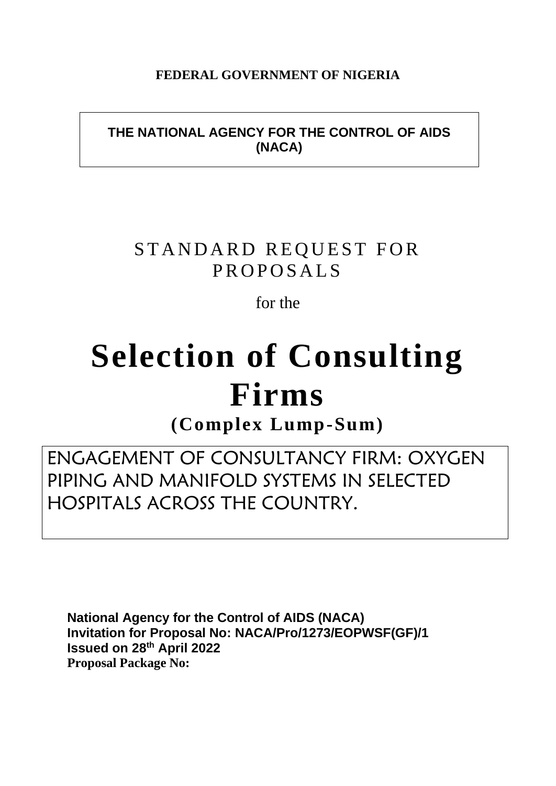# **FEDERAL GOVERNMENT OF NIGERIA**

# **THE NATIONAL AGENCY FOR THE CONTROL OF AIDS (NACA)**

# STANDARD REQUEST FOR PROPOSALS

for the

# **Selection of Consulting Firms**

**(Complex Lump-Sum)**

ENGAGEMENT OF CONSULTANCY FIRM: OXYGEN PIPING AND MANIFOLD SYSTEMS IN SELECTED HOSPITALS ACROSS THE COUNTRY.

**National Agency for the Control of AIDS (NACA) Invitation for Proposal No: NACA/Pro/1273/EOPWSF(GF)/1 Issued on 28th April 2022 Proposal Package No:**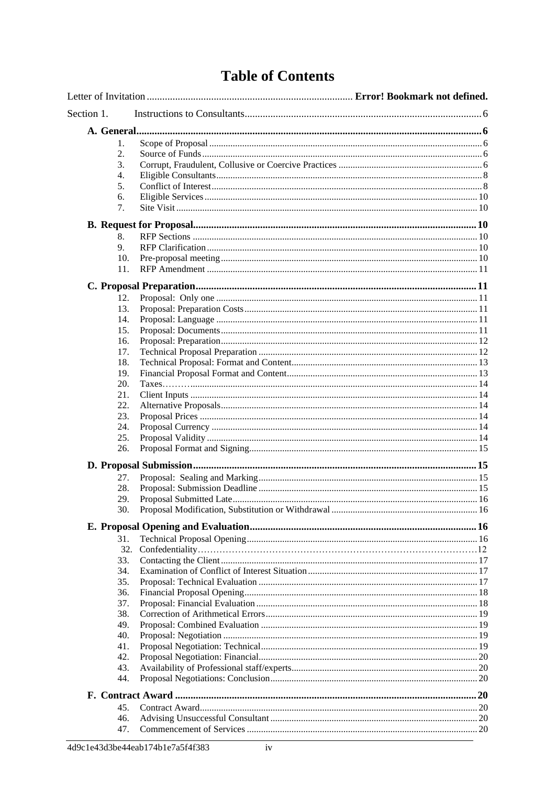# **Table of Contents**

| Section 1. |  |
|------------|--|
|            |  |
| 1.         |  |
| 2.         |  |
| 3.         |  |
| 4.         |  |
| 5.         |  |
| 6.         |  |
| 7.         |  |
|            |  |
| 8.         |  |
| 9.         |  |
| 10.        |  |
| 11.        |  |
|            |  |
| 12.        |  |
| 13.        |  |
| 14.        |  |
| 15.        |  |
| 16.        |  |
| 17.        |  |
| 18.        |  |
| 19.        |  |
| 20.        |  |
| 21.        |  |
| 22.        |  |
| 23.        |  |
| 24.        |  |
| 25.        |  |
| 26.        |  |
|            |  |
| 27.        |  |
| 28.        |  |
| 29.        |  |
| 30.        |  |
|            |  |
| 31.        |  |
| 32.        |  |
| 33.        |  |
| 34.        |  |
| 35.        |  |
| 36.        |  |
| 37.        |  |
| 38.        |  |
| 49.        |  |
| 40.        |  |
| 41.        |  |
| 42.        |  |
| 43.        |  |
| 44.        |  |
|            |  |
| 45.        |  |
| 46.        |  |
| 47.        |  |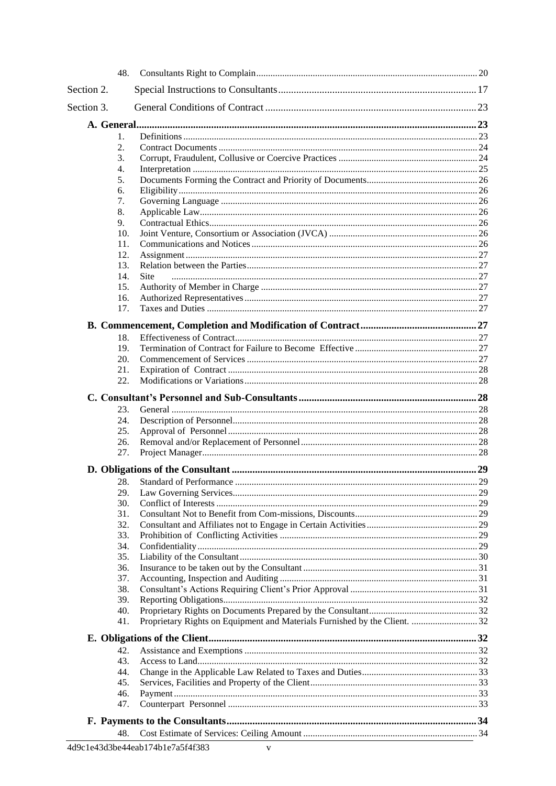|            | 48.              |                                                                            |  |
|------------|------------------|----------------------------------------------------------------------------|--|
| Section 2. |                  |                                                                            |  |
| Section 3. |                  |                                                                            |  |
|            |                  |                                                                            |  |
|            | 1.               |                                                                            |  |
|            | 2.               |                                                                            |  |
|            | 3.               |                                                                            |  |
|            | $\overline{4}$ . |                                                                            |  |
|            | 5.               |                                                                            |  |
|            | 6.               |                                                                            |  |
|            | 7.               |                                                                            |  |
|            | 8.               |                                                                            |  |
|            | 9.               |                                                                            |  |
|            | 10.              |                                                                            |  |
|            | 11.              |                                                                            |  |
|            | 12.              |                                                                            |  |
|            | 13.              |                                                                            |  |
|            | 14.              | <b>Site</b>                                                                |  |
|            | 15.              |                                                                            |  |
|            | 16.              |                                                                            |  |
|            | 17.              |                                                                            |  |
|            |                  |                                                                            |  |
|            | 18.              |                                                                            |  |
|            | 19.              |                                                                            |  |
|            | 20.              |                                                                            |  |
|            | 21.              |                                                                            |  |
|            | 22.              |                                                                            |  |
|            |                  |                                                                            |  |
|            | 23.              |                                                                            |  |
|            | 24.              |                                                                            |  |
|            | 25.              |                                                                            |  |
|            | 26.              |                                                                            |  |
|            | 27.              |                                                                            |  |
|            |                  |                                                                            |  |
|            | 28.              |                                                                            |  |
|            | 29.              |                                                                            |  |
|            | 30.              |                                                                            |  |
|            | 31.              |                                                                            |  |
|            | 32.              |                                                                            |  |
|            | 33.              |                                                                            |  |
|            | 34.              |                                                                            |  |
|            | 35.              |                                                                            |  |
|            | 36.              |                                                                            |  |
|            | 37.              |                                                                            |  |
|            | 38.              |                                                                            |  |
|            | 39.              |                                                                            |  |
|            | 40.              |                                                                            |  |
|            | 41.              | Proprietary Rights on Equipment and Materials Furnished by the Client.  32 |  |
|            |                  |                                                                            |  |
|            | 42.              |                                                                            |  |
|            | 43.              |                                                                            |  |
|            | 44.              |                                                                            |  |
|            | 45.              |                                                                            |  |
|            | 46.              |                                                                            |  |
|            | 47.              |                                                                            |  |
|            |                  |                                                                            |  |
|            | 48.              |                                                                            |  |
|            |                  |                                                                            |  |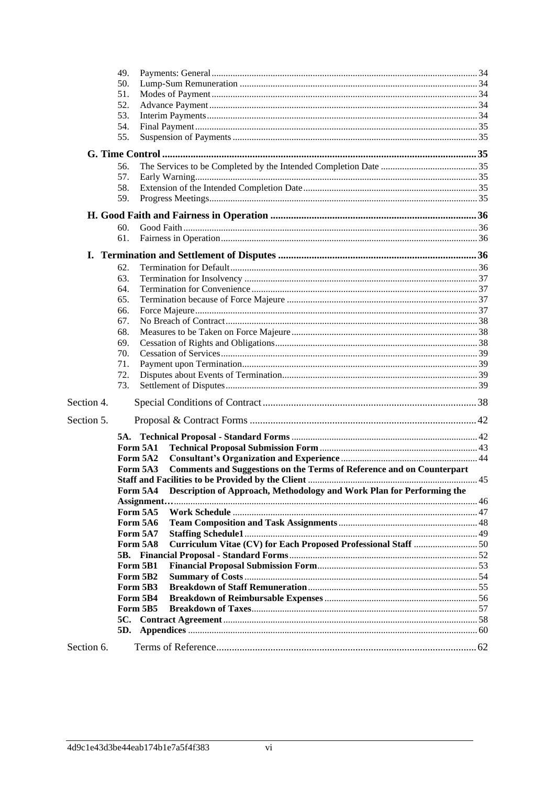|            | 49.                  |                                                                       |  |  |
|------------|----------------------|-----------------------------------------------------------------------|--|--|
|            | 50.                  |                                                                       |  |  |
|            | 51.                  |                                                                       |  |  |
|            | 52.                  |                                                                       |  |  |
| 53.        |                      |                                                                       |  |  |
|            | 54.                  |                                                                       |  |  |
|            | 55.                  |                                                                       |  |  |
|            |                      |                                                                       |  |  |
|            | 56.                  |                                                                       |  |  |
|            | 57.                  |                                                                       |  |  |
|            | 58.                  |                                                                       |  |  |
|            | 59.                  |                                                                       |  |  |
|            |                      |                                                                       |  |  |
|            | 60.                  |                                                                       |  |  |
|            | 61.                  |                                                                       |  |  |
|            |                      |                                                                       |  |  |
|            | 62.                  |                                                                       |  |  |
|            | 63.                  |                                                                       |  |  |
|            | 64.                  |                                                                       |  |  |
|            | 65.                  |                                                                       |  |  |
|            | 66.                  |                                                                       |  |  |
|            | 67.                  |                                                                       |  |  |
|            | 68.                  |                                                                       |  |  |
|            | 69.                  |                                                                       |  |  |
| 70.        |                      |                                                                       |  |  |
|            | 71.                  |                                                                       |  |  |
|            | 72.                  |                                                                       |  |  |
|            | 73.                  |                                                                       |  |  |
| Section 4. |                      |                                                                       |  |  |
| Section 5. |                      |                                                                       |  |  |
|            |                      |                                                                       |  |  |
|            | Form 5A1             |                                                                       |  |  |
|            | Form 5A2             |                                                                       |  |  |
|            | Form 5A3             | Comments and Suggestions on the Terms of Reference and on Counterpart |  |  |
|            |                      |                                                                       |  |  |
|            | Form 5A4             | Description of Approach, Methodology and Work Plan for Performing the |  |  |
|            |                      |                                                                       |  |  |
|            | Form 5A5             |                                                                       |  |  |
|            | Form 5A6<br>Form 5A7 |                                                                       |  |  |
|            | Form 5A8             |                                                                       |  |  |
|            |                      |                                                                       |  |  |
|            | Form 5B1             |                                                                       |  |  |
|            | Form 5B2             |                                                                       |  |  |
|            | Form 5B3             |                                                                       |  |  |
|            | Form 5B4             |                                                                       |  |  |
|            | Form 5B5             |                                                                       |  |  |
|            |                      |                                                                       |  |  |
|            | 5D.                  |                                                                       |  |  |
| Section 6. |                      |                                                                       |  |  |
|            |                      |                                                                       |  |  |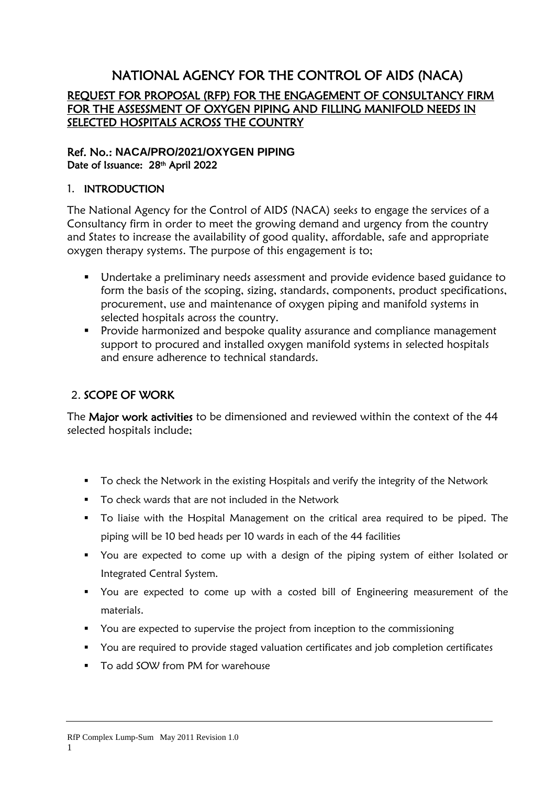# NATIONAL AGENCY FOR THE CONTROL OF AIDS (NACA) REQUEST FOR PROPOSAL (RFP) FOR THE ENGAGEMENT OF CONSULTANCY FIRM FOR THE ASSESSMENT OF OXYGEN PIPING AND FILLING MANIFOLD NEEDS IN SELECTED HOSPITALS ACROSS THE COUNTRY

# Ref. No.: **NACA/PRO/2021/OXYGEN PIPING** Date of Issuance: 28<sup>th</sup> April 2022

# 1. INTRODUCTION

The National Agency for the Control of AIDS (NACA) seeks to engage the services of a Consultancy firm in order to meet the growing demand and urgency from the country and States to increase the availability of good quality, affordable, safe and appropriate oxygen therapy systems. The purpose of this engagement is to;

- Undertake a preliminary needs assessment and provide evidence based guidance to form the basis of the scoping, sizing, standards, components, product specifications, procurement, use and maintenance of oxygen piping and manifold systems in selected hospitals across the country.
- **•** Provide harmonized and bespoke quality assurance and compliance management support to procured and installed oxygen manifold systems in selected hospitals and ensure adherence to technical standards.

# 2. SCOPE OF WORK

The Major work activities to be dimensioned and reviewed within the context of the 44 selected hospitals include;

- To check the Network in the existing Hospitals and verify the integrity of the Network
- To check wards that are not included in the Network
- To liaise with the Hospital Management on the critical area required to be piped. The piping will be 10 bed heads per 10 wards in each of the 44 facilities
- You are expected to come up with a design of the piping system of either Isolated or Integrated Central System.
- You are expected to come up with a costed bill of Engineering measurement of the materials.
- You are expected to supervise the project from inception to the commissioning
- You are required to provide staged valuation certificates and job completion certificates

1

■ To add SOW from PM for warehouse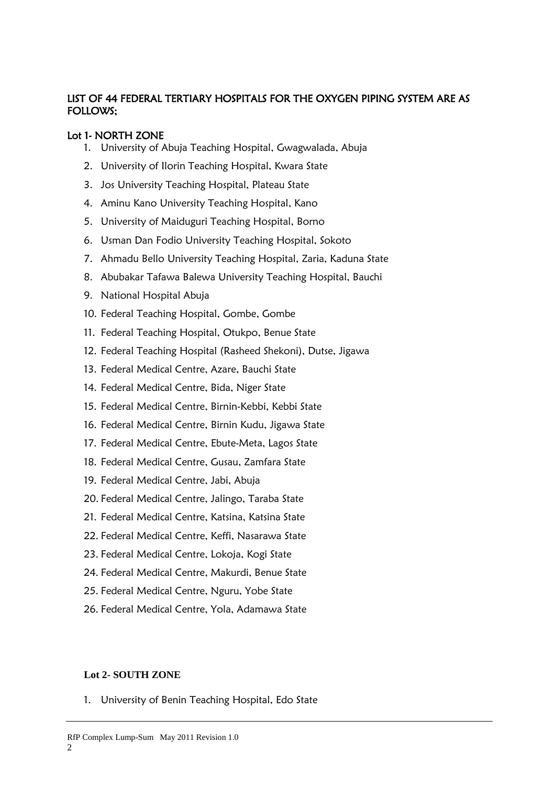# LIST OF 44 FEDERAL TERTIARY HOSPITALS FOR THE OXYGEN PIPING SYSTEM ARE AS FOLLOWS;

# Lot 1- NORTH ZONE

- 1. University of Abuja Teaching Hospital, Gwagwalada, Abuja
- 2. University of Ilorin Teaching Hospital, Kwara State
- 3. Jos University Teaching Hospital, Plateau State
- 4. Aminu Kano University Teaching Hospital, Kano
- 5. University of Maiduguri Teaching Hospital, Borno
- 6. Usman Dan Fodio University Teaching Hospital, Sokoto
- 7. Ahmadu Bello University Teaching Hospital, Zaria, Kaduna State
- 8. Abubakar Tafawa Balewa University Teaching Hospital, Bauchi
- 9. National Hospital Abuja
- 10. Federal Teaching Hospital, Gombe, Gombe
- 11. Federal Teaching Hospital, Otukpo, Benue State
- 12. Federal Teaching Hospital (Rasheed Shekoni), Dutse, Jigawa
- 13. Federal Medical Centre, Azare, Bauchi State
- 14. Federal Medical Centre, Bida, Niger State
- 15. Federal Medical Centre, Birnin-Kebbi, Kebbi State
- 16. Federal Medical Centre, Birnin Kudu, Jigawa State
- 17. Federal Medical Centre, Ebute-Meta, Lagos State
- 18. Federal Medical Centre, Gusau, Zamfara State
- 19. Federal Medical Centre, Jabi, Abuja
- 20. Federal Medical Centre, Jalingo, Taraba State
- 21. Federal Medical Centre, Katsina, Katsina State
- 22. Federal Medical Centre, Keffi, Nasarawa State
- 23. Federal Medical Centre, Lokoja, Kogi State
- 24. Federal Medical Centre, Makurdi, Benue State
- 25. Federal Medical Centre, Nguru, Yobe State
- 26. Federal Medical Centre, Yola, Adamawa State

# **Lot 2- SOUTH ZONE**

1. University of Benin Teaching Hospital, Edo State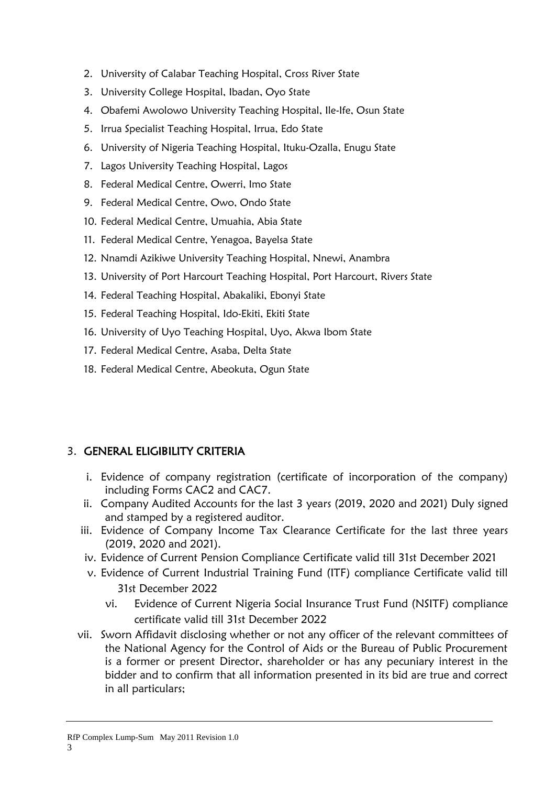- 2. University of Calabar Teaching Hospital, Cross River State
- 3. University College Hospital, Ibadan, Oyo State
- 4. Obafemi Awolowo University Teaching Hospital, Ile-Ife, Osun State
- 5. Irrua Specialist Teaching Hospital, Irrua, Edo State
- 6. University of Nigeria Teaching Hospital, Ituku-Ozalla, Enugu State
- 7. Lagos University Teaching Hospital, Lagos
- 8. Federal Medical Centre, Owerri, Imo State
- 9. Federal Medical Centre, Owo, Ondo State
- 10. Federal Medical Centre, Umuahia, Abia State
- 11. Federal Medical Centre, Yenagoa, Bayelsa State
- 12. Nnamdi Azikiwe University Teaching Hospital, Nnewi, Anambra
- 13. University of Port Harcourt Teaching Hospital, Port Harcourt, Rivers State
- 14. Federal Teaching Hospital, Abakaliki, Ebonyi State
- 15. Federal Teaching Hospital, Ido-Ekiti, Ekiti State
- 16. University of Uyo Teaching Hospital, Uyo, Akwa Ibom State
- 17. Federal Medical Centre, Asaba, Delta State
- 18. Federal Medical Centre, Abeokuta, Ogun State

# 3. GENERAL ELIGIBILITY CRITERIA

- i. Evidence of company registration (certificate of incorporation of the company) including Forms CAC2 and CAC7.
- ii. Company Audited Accounts for the last 3 years (2019, 2020 and 2021) Duly signed and stamped by a registered auditor.
- iii. Evidence of Company Income Tax Clearance Certificate for the last three years (2019, 2020 and 2021).
- iv. Evidence of Current Pension Compliance Certificate valid till 31st December 2021
- v. Evidence of Current Industrial Training Fund (ITF) compliance Certificate valid till 31st December 2022
	- vi. Evidence of Current Nigeria Social Insurance Trust Fund (NSITF) compliance certificate valid till 31st December 2022
- vii. Sworn Affidavit disclosing whether or not any officer of the relevant committees of the National Agency for the Control of Aids or the Bureau of Public Procurement is a former or present Director, shareholder or has any pecuniary interest in the bidder and to confirm that all information presented in its bid are true and correct in all particulars;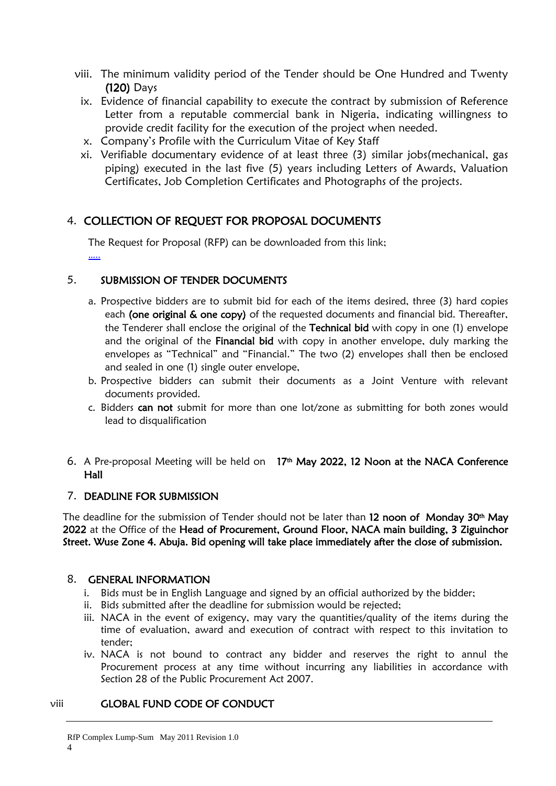- viii. The minimum validity period of the Tender should be One Hundred and Twenty (120) Days
	- ix. Evidence of financial capability to execute the contract by submission of Reference Letter from a reputable commercial bank in Nigeria, indicating willingness to provide credit facility for the execution of the project when needed.
	- x. Company's Profile with the Curriculum Vitae of Key Staff
	- xi. Verifiable documentary evidence of at least three (3) similar jobs(mechanical, gas piping) executed in the last five (5) years including Letters of Awards, Valuation Certificates, Job Completion Certificates and Photographs of the projects.

# 4. COLLECTION OF REQUEST FOR PROPOSAL DOCUMENTS

The Request for Proposal (RFP) can be downloaded from this link; […..](https://naca.gov.ng/wp-content/uploads/2021/04/SBD-for-Additional-C19RM-Consumables-FA-Reviewed.pdf)

# 5. SUBMISSION OF TENDER DOCUMENTS

- a. Prospective bidders are to submit bid for each of the items desired, three (3) hard copies each (one original & one copy) of the requested documents and financial bid. Thereafter, the Tenderer shall enclose the original of the Technical bid with copy in one (1) envelope and the original of the Financial bid with copy in another envelope, duly marking the envelopes as "Technical" and "Financial." The two (2) envelopes shall then be enclosed and sealed in one (1) single outer envelope,
- b. Prospective bidders can submit their documents as a Joint Venture with relevant documents provided.
- c. Bidders can not submit for more than one lot/zone as submitting for both zones would lead to disqualification
- 6. A Pre-proposal Meeting will be held on 17<sup>th</sup> May 2022, 12 Noon at the NACA Conference Hall

# 7. DEADLINE FOR SUBMISSION

The deadline for the submission of Tender should not be later than 12 noon of Monday 30<sup>th</sup> May 2022 at the Office of the Head of Procurement, Ground Floor, NACA main building, 3 Ziguinchor Street. Wuse Zone 4. Abuja. Bid opening will take place immediately after the close of submission.

# 8. GENERAL INFORMATION

- i. Bids must be in English Language and signed by an official authorized by the bidder;
- ii. Bids submitted after the deadline for submission would be rejected;
- iii. NACA in the event of exigency, may vary the quantities/quality of the items during the time of evaluation, award and execution of contract with respect to this invitation to tender;
- iv. NACA is not bound to contract any bidder and reserves the right to annul the Procurement process at any time without incurring any liabilities in accordance with Section 28 of the Public Procurement Act 2007.

4

# viii GLOBAL FUND CODE OF CONDUCT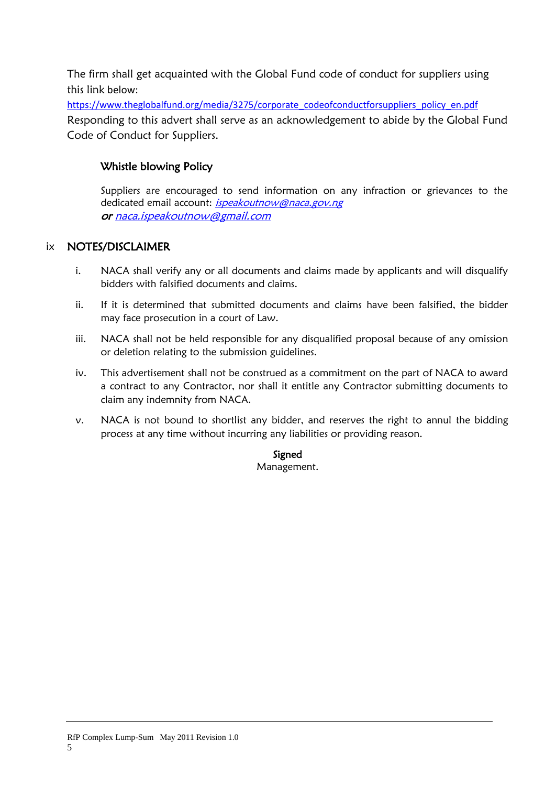The firm shall get acquainted with the Global Fund code of conduct for suppliers using this link below:

[https://www.theglobalfund.org/media/3275/corporate\\_codeofconductforsuppliers\\_policy\\_en.pdf](https://www.theglobalfund.org/media/3275/corporate_codeofconductforsuppliers_policy_en.pdf) Responding to this advert shall serve as an acknowledgement to abide by the Global Fund Code of Conduct for Suppliers.

# Whistle blowing Policy

Suppliers are encouraged to send information on any infraction or grievances to the dedicated email account: ispeakoutnow@naca.gov.ng o[r naca.ispeakoutnow@gmail.com](mailto:naca.ispeakoutnow@gmail.com)

# ix NOTES/DISCLAIMER

- i. NACA shall verify any or all documents and claims made by applicants and will disqualify bidders with falsified documents and claims.
- ii. If it is determined that submitted documents and claims have been falsified, the bidder may face prosecution in a court of Law.
- iii. NACA shall not be held responsible for any disqualified proposal because of any omission or deletion relating to the submission guidelines.
- iv. This advertisement shall not be construed as a commitment on the part of NACA to award a contract to any Contractor, nor shall it entitle any Contractor submitting documents to claim any indemnity from NACA.
- v. NACA is not bound to shortlist any bidder, and reserves the right to annul the bidding process at any time without incurring any liabilities or providing reason.

# Signed

Management.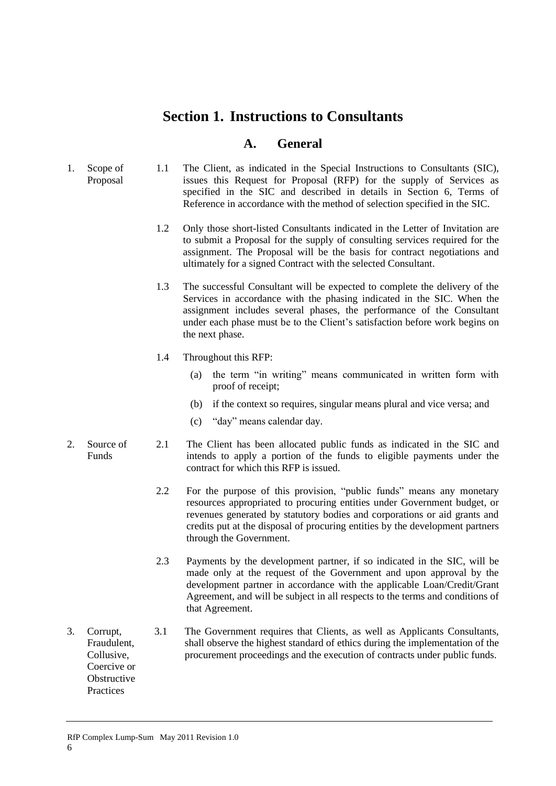# <span id="page-9-0"></span>**Section 1. Instructions to Consultants**

# **A. General**

- <span id="page-9-2"></span><span id="page-9-1"></span>1. Scope of Proposal 1.1 The Client, as indicated in the Special Instructions to Consultants (SIC), issues this Request for Proposal (RFP) for the supply of Services as specified in the SIC and described in details in Section 6, Terms of Reference in accordance with the method of selection specified in the SIC.
	- 1.2 Only those short-listed Consultants indicated in the Letter of Invitation are to submit a Proposal for the supply of consulting services required for the assignment. The Proposal will be the basis for contract negotiations and ultimately for a signed Contract with the selected Consultant.
	- 1.3 The successful Consultant will be expected to complete the delivery of the Services in accordance with the phasing indicated in the SIC. When the assignment includes several phases, the performance of the Consultant under each phase must be to the Client's satisfaction before work begins on the next phase.
	- 1.4 Throughout this RFP:
		- (a) the term "in writing" means communicated in written form with proof of receipt;
		- (b) if the context so requires, singular means plural and vice versa; and
		- (c) "day" means calendar day.
	- Funds 2.1 The Client has been allocated public funds as indicated in the SIC and intends to apply a portion of the funds to eligible payments under the contract for which this RFP is issued.

6

- 2.2 For the purpose of this provision, "public funds" means any monetary resources appropriated to procuring entities under Government budget, or revenues generated by statutory bodies and corporations or aid grants and credits put at the disposal of procuring entities by the development partners through the Government.
- 2.3 Payments by the development partner, if so indicated in the SIC, will be made only at the request of the Government and upon approval by the development partner in accordance with the applicable Loan/Credit/Grant Agreement, and will be subject in all respects to the terms and conditions of that Agreement.

shall observe the highest standard of ethics during the implementation of the procurement proceedings and the execution of contracts under public funds.

- <span id="page-9-4"></span>3. Corrupt, Fraudulent, Collusive, Coercive or **Obstructive** Practices 3.1 The Government requires that Clients, as well as Applicants Consultants,
- RfP Complex Lump-Sum May 2011 Revision 1.0 6

<span id="page-9-3"></span>2. Source of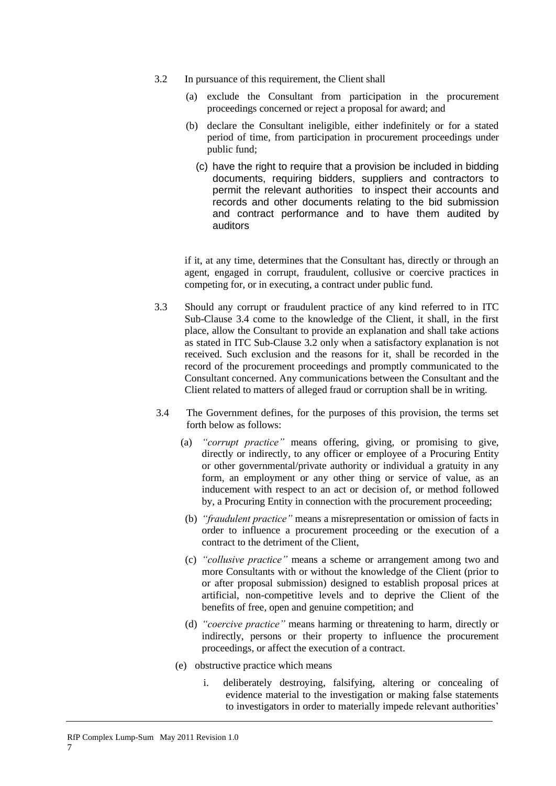- 3.2 In pursuance of this requirement, the Client shall
	- (a) exclude the Consultant from participation in the procurement proceedings concerned or reject a proposal for award; and
	- (b) declare the Consultant ineligible, either indefinitely or for a stated period of time, from participation in procurement proceedings under public fund;
		- (c) have the right to require that a provision be included in bidding documents, requiring bidders, suppliers and contractors to permit the relevant authorities to inspect their accounts and records and other documents relating to the bid submission and contract performance and to have them audited by auditors

if it, at any time, determines that the Consultant has, directly or through an agent, engaged in corrupt, fraudulent, collusive or coercive practices in competing for, or in executing, a contract under public fund.

- 3.3 Should any corrupt or fraudulent practice of any kind referred to in ITC Sub-Clause 3.4 come to the knowledge of the Client, it shall, in the first place, allow the Consultant to provide an explanation and shall take actions as stated in ITC Sub-Clause 3.2 only when a satisfactory explanation is not received. Such exclusion and the reasons for it, shall be recorded in the record of the procurement proceedings and promptly communicated to the Consultant concerned. Any communications between the Consultant and the Client related to matters of alleged fraud or corruption shall be in writing.
- 3.4 The Government defines, for the purposes of this provision, the terms set forth below as follows:
	- (a) *"corrupt practice"* means offering, giving, or promising to give, directly or indirectly, to any officer or employee of a Procuring Entity or other governmental/private authority or individual a gratuity in any form, an employment or any other thing or service of value, as an inducement with respect to an act or decision of, or method followed by, a Procuring Entity in connection with the procurement proceeding;
	- (b) *"fraudulent practice"* means a misrepresentation or omission of facts in order to influence a procurement proceeding or the execution of a contract to the detriment of the Client,
	- (c) *"collusive practice"* means a scheme or arrangement among two and more Consultants with or without the knowledge of the Client (prior to or after proposal submission) designed to establish proposal prices at artificial, non-competitive levels and to deprive the Client of the benefits of free, open and genuine competition; and
	- (d) *"coercive practice"* means harming or threatening to harm, directly or indirectly, persons or their property to influence the procurement proceedings, or affect the execution of a contract.
	- (e) obstructive practice which means

7

i. deliberately destroying, falsifying, altering or concealing of evidence material to the investigation or making false statements to investigators in order to materially impede relevant authorities'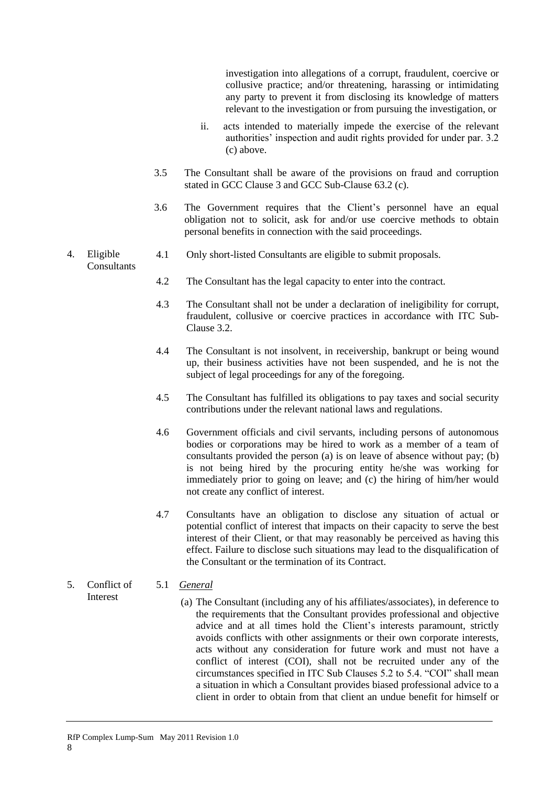investigation into allegations of a corrupt, fraudulent, coercive or collusive practice; and/or threatening, harassing or intimidating any party to prevent it from disclosing its knowledge of matters relevant to the investigation or from pursuing the investigation, or

- ii. acts intended to materially impede the exercise of the relevant authorities' inspection and audit rights provided for under par. 3.2 (c) above.
- 3.5 The Consultant shall be aware of the provisions on fraud and corruption stated in GCC Clause 3 and GCC Sub-Clause 63.2 (c).
- 3.6 The Government requires that the Client's personnel have an equal obligation not to solicit, ask for and/or use coercive methods to obtain personal benefits in connection with the said proceedings.
- <span id="page-11-0"></span>4. Eligible 4.1 Only short-listed Consultants are eligible to submit proposals.

# **Consultants**

- 4.2 The Consultant has the legal capacity to enter into the contract.
- 4.3 The Consultant shall not be under a declaration of ineligibility for corrupt, fraudulent, collusive or coercive practices in accordance with ITC Sub-Clause 3.2.
- 4.4 The Consultant is not insolvent, in receivership, bankrupt or being wound up, their business activities have not been suspended, and he is not the subject of legal proceedings for any of the foregoing.
- 4.5 The Consultant has fulfilled its obligations to pay taxes and social security contributions under the relevant national laws and regulations.
- 4.6 Government officials and civil servants, including persons of autonomous bodies or corporations may be hired to work as a member of a team of consultants provided the person (a) is on leave of absence without pay; (b) is not being hired by the procuring entity he/she was working for immediately prior to going on leave; and (c) the hiring of him/her would not create any conflict of interest.
- 4.7 Consultants have an obligation to disclose any situation of actual or potential conflict of interest that impacts on their capacity to serve the best interest of their Client, or that may reasonably be perceived as having this effect. Failure to disclose such situations may lead to the disqualification of the Consultant or the termination of its Contract.

#### <span id="page-11-1"></span>5. Conflict of Interest 5.1 *General*

(a) The Consultant (including any of his affiliates/associates), in deference to the requirements that the Consultant provides professional and objective advice and at all times hold the Client's interests paramount, strictly avoids conflicts with other assignments or their own corporate interests, acts without any consideration for future work and must not have a conflict of interest (COI), shall not be recruited under any of the circumstances specified in ITC Sub Clauses 5.2 to 5.4. "COI" shall mean a situation in which a Consultant provides biased professional advice to a client in order to obtain from that client an undue benefit for himself or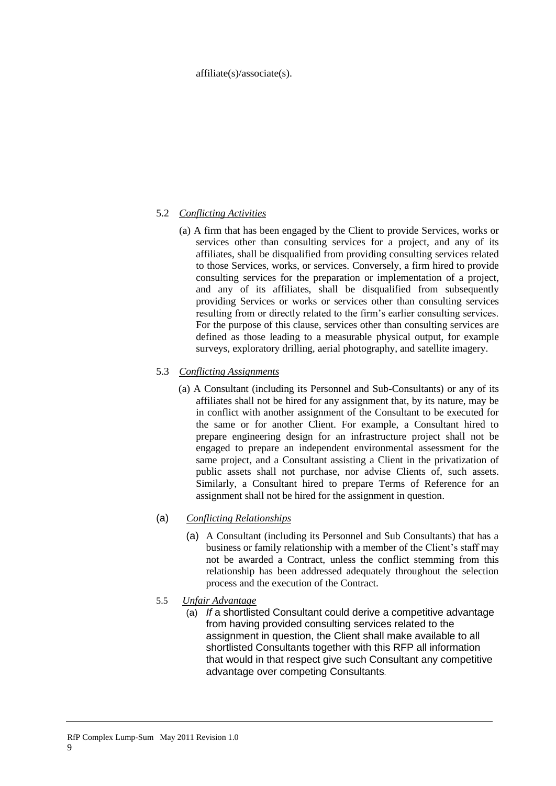#### affiliate(s)/associate(s).

# 5.2 *Conflicting Activities*

(a) A firm that has been engaged by the Client to provide Services, works or services other than consulting services for a project, and any of its affiliates, shall be disqualified from providing consulting services related to those Services, works, or services. Conversely, a firm hired to provide consulting services for the preparation or implementation of a project, and any of its affiliates, shall be disqualified from subsequently providing Services or works or services other than consulting services resulting from or directly related to the firm's earlier consulting services. For the purpose of this clause, services other than consulting services are defined as those leading to a measurable physical output, for example surveys, exploratory drilling, aerial photography, and satellite imagery.

## 5.3 *Conflicting Assignments*

(a) A Consultant (including its Personnel and Sub-Consultants) or any of its affiliates shall not be hired for any assignment that, by its nature, may be in conflict with another assignment of the Consultant to be executed for the same or for another Client. For example, a Consultant hired to prepare engineering design for an infrastructure project shall not be engaged to prepare an independent environmental assessment for the same project, and a Consultant assisting a Client in the privatization of public assets shall not purchase, nor advise Clients of, such assets. Similarly, a Consultant hired to prepare Terms of Reference for an assignment shall not be hired for the assignment in question.

# (a) *Conflicting Relationships*

- (a) A Consultant (including its Personnel and Sub Consultants) that has a business or family relationship with a member of the Client's staff may not be awarded a Contract, unless the conflict stemming from this relationship has been addressed adequately throughout the selection process and the execution of the Contract.
- 5.5 *Unfair Advantage* 
	- (a) *If* a shortlisted Consultant could derive a competitive advantage from having provided consulting services related to the assignment in question, the Client shall make available to all shortlisted Consultants together with this RFP all information that would in that respect give such Consultant any competitive advantage over competing Consultants.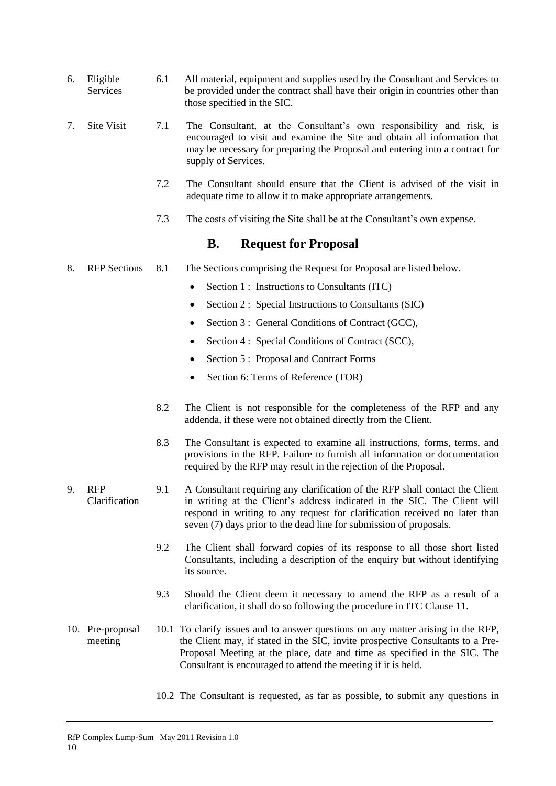- <span id="page-13-0"></span>6. Eligible Services 6.1 All material, equipment and supplies used by the Consultant and Services to be provided under the contract shall have their origin in countries other than those specified in the SIC.
- <span id="page-13-1"></span>7. Site Visit 7.1 The Consultant, at the Consultant's own responsibility and risk, is encouraged to visit and examine the Site and obtain all information that may be necessary for preparing the Proposal and entering into a contract for supply of Services.
	- 7.2 The Consultant should ensure that the Client is advised of the visit in adequate time to allow it to make appropriate arrangements.
	- 7.3 The costs of visiting the Site shall be at the Consultant's own expense.

# **B. Request for Proposal**

- <span id="page-13-3"></span><span id="page-13-2"></span>8. RFP Sections 8.1 The Sections comprising the Request for Proposal are listed below.
	- Section 1 : Instructions to Consultants (ITC)
	- Section 2 : Special Instructions to Consultants (SIC)
	- Section 3 : General Conditions of Contract (GCC),
	- Section 4 : Special Conditions of Contract (SCC),
	- Section 5 : Proposal and Contract Forms
	- Section 6: Terms of Reference (TOR)
	- 8.2 The Client is not responsible for the completeness of the RFP and any addenda, if these were not obtained directly from the Client.
	- 8.3 The Consultant is expected to examine all instructions, forms, terms, and provisions in the RFP. Failure to furnish all information or documentation required by the RFP may result in the rejection of the Proposal.
- <span id="page-13-4"></span>9. RFP Clarification 9.1 A Consultant requiring any clarification of the RFP shall contact the Client in writing at the Client's address indicated in the SIC. The Client will respond in writing to any request for clarification received no later than seven (7) days prior to the dead line for submission of proposals.
	- 9.2 The Client shall forward copies of its response to all those short listed Consultants, including a description of the enquiry but without identifying its source.
	- 9.3 Should the Client deem it necessary to amend the RFP as a result of a clarification, it shall do so following the procedure in ITC Clause 11.
- <span id="page-13-5"></span>10. Pre-proposal meeting 10.1 To clarify issues and to answer questions on any matter arising in the RFP, the Client may, if stated in the SIC, invite prospective Consultants to a Pre-Proposal Meeting at the place, date and time as specified in the SIC. The Consultant is encouraged to attend the meeting if it is held.

10

10.2 The Consultant is requested, as far as possible, to submit any questions in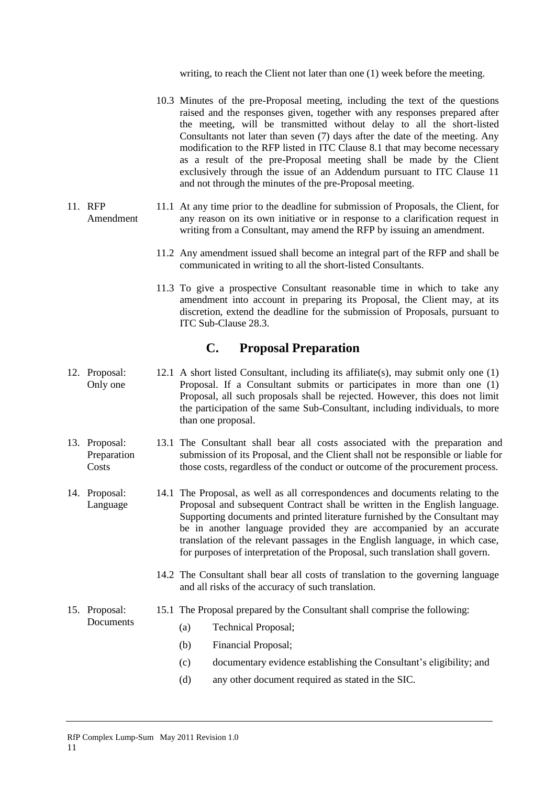writing, to reach the Client not later than one (1) week before the meeting.

- 10.3 Minutes of the pre-Proposal meeting, including the text of the questions raised and the responses given, together with any responses prepared after the meeting, will be transmitted without delay to all the short-listed Consultants not later than seven (7) days after the date of the meeting. Any modification to the RFP listed in ITC Clause 8.1 that may become necessary as a result of the pre-Proposal meeting shall be made by the Client exclusively through the issue of an Addendum pursuant to ITC Clause 11 and not through the minutes of the pre-Proposal meeting.
- <span id="page-14-0"></span>11. RFP Amendment 11.1 At any time prior to the deadline for submission of Proposals, the Client, for any reason on its own initiative or in response to a clarification request in writing from a Consultant, may amend the RFP by issuing an amendment.
	- 11.2 Any amendment issued shall become an integral part of the RFP and shall be communicated in writing to all the short-listed Consultants.
	- 11.3 To give a prospective Consultant reasonable time in which to take any amendment into account in preparing its Proposal, the Client may, at its discretion, extend the deadline for the submission of Proposals, pursuant to ITC Sub-Clause 28.3.

# **C. Proposal Preparation**

- <span id="page-14-2"></span><span id="page-14-1"></span>12. Proposal: Only one 12.1 A short listed Consultant, including its affiliate(s), may submit only one (1) Proposal. If a Consultant submits or participates in more than one (1) Proposal, all such proposals shall be rejected. However, this does not limit the participation of the same Sub-Consultant, including individuals, to more than one proposal.
- <span id="page-14-3"></span>13. Proposal: Preparation **Costs** 13.1 The Consultant shall bear all costs associated with the preparation and submission of its Proposal, and the Client shall not be responsible or liable for those costs, regardless of the conduct or outcome of the procurement process.
- <span id="page-14-4"></span>14. Proposal: Language 14.1 The Proposal, as well as all correspondences and documents relating to the Proposal and subsequent Contract shall be written in the English language. Supporting documents and printed literature furnished by the Consultant may be in another language provided they are accompanied by an accurate translation of the relevant passages in the English language, in which case, for purposes of interpretation of the Proposal, such translation shall govern.
	- 14.2 The Consultant shall bear all costs of translation to the governing language and all risks of the accuracy of such translation.

#### <span id="page-14-5"></span>15. Proposal: **Documents** 15.1 The Proposal prepared by the Consultant shall comprise the following:

- (a) Technical Proposal;
- (b) Financial Proposal;
- (c) documentary evidence establishing the Consultant's eligibility; and
- (d) any other document required as stated in the SIC.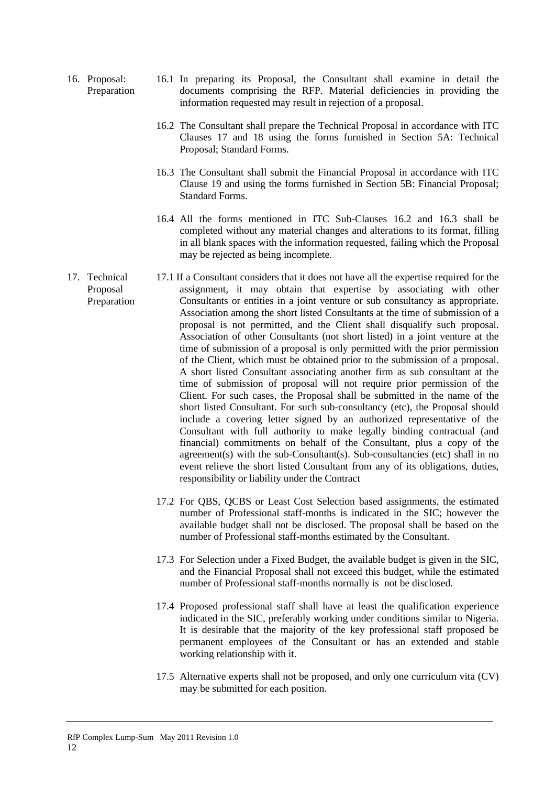- <span id="page-15-0"></span>16. Proposal: Preparation 16.1 In preparing its Proposal, the Consultant shall examine in detail the documents comprising the RFP. Material deficiencies in providing the information requested may result in rejection of a proposal.
	- 16.2 The Consultant shall prepare the Technical Proposal in accordance with ITC Clauses 17 and 18 using the forms furnished in Section 5A: Technical Proposal; Standard Forms.
	- 16.3 The Consultant shall submit the Financial Proposal in accordance with ITC Clause 19 and using the forms furnished in Section 5B: Financial Proposal; Standard Forms.
	- 16.4 All the forms mentioned in ITC Sub-Clauses 16.2 and 16.3 shall be completed without any material changes and alterations to its format, filling in all blank spaces with the information requested, failing which the Proposal may be rejected as being incomplete.
- <span id="page-15-1"></span>17. Technical Proposal Preparation 17.1 If a Consultant considers that it does not have all the expertise required for the assignment, it may obtain that expertise by associating with other Consultants or entities in a joint venture or sub consultancy as appropriate. Association among the short listed Consultants at the time of submission of a proposal is not permitted, and the Client shall disqualify such proposal. Association of other Consultants (not short listed) in a joint venture at the time of submission of a proposal is only permitted with the prior permission of the Client, which must be obtained prior to the submission of a proposal. A short listed Consultant associating another firm as sub consultant at the time of submission of proposal will not require prior permission of the Client. For such cases, the Proposal shall be submitted in the name of the short listed Consultant. For such sub-consultancy (etc), the Proposal should include a covering letter signed by an authorized representative of the Consultant with full authority to make legally binding contractual (and financial) commitments on behalf of the Consultant, plus a copy of the agreement(s) with the sub-Consultant(s). Sub-consultancies (etc) shall in no event relieve the short listed Consultant from any of its obligations, duties, responsibility or liability under the Contract
	- 17.2 For QBS, QCBS or Least Cost Selection based assignments, the estimated number of Professional staff-months is indicated in the SIC; however the available budget shall not be disclosed. The proposal shall be based on the number of Professional staff-months estimated by the Consultant.
	- 17.3 For Selection under a Fixed Budget, the available budget is given in the SIC, and the Financial Proposal shall not exceed this budget, while the estimated number of Professional staff-months normally is not be disclosed.
	- 17.4 Proposed professional staff shall have at least the qualification experience indicated in the SIC, preferably working under conditions similar to Nigeria. It is desirable that the majority of the key professional staff proposed be permanent employees of the Consultant or has an extended and stable working relationship with it.
	- 17.5 Alternative experts shall not be proposed, and only one curriculum vita (CV) may be submitted for each position.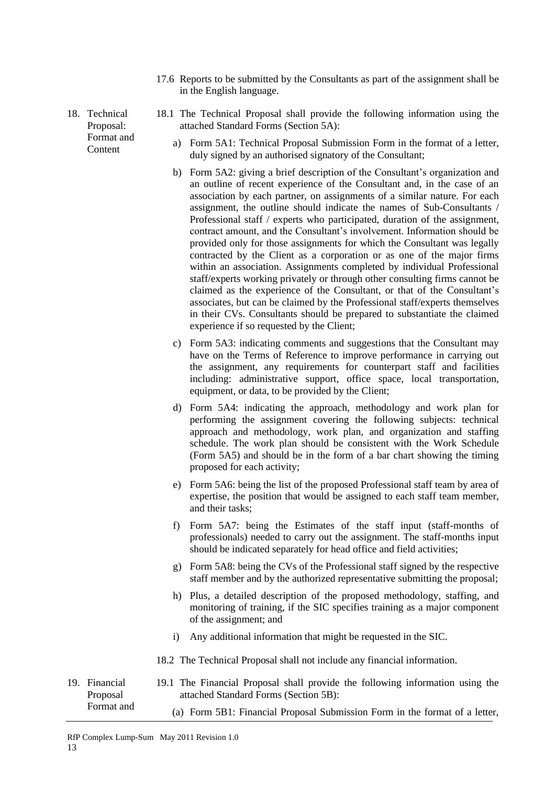17.6 Reports to be submitted by the Consultants as part of the assignment shall be in the English language.

<span id="page-16-0"></span>18. Technical Proposal: Format and **Content** 

- 18.1 The Technical Proposal shall provide the following information using the attached Standard Forms (Section 5A):
	- a) Form 5A1: Technical Proposal Submission Form in the format of a letter, duly signed by an authorised signatory of the Consultant;
	- b) Form 5A2: giving a brief description of the Consultant's organization and an outline of recent experience of the Consultant and, in the case of an association by each partner, on assignments of a similar nature. For each assignment, the outline should indicate the names of Sub-Consultants / Professional staff / experts who participated, duration of the assignment, contract amount, and the Consultant's involvement. Information should be provided only for those assignments for which the Consultant was legally contracted by the Client as a corporation or as one of the major firms within an association. Assignments completed by individual Professional staff/experts working privately or through other consulting firms cannot be claimed as the experience of the Consultant, or that of the Consultant's associates, but can be claimed by the Professional staff/experts themselves in their CVs. Consultants should be prepared to substantiate the claimed experience if so requested by the Client;
	- c) Form 5A3: indicating comments and suggestions that the Consultant may have on the Terms of Reference to improve performance in carrying out the assignment, any requirements for counterpart staff and facilities including: administrative support, office space, local transportation, equipment, or data, to be provided by the Client;
	- d) Form 5A4: indicating the approach, methodology and work plan for performing the assignment covering the following subjects: technical approach and methodology, work plan, and organization and staffing schedule. The work plan should be consistent with the Work Schedule (Form 5A5) and should be in the form of a bar chart showing the timing proposed for each activity;
	- e) Form 5A6: being the list of the proposed Professional staff team by area of expertise, the position that would be assigned to each staff team member, and their tasks;
	- f) Form 5A7: being the Estimates of the staff input (staff*-*months of professionals) needed to carry out the assignment. The staff-months input should be indicated separately for head office and field activities;
	- g) Form 5A8: being the CVs of the Professional staff signed by the respective staff member and by the authorized representative submitting the proposal;
	- h) Plus, a detailed description of the proposed methodology, staffing, and monitoring of training, if the SIC specifies training as a major component of the assignment; and
	- i) Any additional information that might be requested in the SIC.
- 18.2 The Technical Proposal shall not include any financial information.
- <span id="page-16-1"></span>19. Financial Proposal Format and 19.1 The Financial Proposal shall provide the following information using the attached Standard Forms (Section 5B):

13

(a) Form 5B1: Financial Proposal Submission Form in the format of a letter,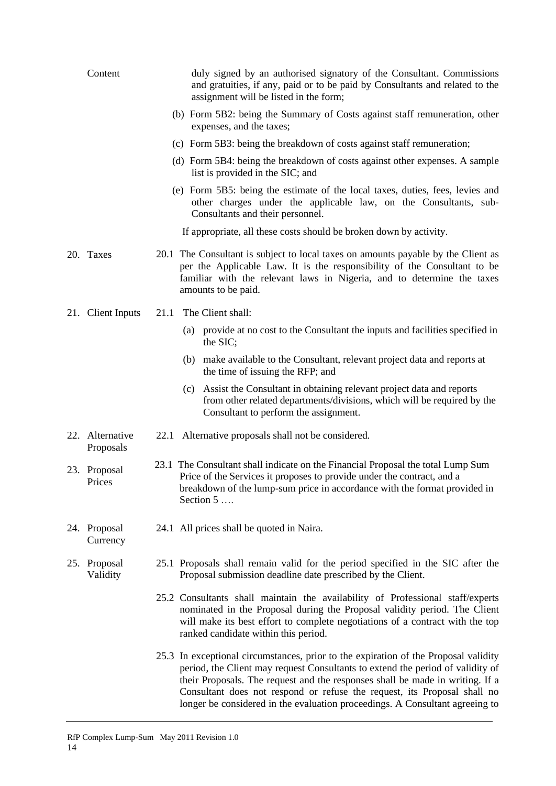<span id="page-17-5"></span><span id="page-17-4"></span><span id="page-17-3"></span><span id="page-17-2"></span><span id="page-17-1"></span><span id="page-17-0"></span>

| Content                      | duly signed by an authorised signatory of the Consultant. Commissions<br>and gratuities, if any, paid or to be paid by Consultants and related to the<br>assignment will be listed in the form;                                                                                                                                                                                                                    |
|------------------------------|--------------------------------------------------------------------------------------------------------------------------------------------------------------------------------------------------------------------------------------------------------------------------------------------------------------------------------------------------------------------------------------------------------------------|
|                              | (b) Form 5B2: being the Summary of Costs against staff remuneration, other<br>expenses, and the taxes;                                                                                                                                                                                                                                                                                                             |
|                              | (c) Form 5B3: being the breakdown of costs against staff remuneration;                                                                                                                                                                                                                                                                                                                                             |
|                              | (d) Form 5B4: being the breakdown of costs against other expenses. A sample<br>list is provided in the SIC; and                                                                                                                                                                                                                                                                                                    |
|                              | (e) Form 5B5: being the estimate of the local taxes, duties, fees, levies and<br>other charges under the applicable law, on the Consultants, sub-<br>Consultants and their personnel.                                                                                                                                                                                                                              |
|                              | If appropriate, all these costs should be broken down by activity.                                                                                                                                                                                                                                                                                                                                                 |
| 20. Taxes                    | 20.1 The Consultant is subject to local taxes on amounts payable by the Client as<br>per the Applicable Law. It is the responsibility of the Consultant to be<br>familiar with the relevant laws in Nigeria, and to determine the taxes<br>amounts to be paid.                                                                                                                                                     |
| 21. Client Inputs            | The Client shall:<br>21.1                                                                                                                                                                                                                                                                                                                                                                                          |
|                              | (a) provide at no cost to the Consultant the inputs and facilities specified in<br>the SIC;                                                                                                                                                                                                                                                                                                                        |
|                              | (b) make available to the Consultant, relevant project data and reports at<br>the time of issuing the RFP; and                                                                                                                                                                                                                                                                                                     |
|                              | (c) Assist the Consultant in obtaining relevant project data and reports<br>from other related departments/divisions, which will be required by the<br>Consultant to perform the assignment.                                                                                                                                                                                                                       |
| 22. Alternative<br>Proposals | 22.1 Alternative proposals shall not be considered.                                                                                                                                                                                                                                                                                                                                                                |
| 23. Proposal<br>Prices       | 23.1 The Consultant shall indicate on the Financial Proposal the total Lump Sum<br>Price of the Services it proposes to provide under the contract, and a<br>breakdown of the lump-sum price in accordance with the format provided in<br>Section 5                                                                                                                                                                |
| 24. Proposal<br>Currency     | 24.1 All prices shall be quoted in Naira.                                                                                                                                                                                                                                                                                                                                                                          |
| 25. Proposal<br>Validity     | 25.1 Proposals shall remain valid for the period specified in the SIC after the<br>Proposal submission deadline date prescribed by the Client.                                                                                                                                                                                                                                                                     |
|                              | 25.2 Consultants shall maintain the availability of Professional staff/experts<br>nominated in the Proposal during the Proposal validity period. The Client<br>will make its best effort to complete negotiations of a contract with the top<br>ranked candidate within this period.                                                                                                                               |
|                              | 25.3 In exceptional circumstances, prior to the expiration of the Proposal validity<br>period, the Client may request Consultants to extend the period of validity of<br>their Proposals. The request and the responses shall be made in writing. If a<br>Consultant does not respond or refuse the request, its Proposal shall no<br>longer be considered in the evaluation proceedings. A Consultant agreeing to |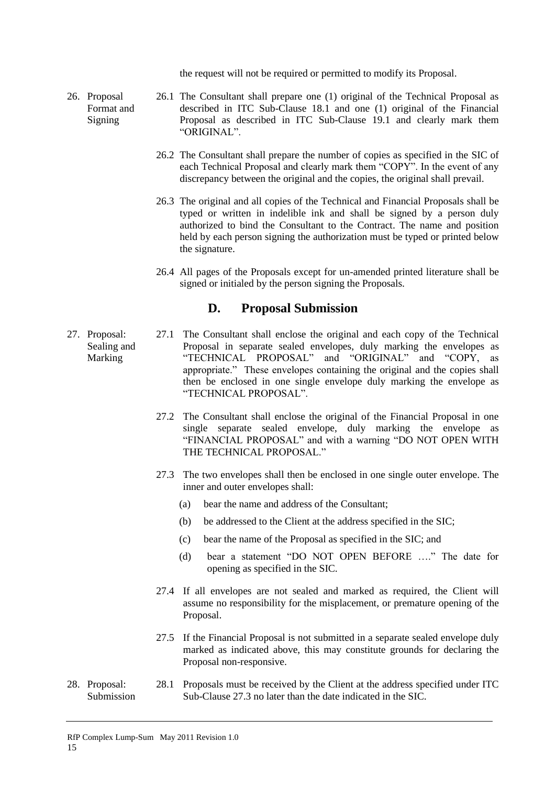the request will not be required or permitted to modify its Proposal.

- <span id="page-18-0"></span>26. Proposal Format and Signing 26.1 The Consultant shall prepare one (1) original of the Technical Proposal as described in ITC Sub-Clause 18.1 and one (1) original of the Financial Proposal as described in ITC Sub-Clause 19.1 and clearly mark them "ORIGINAL".
	- 26.2 The Consultant shall prepare the number of copies as specified in the SIC of each Technical Proposal and clearly mark them "COPY". In the event of any discrepancy between the original and the copies, the original shall prevail.
	- 26.3 The original and all copies of the Technical and Financial Proposals shall be typed or written in indelible ink and shall be signed by a person duly authorized to bind the Consultant to the Contract. The name and position held by each person signing the authorization must be typed or printed below the signature.
	- 26.4 All pages of the Proposals except for un-amended printed literature shall be signed or initialed by the person signing the Proposals.

# **D. Proposal Submission**

- <span id="page-18-2"></span><span id="page-18-1"></span>27. Proposal: Sealing and Marking 27.1 The Consultant shall enclose the original and each copy of the Technical Proposal in separate sealed envelopes, duly marking the envelopes as "TECHNICAL PROPOSAL" and "ORIGINAL" and "COPY, as appropriate." These envelopes containing the original and the copies shall then be enclosed in one single envelope duly marking the envelope as "TECHNICAL PROPOSAL".
	- 27.2 The Consultant shall enclose the original of the Financial Proposal in one single separate sealed envelope, duly marking the envelope as "FINANCIAL PROPOSAL" and with a warning "DO NOT OPEN WITH THE TECHNICAL PROPOSAL."
	- 27.3 The two envelopes shall then be enclosed in one single outer envelope. The inner and outer envelopes shall:
		- (a) bear the name and address of the Consultant;
		- (b) be addressed to the Client at the address specified in the SIC;
		- (c) bear the name of the Proposal as specified in the SIC; and
		- (d) bear a statement "DO NOT OPEN BEFORE …." The date for opening as specified in the SIC.
	- 27.4 If all envelopes are not sealed and marked as required, the Client will assume no responsibility for the misplacement, or premature opening of the Proposal.
	- 27.5 If the Financial Proposal is not submitted in a separate sealed envelope duly marked as indicated above, this may constitute grounds for declaring the Proposal non-responsive.
- <span id="page-18-3"></span>28. Proposal: Submission 28.1 Proposals must be received by the Client at the address specified under ITC Sub-Clause 27.3 no later than the date indicated in the SIC.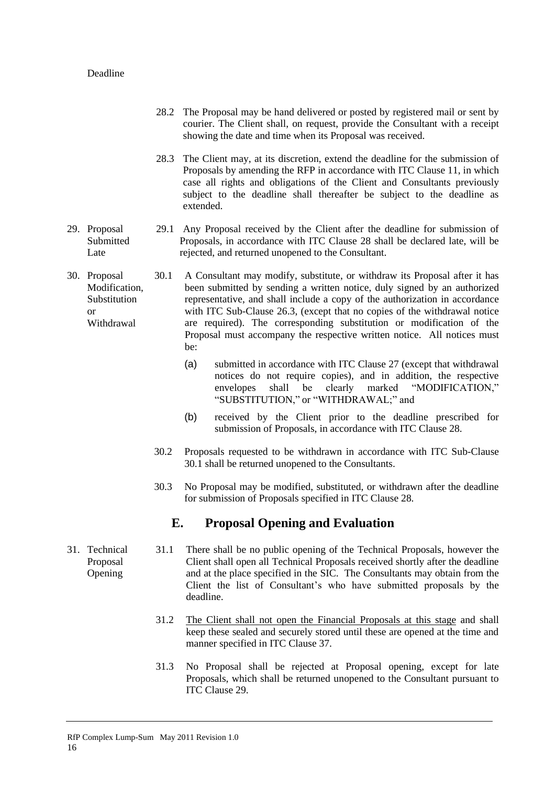## Deadline

- 28.2 The Proposal may be hand delivered or posted by registered mail or sent by courier. The Client shall, on request, provide the Consultant with a receipt showing the date and time when its Proposal was received.
- 28.3 The Client may, at its discretion, extend the deadline for the submission of Proposals by amending the RFP in accordance with ITC Clause 11, in which case all rights and obligations of the Client and Consultants previously subject to the deadline shall thereafter be subject to the deadline as extended.
- <span id="page-19-0"></span>29. Proposal Submitted Late 29.1 Any Proposal received by the Client after the deadline for submission of Proposals, in accordance with ITC Clause 28 shall be declared late, will be rejected, and returned unopened to the Consultant.
- <span id="page-19-1"></span>30. Proposal Modification, **Substitution** or Withdrawal 30.1 A Consultant may modify, substitute, or withdraw its Proposal after it has been submitted by sending a written notice, duly signed by an authorized representative, and shall include a copy of the authorization in accordance with ITC Sub-Clause 26.3, (except that no copies of the withdrawal notice are required). The corresponding substitution or modification of the Proposal must accompany the respective written notice. All notices must be:
	- (a) submitted in accordance with ITC Clause 27 (except that withdrawal notices do not require copies), and in addition, the respective envelopes shall be clearly marked "MODIFICATION," "SUBSTITUTION," or "WITHDRAWAL;" and
	- (b) received by the Client prior to the deadline prescribed for submission of Proposals, in accordance with ITC Clause 28.
	- 30.2 Proposals requested to be withdrawn in accordance with ITC Sub-Clause 30.1 shall be returned unopened to the Consultants.
	- 30.3 No Proposal may be modified, substituted, or withdrawn after the deadline for submission of Proposals specified in ITC Clause 28.

# **E. Proposal Opening and Evaluation**

<span id="page-19-3"></span><span id="page-19-2"></span>31. Technical Proposal Opening 31.1 There shall be no public opening of the Technical Proposals, however the Client shall open all Technical Proposals received shortly after the deadline and at the place specified in the SIC. The Consultants may obtain from the Client the list of Consultant's who have submitted proposals by the deadline.

- 31.2 The Client shall not open the Financial Proposals at this stage and shall keep these sealed and securely stored until these are opened at the time and manner specified in ITC Clause 37.
- 31.3 No Proposal shall be rejected at Proposal opening, except for late Proposals, which shall be returned unopened to the Consultant pursuant to ITC Clause 29.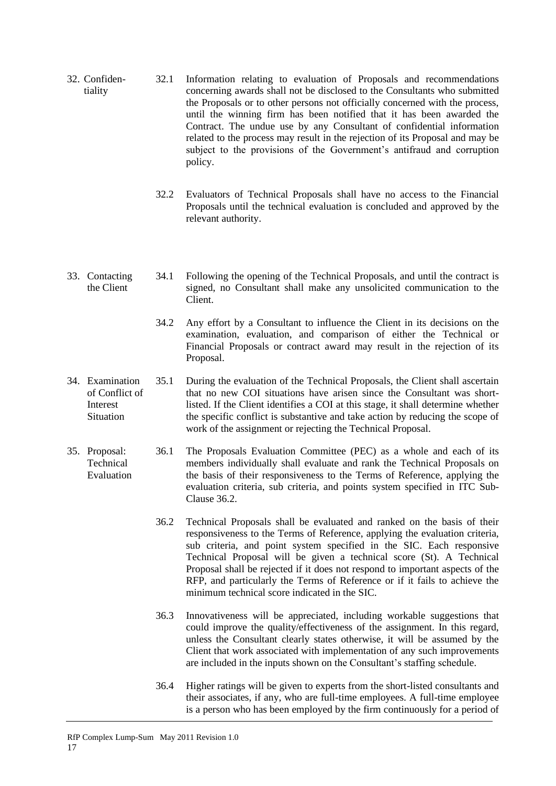- 32. Confidentiality 32.1 Information relating to evaluation of Proposals and recommendations concerning awards shall not be disclosed to the Consultants who submitted the Proposals or to other persons not officially concerned with the process, until the winning firm has been notified that it has been awarded the Contract. The undue use by any Consultant of confidential information related to the process may result in the rejection of its Proposal and may be subject to the provisions of the Government's antifraud and corruption policy.
	- 32.2 Evaluators of Technical Proposals shall have no access to the Financial Proposals until the technical evaluation is concluded and approved by the relevant authority.
- <span id="page-20-0"></span>33. Contacting the Client 34.1 Following the opening of the Technical Proposals, and until the contract is signed, no Consultant shall make any unsolicited communication to the Client.
	- 34.2 Any effort by a Consultant to influence the Client in its decisions on the examination, evaluation, and comparison of either the Technical or Financial Proposals or contract award may result in the rejection of its Proposal.
- <span id="page-20-1"></span>34. Examination of Conflict of Interest **Situation** 35.1 During the evaluation of the Technical Proposals, the Client shall ascertain that no new COI situations have arisen since the Consultant was shortlisted. If the Client identifies a COI at this stage, it shall determine whether the specific conflict is substantive and take action by reducing the scope of work of the assignment or rejecting the Technical Proposal.
- <span id="page-20-2"></span>35. Proposal: Technical Evaluation 36.1 The Proposals Evaluation Committee (PEC) as a whole and each of its members individually shall evaluate and rank the Technical Proposals on the basis of their responsiveness to the Terms of Reference, applying the evaluation criteria, sub criteria, and points system specified in ITC Sub-Clause 36.2.
	- 36.2 Technical Proposals shall be evaluated and ranked on the basis of their responsiveness to the Terms of Reference, applying the evaluation criteria, sub criteria, and point system specified in the SIC. Each responsive Technical Proposal will be given a technical score (St). A Technical Proposal shall be rejected if it does not respond to important aspects of the RFP, and particularly the Terms of Reference or if it fails to achieve the minimum technical score indicated in the SIC.
	- 36.3 Innovativeness will be appreciated, including workable suggestions that could improve the quality/effectiveness of the assignment. In this regard, unless the Consultant clearly states otherwise, it will be assumed by the Client that work associated with implementation of any such improvements are included in the inputs shown on the Consultant's staffing schedule.
	- 36.4 Higher ratings will be given to experts from the short-listed consultants and their associates, if any, who are full-time employees. A full-time employee is a person who has been employed by the firm continuously for a period of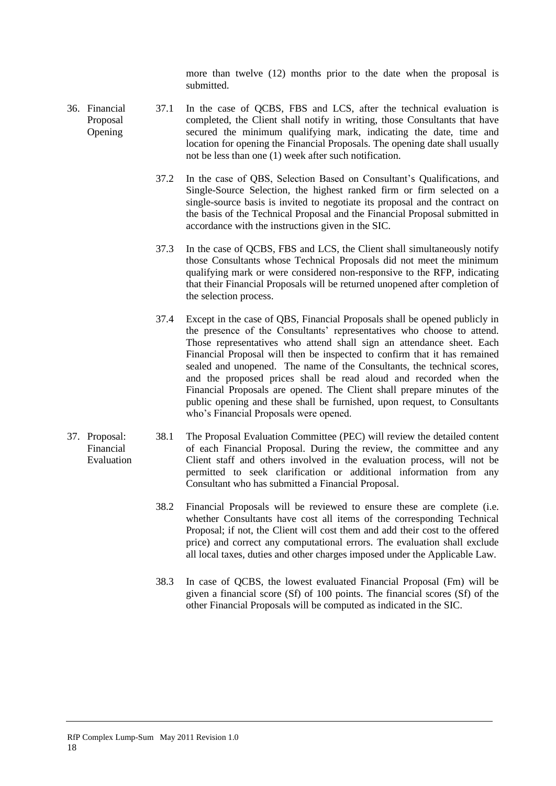more than twelve (12) months prior to the date when the proposal is submitted.

- <span id="page-21-0"></span>36. Financial Proposal Opening 37.1 In the case of QCBS, FBS and LCS, after the technical evaluation is completed, the Client shall notify in writing, those Consultants that have secured the minimum qualifying mark, indicating the date, time and location for opening the Financial Proposals. The opening date shall usually not be less than one (1) week after such notification.
	- 37.2 In the case of QBS, Selection Based on Consultant's Qualifications, and Single-Source Selection*,* the highest ranked firm or firm selected on a single-source basis is invited to negotiate its proposal and the contract on the basis of the Technical Proposal and the Financial Proposal submitted in accordance with the instructions given in the SIC.
	- 37.3 In the case of QCBS, FBS and LCS, the Client shall simultaneously notify those Consultants whose Technical Proposals did not meet the minimum qualifying mark or were considered non-responsive to the RFP, indicating that their Financial Proposals will be returned unopened after completion of the selection process.
	- 37.4 Except in the case of QBS, Financial Proposals shall be opened publicly in the presence of the Consultants' representatives who choose to attend. Those representatives who attend shall sign an attendance sheet. Each Financial Proposal will then be inspected to confirm that it has remained sealed and unopened. The name of the Consultants, the technical scores, and the proposed prices shall be read aloud and recorded when the Financial Proposals are opened. The Client shall prepare minutes of the public opening and these shall be furnished, upon request, to Consultants who's Financial Proposals were opened.
- <span id="page-21-1"></span>37. Proposal: Financial Evaluation 38.1 The Proposal Evaluation Committee (PEC) will review the detailed content of each Financial Proposal. During the review, the committee and any Client staff and others involved in the evaluation process, will not be permitted to seek clarification or additional information from any Consultant who has submitted a Financial Proposal.

18

- 38.2 Financial Proposals will be reviewed to ensure these are complete (i.e. whether Consultants have cost all items of the corresponding Technical Proposal; if not, the Client will cost them and add their cost to the offered price) and correct any computational errors. The evaluation shall exclude all local taxes, duties and other charges imposed under the Applicable Law.
- 38.3 In case of QCBS, the lowest evaluated Financial Proposal (Fm) will be given a financial score (Sf) of 100 points. The financial scores (Sf) of the other Financial Proposals will be computed as indicated in the SIC.

RfP Complex Lump-Sum May 2011 Revision 1.0 18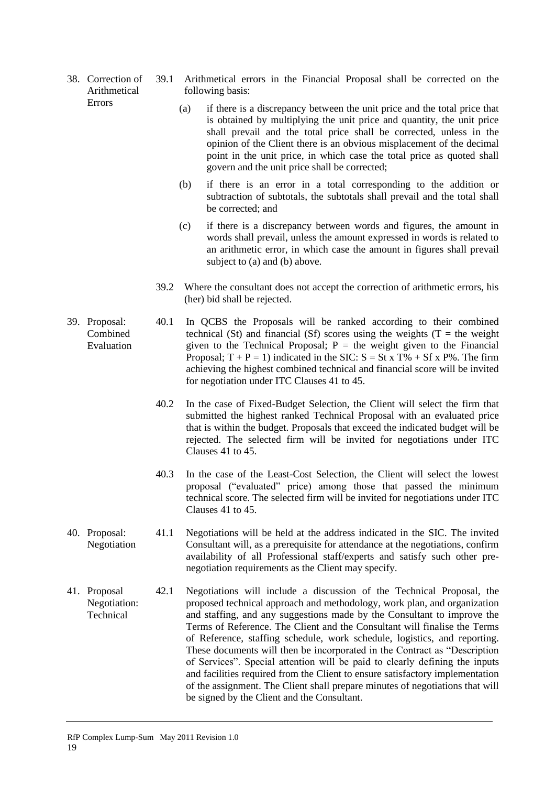<span id="page-22-0"></span>38. Correction of Arithmetical Errors

- 39.1 Arithmetical errors in the Financial Proposal shall be corrected on the following basis:
	- (a) if there is a discrepancy between the unit price and the total price that is obtained by multiplying the unit price and quantity, the unit price shall prevail and the total price shall be corrected, unless in the opinion of the Client there is an obvious misplacement of the decimal point in the unit price, in which case the total price as quoted shall govern and the unit price shall be corrected;
	- (b) if there is an error in a total corresponding to the addition or subtraction of subtotals, the subtotals shall prevail and the total shall be corrected; and
	- (c) if there is a discrepancy between words and figures, the amount in words shall prevail, unless the amount expressed in words is related to an arithmetic error, in which case the amount in figures shall prevail subject to (a) and (b) above.
	- 39.2 Where the consultant does not accept the correction of arithmetic errors, his (her) bid shall be rejected.
- <span id="page-22-1"></span>39. Proposal: Combined Evaluation 40.1 In QCBS the Proposals will be ranked according to their combined technical (St) and financial (Sf) scores using the weights (T = the weight given to the Technical Proposal;  $P =$  the weight given to the Financial Proposal;  $T + P = 1$ ) indicated in the SIC:  $S = St \times T\% + Sf \times P\%$ . The firm achieving the highest combined technical and financial score will be invited for negotiation under ITC Clauses 41 to 45.
	- 40.2 In the case of Fixed-Budget Selection, the Client will select the firm that submitted the highest ranked Technical Proposal with an evaluated price that is within the budget. Proposals that exceed the indicated budget will be rejected. The selected firm will be invited for negotiations under ITC Clauses 41 to 45.
	- 40.3 In the case of the Least-Cost Selection, the Client will select the lowest proposal ("evaluated" price) among those that passed the minimum technical score. The selected firm will be invited for negotiations under ITC Clauses 41 to 45.
- <span id="page-22-2"></span>40. Proposal: Negotiation 41.1 Negotiations will be held at the address indicated in the SIC. The invited Consultant will, as a prerequisite for attendance at the negotiations, confirm availability of all Professional staff/experts and satisfy such other prenegotiation requirements as the Client may specify.
- <span id="page-22-3"></span>41. Proposal Negotiation: Technical 42.1 Negotiations will include a discussion of the Technical Proposal, the proposed technical approach and methodology, work plan, and organization and staffing, and any suggestions made by the Consultant to improve the Terms of Reference. The Client and the Consultant will finalise the Terms of Reference, staffing schedule, work schedule, logistics, and reporting. These documents will then be incorporated in the Contract as "Description of Services". Special attention will be paid to clearly defining the inputs and facilities required from the Client to ensure satisfactory implementation of the assignment. The Client shall prepare minutes of negotiations that will be signed by the Client and the Consultant.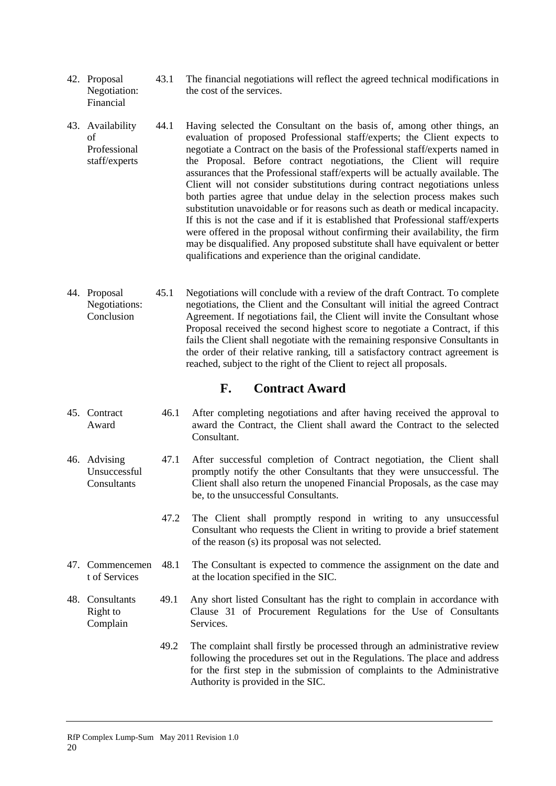- <span id="page-23-0"></span>42. Proposal Negotiation: Financial 43.1 The financial negotiations will reflect the agreed technical modifications in the cost of the services.
- <span id="page-23-1"></span>43. Availability of Professional staff/experts 44.1 Having selected the Consultant on the basis of, among other things, an evaluation of proposed Professional staff/experts; the Client expects to negotiate a Contract on the basis of the Professional staff/experts named in the Proposal. Before contract negotiations, the Client will require assurances that the Professional staff/experts will be actually available. The Client will not consider substitutions during contract negotiations unless both parties agree that undue delay in the selection process makes such substitution unavoidable or for reasons such as death or medical incapacity. If this is not the case and if it is established that Professional staff/experts were offered in the proposal without confirming their availability, the firm may be disqualified. Any proposed substitute shall have equivalent or better qualifications and experience than the original candidate.
- <span id="page-23-2"></span>44. Proposal Negotiations: Conclusion 45.1 Negotiations will conclude with a review of the draft Contract. To complete negotiations, the Client and the Consultant will initial the agreed Contract Agreement. If negotiations fail, the Client will invite the Consultant whose Proposal received the second highest score to negotiate a Contract, if this fails the Client shall negotiate with the remaining responsive Consultants in the order of their relative ranking, till a satisfactory contract agreement is reached, subject to the right of the Client to reject all proposals.

# **F. Contract Award**

- <span id="page-23-4"></span><span id="page-23-3"></span>45. Contract Award 46.1 After completing negotiations and after having received the approval to award the Contract, the Client shall award the Contract to the selected Consultant.
- <span id="page-23-5"></span>46. Advising Unsuccessful **Consultants** 47.1 After successful completion of Contract negotiation, the Client shall promptly notify the other Consultants that they were unsuccessful. The Client shall also return the unopened Financial Proposals, as the case may be, to the unsuccessful Consultants.
	- 47.2 The Client shall promptly respond in writing to any unsuccessful Consultant who requests the Client in writing to provide a brief statement of the reason (s) its proposal was not selected.
- <span id="page-23-6"></span>47. Commencemen t of Services The Consultant is expected to commence the assignment on the date and at the location specified in the SIC.
- <span id="page-23-7"></span>48. Consultants Right to Complain 49.1 Any short listed Consultant has the right to complain in accordance with Clause 31 of Procurement Regulations for the Use of Consultants Services.

20

49.2 The complaint shall firstly be processed through an administrative review following the procedures set out in the Regulations. The place and address for the first step in the submission of complaints to the Administrative Authority is provided in the SIC.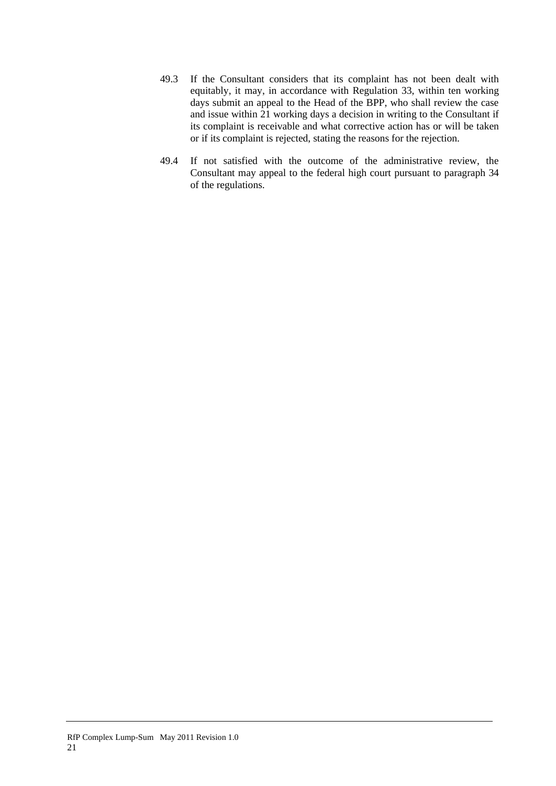- 49.3 If the Consultant considers that its complaint has not been dealt with equitably, it may, in accordance with Regulation 33, within ten working days submit an appeal to the Head of the BPP, who shall review the case and issue within 21 working days a decision in writing to the Consultant if its complaint is receivable and what corrective action has or will be taken or if its complaint is rejected, stating the reasons for the rejection.
- 49.4 If not satisfied with the outcome of the administrative review, the Consultant may appeal to the federal high court pursuant to paragraph 34 of the regulations.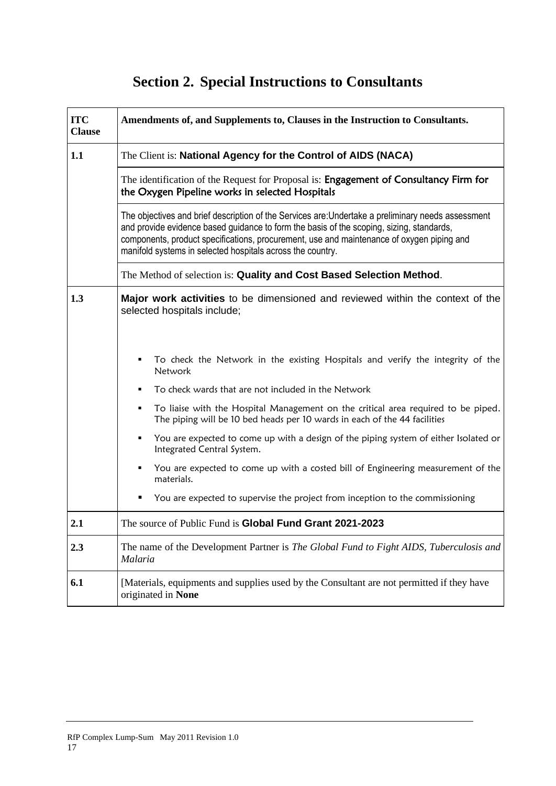# **Section 2. Special Instructions to Consultants**

<span id="page-25-0"></span>

| <b>ITC</b><br><b>Clause</b> | Amendments of, and Supplements to, Clauses in the Instruction to Consultants.                                                                                                                                                                                                                                                                             |  |  |
|-----------------------------|-----------------------------------------------------------------------------------------------------------------------------------------------------------------------------------------------------------------------------------------------------------------------------------------------------------------------------------------------------------|--|--|
| 1.1                         | The Client is: National Agency for the Control of AIDS (NACA)                                                                                                                                                                                                                                                                                             |  |  |
|                             | The identification of the Request for Proposal is: Engagement of Consultancy Firm for<br>the Oxygen Pipeline works in selected Hospitals                                                                                                                                                                                                                  |  |  |
|                             | The objectives and brief description of the Services are: Undertake a preliminary needs assessment<br>and provide evidence based guidance to form the basis of the scoping, sizing, standards,<br>components, product specifications, procurement, use and maintenance of oxygen piping and<br>manifold systems in selected hospitals across the country. |  |  |
|                             | The Method of selection is: Quality and Cost Based Selection Method.                                                                                                                                                                                                                                                                                      |  |  |
| 1.3                         | <b>Major work activities</b> to be dimensioned and reviewed within the context of the<br>selected hospitals include;                                                                                                                                                                                                                                      |  |  |
|                             | To check the Network in the existing Hospitals and verify the integrity of the<br>Network                                                                                                                                                                                                                                                                 |  |  |
|                             | To check wards that are not included in the Network<br>٠                                                                                                                                                                                                                                                                                                  |  |  |
|                             | To liaise with the Hospital Management on the critical area required to be piped.<br>٠<br>The piping will be 10 bed heads per 10 wards in each of the 44 facilities                                                                                                                                                                                       |  |  |
|                             | You are expected to come up with a design of the piping system of either Isolated or<br>٠<br>Integrated Central System.                                                                                                                                                                                                                                   |  |  |
|                             | You are expected to come up with a costed bill of Engineering measurement of the<br>٠<br>materials.                                                                                                                                                                                                                                                       |  |  |
|                             | You are expected to supervise the project from inception to the commissioning<br>٠                                                                                                                                                                                                                                                                        |  |  |
| 2.1                         | The source of Public Fund is Global Fund Grant 2021-2023                                                                                                                                                                                                                                                                                                  |  |  |
| 2.3                         | The name of the Development Partner is <i>The Global Fund to Fight AIDS</i> , <i>Tuberculosis and</i><br>Malaria                                                                                                                                                                                                                                          |  |  |
| 6.1                         | [Materials, equipments and supplies used by the Consultant are not permitted if they have<br>originated in None                                                                                                                                                                                                                                           |  |  |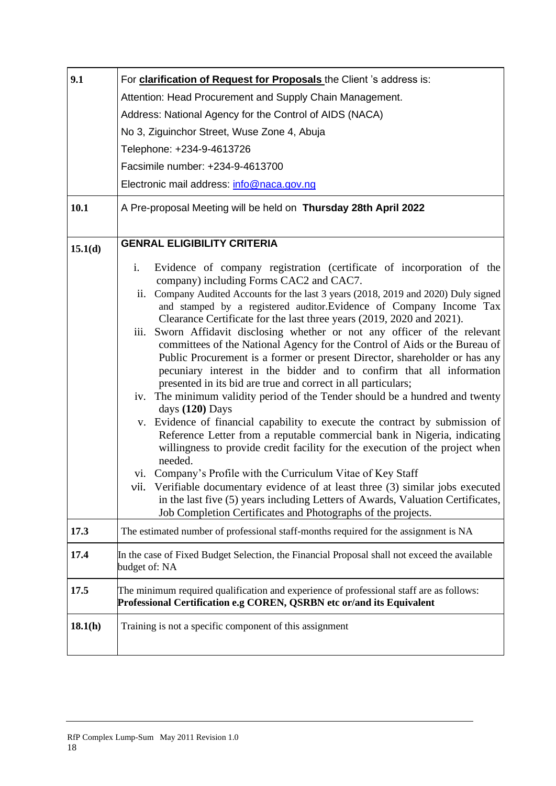| 9.1     | For clarification of Request for Proposals the Client 's address is:                                                                                                                                                                                                                                                                                                                                                                                                                                                                                                                                                                                                                                                                                                                                                                                                                                                                                                                                                                                                                                                                                                         |  |  |  |  |  |
|---------|------------------------------------------------------------------------------------------------------------------------------------------------------------------------------------------------------------------------------------------------------------------------------------------------------------------------------------------------------------------------------------------------------------------------------------------------------------------------------------------------------------------------------------------------------------------------------------------------------------------------------------------------------------------------------------------------------------------------------------------------------------------------------------------------------------------------------------------------------------------------------------------------------------------------------------------------------------------------------------------------------------------------------------------------------------------------------------------------------------------------------------------------------------------------------|--|--|--|--|--|
|         | Attention: Head Procurement and Supply Chain Management.                                                                                                                                                                                                                                                                                                                                                                                                                                                                                                                                                                                                                                                                                                                                                                                                                                                                                                                                                                                                                                                                                                                     |  |  |  |  |  |
|         | Address: National Agency for the Control of AIDS (NACA)                                                                                                                                                                                                                                                                                                                                                                                                                                                                                                                                                                                                                                                                                                                                                                                                                                                                                                                                                                                                                                                                                                                      |  |  |  |  |  |
|         | No 3, Ziguinchor Street, Wuse Zone 4, Abuja                                                                                                                                                                                                                                                                                                                                                                                                                                                                                                                                                                                                                                                                                                                                                                                                                                                                                                                                                                                                                                                                                                                                  |  |  |  |  |  |
|         | Telephone: +234-9-4613726                                                                                                                                                                                                                                                                                                                                                                                                                                                                                                                                                                                                                                                                                                                                                                                                                                                                                                                                                                                                                                                                                                                                                    |  |  |  |  |  |
|         | Facsimile number: +234-9-4613700                                                                                                                                                                                                                                                                                                                                                                                                                                                                                                                                                                                                                                                                                                                                                                                                                                                                                                                                                                                                                                                                                                                                             |  |  |  |  |  |
|         | Electronic mail address: info@naca.gov.ng                                                                                                                                                                                                                                                                                                                                                                                                                                                                                                                                                                                                                                                                                                                                                                                                                                                                                                                                                                                                                                                                                                                                    |  |  |  |  |  |
| 10.1    | A Pre-proposal Meeting will be held on Thursday 28th April 2022                                                                                                                                                                                                                                                                                                                                                                                                                                                                                                                                                                                                                                                                                                                                                                                                                                                                                                                                                                                                                                                                                                              |  |  |  |  |  |
| 15.1(d) | <b>GENRAL ELIGIBILITY CRITERIA</b>                                                                                                                                                                                                                                                                                                                                                                                                                                                                                                                                                                                                                                                                                                                                                                                                                                                                                                                                                                                                                                                                                                                                           |  |  |  |  |  |
|         | i.<br>Evidence of company registration (certificate of incorporation of the<br>company) including Forms CAC2 and CAC7.<br>ii. Company Audited Accounts for the last 3 years (2018, 2019 and 2020) Duly signed<br>and stamped by a registered auditor.Evidence of Company Income Tax<br>Clearance Certificate for the last three years (2019, 2020 and 2021).<br>Sworn Affidavit disclosing whether or not any officer of the relevant<br>iii.<br>committees of the National Agency for the Control of Aids or the Bureau of<br>Public Procurement is a former or present Director, shareholder or has any<br>pecuniary interest in the bidder and to confirm that all information<br>presented in its bid are true and correct in all particulars;<br>iv. The minimum validity period of the Tender should be a hundred and twenty<br>days (120) Days<br>v. Evidence of financial capability to execute the contract by submission of<br>Reference Letter from a reputable commercial bank in Nigeria, indicating<br>willingness to provide credit facility for the execution of the project when<br>needed.<br>vi. Company's Profile with the Curriculum Vitae of Key Staff |  |  |  |  |  |
|         | vii. Verifiable documentary evidence of at least three (3) similar jobs executed<br>in the last five (5) years including Letters of Awards, Valuation Certificates,<br>Job Completion Certificates and Photographs of the projects.                                                                                                                                                                                                                                                                                                                                                                                                                                                                                                                                                                                                                                                                                                                                                                                                                                                                                                                                          |  |  |  |  |  |
| 17.3    | The estimated number of professional staff-months required for the assignment is NA                                                                                                                                                                                                                                                                                                                                                                                                                                                                                                                                                                                                                                                                                                                                                                                                                                                                                                                                                                                                                                                                                          |  |  |  |  |  |
| 17.4    | In the case of Fixed Budget Selection, the Financial Proposal shall not exceed the available<br>budget of: NA                                                                                                                                                                                                                                                                                                                                                                                                                                                                                                                                                                                                                                                                                                                                                                                                                                                                                                                                                                                                                                                                |  |  |  |  |  |
| 17.5    | The minimum required qualification and experience of professional staff are as follows:<br>Professional Certification e.g COREN, QSRBN etc or/and its Equivalent                                                                                                                                                                                                                                                                                                                                                                                                                                                                                                                                                                                                                                                                                                                                                                                                                                                                                                                                                                                                             |  |  |  |  |  |
| 18.1(h) | Training is not a specific component of this assignment                                                                                                                                                                                                                                                                                                                                                                                                                                                                                                                                                                                                                                                                                                                                                                                                                                                                                                                                                                                                                                                                                                                      |  |  |  |  |  |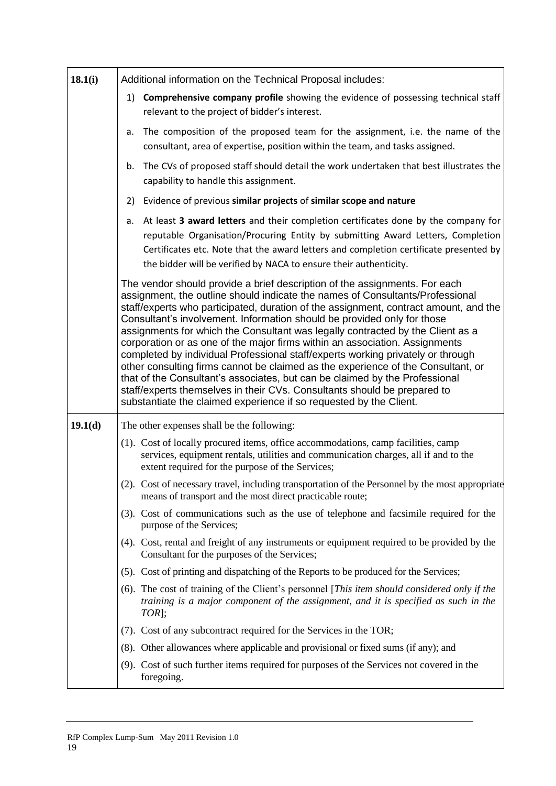| 18.1(i) | Additional information on the Technical Proposal includes:                                                                                                                                                                                                                                                                                                                                                                                                                                                                                                                                                                                                                                                                                                                                                                                                                                              |  |  |
|---------|---------------------------------------------------------------------------------------------------------------------------------------------------------------------------------------------------------------------------------------------------------------------------------------------------------------------------------------------------------------------------------------------------------------------------------------------------------------------------------------------------------------------------------------------------------------------------------------------------------------------------------------------------------------------------------------------------------------------------------------------------------------------------------------------------------------------------------------------------------------------------------------------------------|--|--|
|         | Comprehensive company profile showing the evidence of possessing technical staff<br>1)<br>relevant to the project of bidder's interest.                                                                                                                                                                                                                                                                                                                                                                                                                                                                                                                                                                                                                                                                                                                                                                 |  |  |
|         | The composition of the proposed team for the assignment, i.e. the name of the<br>a.<br>consultant, area of expertise, position within the team, and tasks assigned.                                                                                                                                                                                                                                                                                                                                                                                                                                                                                                                                                                                                                                                                                                                                     |  |  |
|         | The CVs of proposed staff should detail the work undertaken that best illustrates the<br>b.<br>capability to handle this assignment.                                                                                                                                                                                                                                                                                                                                                                                                                                                                                                                                                                                                                                                                                                                                                                    |  |  |
|         | Evidence of previous similar projects of similar scope and nature<br>2)                                                                                                                                                                                                                                                                                                                                                                                                                                                                                                                                                                                                                                                                                                                                                                                                                                 |  |  |
|         | At least 3 award letters and their completion certificates done by the company for<br>a.<br>reputable Organisation/Procuring Entity by submitting Award Letters, Completion<br>Certificates etc. Note that the award letters and completion certificate presented by<br>the bidder will be verified by NACA to ensure their authenticity.                                                                                                                                                                                                                                                                                                                                                                                                                                                                                                                                                               |  |  |
|         | The vendor should provide a brief description of the assignments. For each<br>assignment, the outline should indicate the names of Consultants/Professional<br>staff/experts who participated, duration of the assignment, contract amount, and the<br>Consultant's involvement. Information should be provided only for those<br>assignments for which the Consultant was legally contracted by the Client as a<br>corporation or as one of the major firms within an association. Assignments<br>completed by individual Professional staff/experts working privately or through<br>other consulting firms cannot be claimed as the experience of the Consultant, or<br>that of the Consultant's associates, but can be claimed by the Professional<br>staff/experts themselves in their CVs. Consultants should be prepared to<br>substantiate the claimed experience if so requested by the Client. |  |  |
| 19.1(d) | The other expenses shall be the following:                                                                                                                                                                                                                                                                                                                                                                                                                                                                                                                                                                                                                                                                                                                                                                                                                                                              |  |  |
|         | (1). Cost of locally procured items, office accommodations, camp facilities, camp<br>services, equipment rentals, utilities and communication charges, all if and to the<br>extent required for the purpose of the Services;                                                                                                                                                                                                                                                                                                                                                                                                                                                                                                                                                                                                                                                                            |  |  |
|         | (2). Cost of necessary travel, including transportation of the Personnel by the most appropriate<br>means of transport and the most direct practicable route;                                                                                                                                                                                                                                                                                                                                                                                                                                                                                                                                                                                                                                                                                                                                           |  |  |
|         | (3). Cost of communications such as the use of telephone and facsimile required for the<br>purpose of the Services;                                                                                                                                                                                                                                                                                                                                                                                                                                                                                                                                                                                                                                                                                                                                                                                     |  |  |
|         | (4). Cost, rental and freight of any instruments or equipment required to be provided by the<br>Consultant for the purposes of the Services;                                                                                                                                                                                                                                                                                                                                                                                                                                                                                                                                                                                                                                                                                                                                                            |  |  |
|         | (5). Cost of printing and dispatching of the Reports to be produced for the Services;                                                                                                                                                                                                                                                                                                                                                                                                                                                                                                                                                                                                                                                                                                                                                                                                                   |  |  |
|         | (6). The cost of training of the Client's personnel [This item should considered only if the<br>training is a major component of the assignment, and it is specified as such in the<br>TOR <sub>]</sub> ;                                                                                                                                                                                                                                                                                                                                                                                                                                                                                                                                                                                                                                                                                               |  |  |
|         | (7). Cost of any subcontract required for the Services in the TOR;                                                                                                                                                                                                                                                                                                                                                                                                                                                                                                                                                                                                                                                                                                                                                                                                                                      |  |  |
|         | (8). Other allowances where applicable and provisional or fixed sums (if any); and                                                                                                                                                                                                                                                                                                                                                                                                                                                                                                                                                                                                                                                                                                                                                                                                                      |  |  |
|         | (9). Cost of such further items required for purposes of the Services not covered in the<br>foregoing.                                                                                                                                                                                                                                                                                                                                                                                                                                                                                                                                                                                                                                                                                                                                                                                                  |  |  |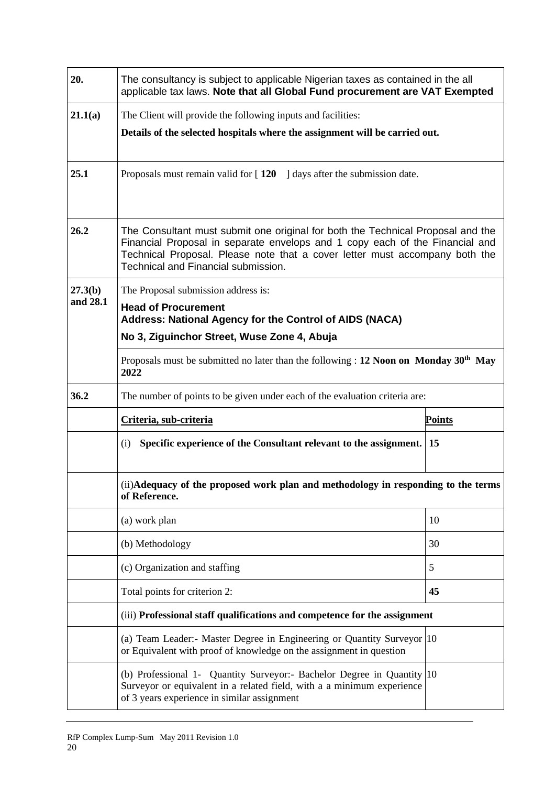| 20.                                | The consultancy is subject to applicable Nigerian taxes as contained in the all<br>applicable tax laws. Note that all Global Fund procurement are VAT Exempted                                                                                                                        |               |  |  |  |
|------------------------------------|---------------------------------------------------------------------------------------------------------------------------------------------------------------------------------------------------------------------------------------------------------------------------------------|---------------|--|--|--|
| 21.1(a)                            | The Client will provide the following inputs and facilities:                                                                                                                                                                                                                          |               |  |  |  |
|                                    | Details of the selected hospitals where the assignment will be carried out.                                                                                                                                                                                                           |               |  |  |  |
| 25.1                               | Proposals must remain valid for $[120 \t ]$ days after the submission date.                                                                                                                                                                                                           |               |  |  |  |
| 26.2                               | The Consultant must submit one original for both the Technical Proposal and the<br>Financial Proposal in separate envelops and 1 copy each of the Financial and<br>Technical Proposal. Please note that a cover letter must accompany both the<br>Technical and Financial submission. |               |  |  |  |
| 27.3(b)                            | The Proposal submission address is:                                                                                                                                                                                                                                                   |               |  |  |  |
| and 28.1                           | <b>Head of Procurement</b><br><b>Address: National Agency for the Control of AIDS (NACA)</b>                                                                                                                                                                                          |               |  |  |  |
|                                    | No 3, Ziguinchor Street, Wuse Zone 4, Abuja                                                                                                                                                                                                                                           |               |  |  |  |
|                                    | Proposals must be submitted no later than the following : 12 Noon on Monday $30th$ May<br>2022                                                                                                                                                                                        |               |  |  |  |
| 36.2                               | The number of points to be given under each of the evaluation criteria are:                                                                                                                                                                                                           |               |  |  |  |
|                                    | Criteria, sub-criteria                                                                                                                                                                                                                                                                | <b>Points</b> |  |  |  |
|                                    | Specific experience of the Consultant relevant to the assignment. 15<br>(i)                                                                                                                                                                                                           |               |  |  |  |
|                                    | (ii) Adequacy of the proposed work plan and methodology in responding to the terms<br>of Reference.                                                                                                                                                                                   |               |  |  |  |
|                                    | (a) work plan                                                                                                                                                                                                                                                                         | 10            |  |  |  |
|                                    | (b) Methodology                                                                                                                                                                                                                                                                       | 30            |  |  |  |
| (c) Organization and staffing<br>5 |                                                                                                                                                                                                                                                                                       |               |  |  |  |
|                                    | 45<br>Total points for criterion 2:                                                                                                                                                                                                                                                   |               |  |  |  |
|                                    | (iii) Professional staff qualifications and competence for the assignment                                                                                                                                                                                                             |               |  |  |  |
|                                    | (a) Team Leader:- Master Degree in Engineering or Quantity Surveyor 10<br>or Equivalent with proof of knowledge on the assignment in question                                                                                                                                         |               |  |  |  |
|                                    | (b) Professional 1- Quantity Surveyor:- Bachelor Degree in Quantity 10<br>Surveyor or equivalent in a related field, with a a minimum experience<br>of 3 years experience in similar assignment                                                                                       |               |  |  |  |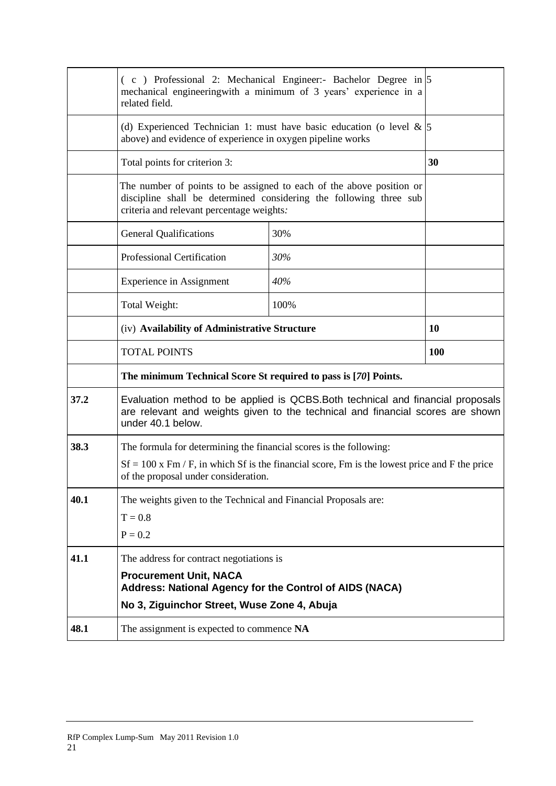|      | $(c)$ Professional 2: Mechanical Engineer:- Bachelor Degree in $ 5$<br>mechanical engineering with a minimum of 3 years' experience in a<br>related field.                              |                                                                         |    |
|------|-----------------------------------------------------------------------------------------------------------------------------------------------------------------------------------------|-------------------------------------------------------------------------|----|
|      | above) and evidence of experience in oxygen pipeline works                                                                                                                              | (d) Experienced Technician 1: must have basic education (o level $\&$ 5 |    |
|      | Total points for criterion 3:                                                                                                                                                           |                                                                         | 30 |
|      | The number of points to be assigned to each of the above position or<br>discipline shall be determined considering the following three sub<br>criteria and relevant percentage weights. |                                                                         |    |
|      | <b>General Qualifications</b>                                                                                                                                                           | 30%                                                                     |    |
|      | Professional Certification                                                                                                                                                              | 30%                                                                     |    |
|      | <b>Experience in Assignment</b>                                                                                                                                                         | 40%                                                                     |    |
|      | Total Weight:                                                                                                                                                                           | 100%                                                                    |    |
|      | (iv) Availability of Administrative Structure                                                                                                                                           |                                                                         | 10 |
|      | <b>TOTAL POINTS</b>                                                                                                                                                                     | <b>100</b>                                                              |    |
|      | The minimum Technical Score St required to pass is [70] Points.                                                                                                                         |                                                                         |    |
| 37.2 | Evaluation method to be applied is QCBS. Both technical and financial proposals<br>are relevant and weights given to the technical and financial scores are shown<br>under 40.1 below.  |                                                                         |    |
| 38.3 | The formula for determining the financial scores is the following:                                                                                                                      |                                                                         |    |
|      | $Sf = 100$ x Fm / F, in which Sf is the financial score, Fm is the lowest price and F the price<br>of the proposal under consideration.                                                 |                                                                         |    |
| 40.1 | The weights given to the Technical and Financial Proposals are:                                                                                                                         |                                                                         |    |
|      | $T = 0.8$                                                                                                                                                                               |                                                                         |    |
|      | $P = 0.2$                                                                                                                                                                               |                                                                         |    |
| 41.1 | The address for contract negotiations is                                                                                                                                                |                                                                         |    |
|      | <b>Procurement Unit, NACA</b><br>Address: National Agency for the Control of AIDS (NACA)                                                                                                |                                                                         |    |
|      | No 3, Ziguinchor Street, Wuse Zone 4, Abuja                                                                                                                                             |                                                                         |    |
| 48.1 | The assignment is expected to commence NA                                                                                                                                               |                                                                         |    |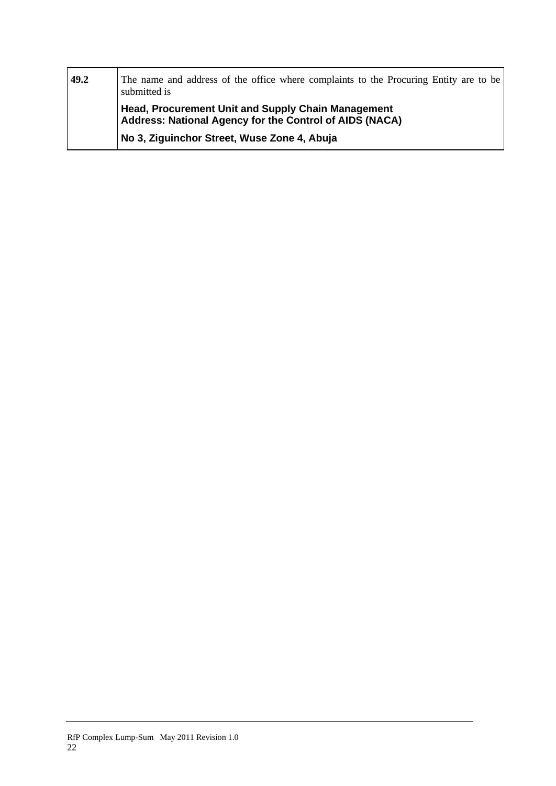| 49.2 | The name and address of the office where complaints to the Procuring Entity are to be<br>submitted is                |  |  |  |
|------|----------------------------------------------------------------------------------------------------------------------|--|--|--|
|      | <b>Head, Procurement Unit and Supply Chain Management</b><br>Address: National Agency for the Control of AIDS (NACA) |  |  |  |
|      | No 3, Ziguinchor Street, Wuse Zone 4, Abuja                                                                          |  |  |  |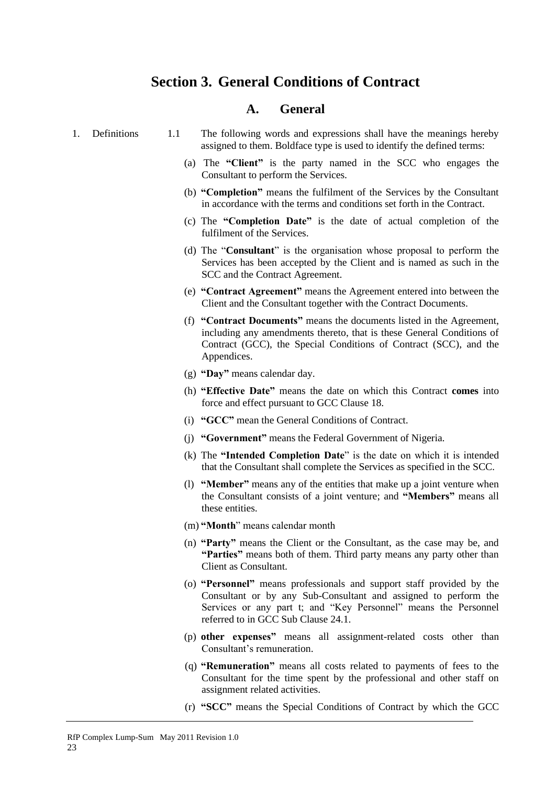# <span id="page-31-0"></span>**Section 3. General Conditions of Contract**

# **A. General**

<span id="page-31-2"></span><span id="page-31-1"></span>

| 1. | Definitions | The following words and expressions shall have the meanings hereby     |
|----|-------------|------------------------------------------------------------------------|
|    |             | assigned to them. Boldface type is used to identify the defined terms: |

- (a) The **"Client"** is the party named in the SCC who engages the Consultant to perform the Services.
- (b) **"Completion"** means the fulfilment of the Services by the Consultant in accordance with the terms and conditions set forth in the Contract.
- (c) The **"Completion Date"** is the date of actual completion of the fulfilment of the Services.
- (d) The "**Consultant**" is the organisation whose proposal to perform the Services has been accepted by the Client and is named as such in the SCC and the Contract Agreement.
- (e) **"Contract Agreement"** means the Agreement entered into between the Client and the Consultant together with the Contract Documents.
- (f) **"Contract Documents"** means the documents listed in the Agreement, including any amendments thereto, that is these General Conditions of Contract (GCC), the Special Conditions of Contract (SCC), and the Appendices.
- (g) **"Day"** means calendar day.
- (h) **"Effective Date"** means the date on which this Contract **comes** into force and effect pursuant to GCC Clause 18.
- (i) **"GCC"** mean the General Conditions of Contract.
- (j) **"Government"** means the Federal Government of Nigeria.
- (k) The **"Intended Completion Date**" is the date on which it is intended that the Consultant shall complete the Services as specified in the SCC.
- (l) **"Member"** means any of the entities that make up a joint venture when the Consultant consists of a joint venture; and **"Members"** means all these entities.
- (m) **"Month**" means calendar month
- (n) **"Party"** means the Client or the Consultant, as the case may be, and **"Parties"** means both of them. Third party means any party other than Client as Consultant.
- (o) **"Personnel"** means professionals and support staff provided by the Consultant or by any Sub-Consultant and assigned to perform the Services or any part t; and "Key Personnel" means the Personnel referred to in GCC Sub Clause 24.1.
- (p) **other expenses"** means all assignment-related costs other than Consultant's remuneration.
- (q) **"Remuneration"** means all costs related to payments of fees to the Consultant for the time spent by the professional and other staff on assignment related activities.
- (r) **"SCC"** means the Special Conditions of Contract by which the GCC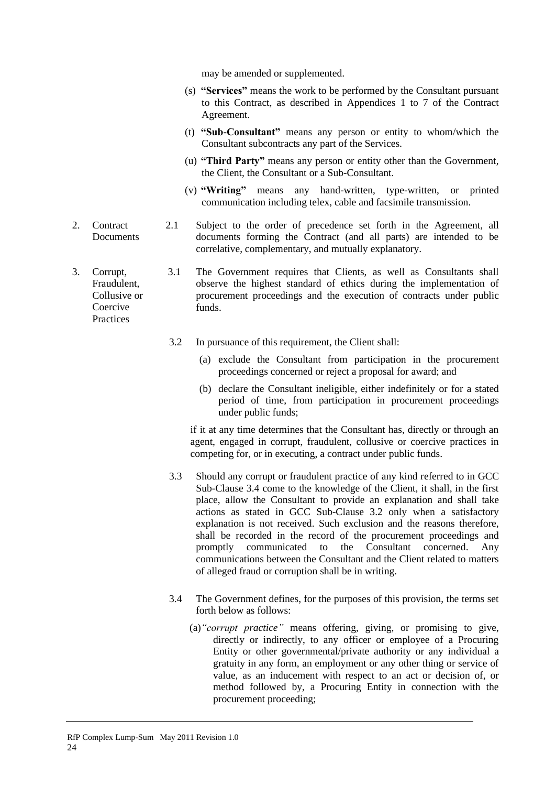may be amended or supplemented.

- (s) **"Services"** means the work to be performed by the Consultant pursuant to this Contract, as described in Appendices 1 to 7 of the Contract Agreement.
- (t) **"Sub-Consultant"** means any person or entity to whom/which the Consultant subcontracts any part of the Services.
- (u) **"Third Party"** means any person or entity other than the Government, the Client, the Consultant or a Sub-Consultant.
- (v) **"Writing"** means any hand-written, type-written, or printed communication including telex, cable and facsimile transmission.
- <span id="page-32-0"></span>2. Contract **Documents** 2.1 Subject to the order of precedence set forth in the Agreement, all documents forming the Contract (and all parts) are intended to be correlative, complementary, and mutually explanatory.

Fraudulent, Collusive or Coercive Practices 3.1 The Government requires that Clients, as well as Consultants shall observe the highest standard of ethics during the implementation of procurement proceedings and the execution of contracts under public funds.

- 3.2 In pursuance of this requirement, the Client shall:
	- (a) exclude the Consultant from participation in the procurement proceedings concerned or reject a proposal for award; and
	- (b) declare the Consultant ineligible, either indefinitely or for a stated period of time, from participation in procurement proceedings under public funds;

if it at any time determines that the Consultant has, directly or through an agent, engaged in corrupt, fraudulent, collusive or coercive practices in competing for, or in executing, a contract under public funds.

- 3.3 Should any corrupt or fraudulent practice of any kind referred to in GCC Sub-Clause 3.4 come to the knowledge of the Client, it shall, in the first place, allow the Consultant to provide an explanation and shall take actions as stated in GCC Sub-Clause 3.2 only when a satisfactory explanation is not received. Such exclusion and the reasons therefore, shall be recorded in the record of the procurement proceedings and promptly communicated to the Consultant concerned. Any communications between the Consultant and the Client related to matters of alleged fraud or corruption shall be in writing.
- 3.4 The Government defines, for the purposes of this provision, the terms set forth below as follows:
	- (a)*"corrupt practice"* means offering, giving, or promising to give, directly or indirectly, to any officer or employee of a Procuring Entity or other governmental/private authority or any individual a gratuity in any form, an employment or any other thing or service of value, as an inducement with respect to an act or decision of, or method followed by, a Procuring Entity in connection with the procurement proceeding;

24

<span id="page-32-1"></span>3. Corrupt,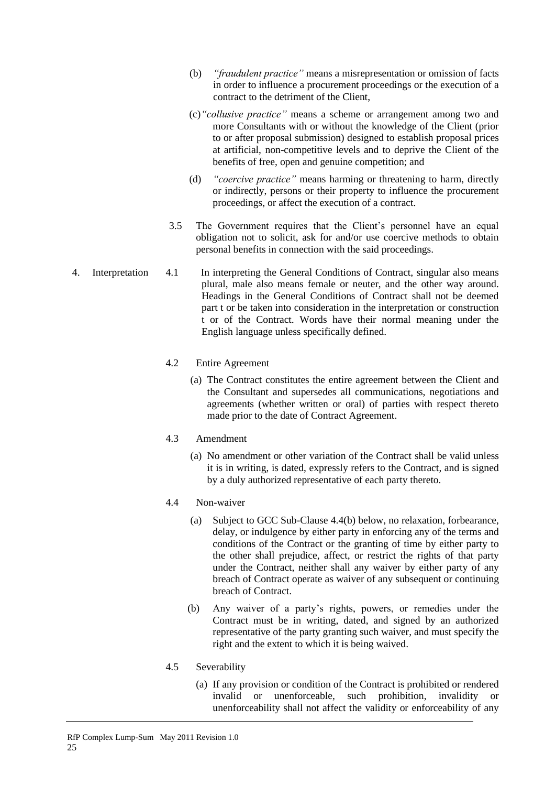- (b) *"fraudulent practice"* means a misrepresentation or omission of facts in order to influence a procurement proceedings or the execution of a contract to the detriment of the Client,
- (c)*"collusive practice"* means a scheme or arrangement among two and more Consultants with or without the knowledge of the Client (prior to or after proposal submission) designed to establish proposal prices at artificial, non-competitive levels and to deprive the Client of the benefits of free, open and genuine competition; and
- (d) *"coercive practice"* means harming or threatening to harm, directly or indirectly, persons or their property to influence the procurement proceedings, or affect the execution of a contract.
- 3.5 The Government requires that the Client's personnel have an equal obligation not to solicit, ask for and/or use coercive methods to obtain personal benefits in connection with the said proceedings.
- <span id="page-33-0"></span>4. Interpretation 4.1 In interpreting the General Conditions of Contract, singular also means plural, male also means female or neuter, and the other way around. Headings in the General Conditions of Contract shall not be deemed part t or be taken into consideration in the interpretation or construction t or of the Contract. Words have their normal meaning under the English language unless specifically defined.

# 4.2 Entire Agreement

(a) The Contract constitutes the entire agreement between the Client and the Consultant and supersedes all communications, negotiations and agreements (whether written or oral) of parties with respect thereto made prior to the date of Contract Agreement.

# 4.3 Amendment

(a) No amendment or other variation of the Contract shall be valid unless it is in writing, is dated, expressly refers to the Contract, and is signed by a duly authorized representative of each party thereto.

# 4.4 Non-waiver

- (a) Subject to GCC Sub-Clause 4.4(b) below, no relaxation, forbearance, delay, or indulgence by either party in enforcing any of the terms and conditions of the Contract or the granting of time by either party to the other shall prejudice, affect, or restrict the rights of that party under the Contract, neither shall any waiver by either party of any breach of Contract operate as waiver of any subsequent or continuing breach of Contract.
- (b) Any waiver of a party's rights, powers, or remedies under the Contract must be in writing, dated, and signed by an authorized representative of the party granting such waiver, and must specify the right and the extent to which it is being waived.

# 4.5 Severability

(a) If any provision or condition of the Contract is prohibited or rendered invalid or unenforceable, such prohibition, invalidity or unenforceability shall not affect the validity or enforceability of any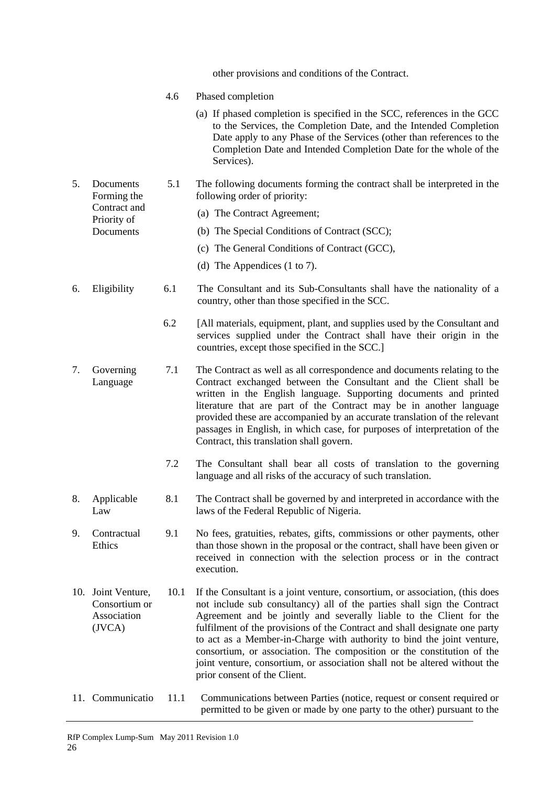<span id="page-34-6"></span><span id="page-34-5"></span><span id="page-34-4"></span><span id="page-34-3"></span><span id="page-34-2"></span><span id="page-34-1"></span><span id="page-34-0"></span>

|    |                                                                      |      | other provisions and conditions of the Contract.                                                                                                                                                                                                                                                                                                                                                                                                                                                                                                                               |
|----|----------------------------------------------------------------------|------|--------------------------------------------------------------------------------------------------------------------------------------------------------------------------------------------------------------------------------------------------------------------------------------------------------------------------------------------------------------------------------------------------------------------------------------------------------------------------------------------------------------------------------------------------------------------------------|
|    |                                                                      | 4.6  | Phased completion                                                                                                                                                                                                                                                                                                                                                                                                                                                                                                                                                              |
|    |                                                                      |      | (a) If phased completion is specified in the SCC, references in the GCC<br>to the Services, the Completion Date, and the Intended Completion<br>Date apply to any Phase of the Services (other than references to the<br>Completion Date and Intended Completion Date for the whole of the<br>Services).                                                                                                                                                                                                                                                                       |
| 5. | Documents<br>Forming the<br>Contract and<br>Priority of<br>Documents | 5.1  | The following documents forming the contract shall be interpreted in the<br>following order of priority:                                                                                                                                                                                                                                                                                                                                                                                                                                                                       |
|    |                                                                      |      | (a) The Contract Agreement;                                                                                                                                                                                                                                                                                                                                                                                                                                                                                                                                                    |
|    |                                                                      |      | (b) The Special Conditions of Contract (SCC);                                                                                                                                                                                                                                                                                                                                                                                                                                                                                                                                  |
|    |                                                                      |      | (c) The General Conditions of Contract (GCC),                                                                                                                                                                                                                                                                                                                                                                                                                                                                                                                                  |
|    |                                                                      |      | (d) The Appendices $(1 \text{ to } 7)$ .                                                                                                                                                                                                                                                                                                                                                                                                                                                                                                                                       |
| 6. | Eligibility                                                          | 6.1  | The Consultant and its Sub-Consultants shall have the nationality of a<br>country, other than those specified in the SCC.                                                                                                                                                                                                                                                                                                                                                                                                                                                      |
|    |                                                                      | 6.2  | [All materials, equipment, plant, and supplies used by the Consultant and<br>services supplied under the Contract shall have their origin in the<br>countries, except those specified in the SCC.]                                                                                                                                                                                                                                                                                                                                                                             |
| 7. | Governing<br>Language                                                | 7.1  | The Contract as well as all correspondence and documents relating to the<br>Contract exchanged between the Consultant and the Client shall be<br>written in the English language. Supporting documents and printed<br>literature that are part of the Contract may be in another language<br>provided these are accompanied by an accurate translation of the relevant<br>passages in English, in which case, for purposes of interpretation of the<br>Contract, this translation shall govern.                                                                                |
|    |                                                                      | 7.2  | The Consultant shall bear all costs of translation to the governing<br>language and all risks of the accuracy of such translation.                                                                                                                                                                                                                                                                                                                                                                                                                                             |
| 8. | Applicable<br>Law                                                    | 8.1  | The Contract shall be governed by and interpreted in accordance with the<br>laws of the Federal Republic of Nigeria.                                                                                                                                                                                                                                                                                                                                                                                                                                                           |
| 9. | Contractual<br>Ethics                                                | 9.1  | No fees, gratuities, rebates, gifts, commissions or other payments, other<br>than those shown in the proposal or the contract, shall have been given or<br>received in connection with the selection process or in the contract<br>execution.                                                                                                                                                                                                                                                                                                                                  |
|    | 10. Joint Venture,<br>Consortium or<br>Association<br>(IVCA)         | 10.1 | If the Consultant is a joint venture, consortium, or association, (this does<br>not include sub consultancy) all of the parties shall sign the Contract<br>Agreement and be jointly and severally liable to the Client for the<br>fulfilment of the provisions of the Contract and shall designate one party<br>to act as a Member-in-Charge with authority to bind the joint venture,<br>consortium, or association. The composition or the constitution of the<br>joint venture, consortium, or association shall not be altered without the<br>prior consent of the Client. |
|    | 11. Communicatio                                                     | 11.1 | Communications between Parties (notice, request or consent required or<br>permitted to be given or made by one party to the other) pursuant to the                                                                                                                                                                                                                                                                                                                                                                                                                             |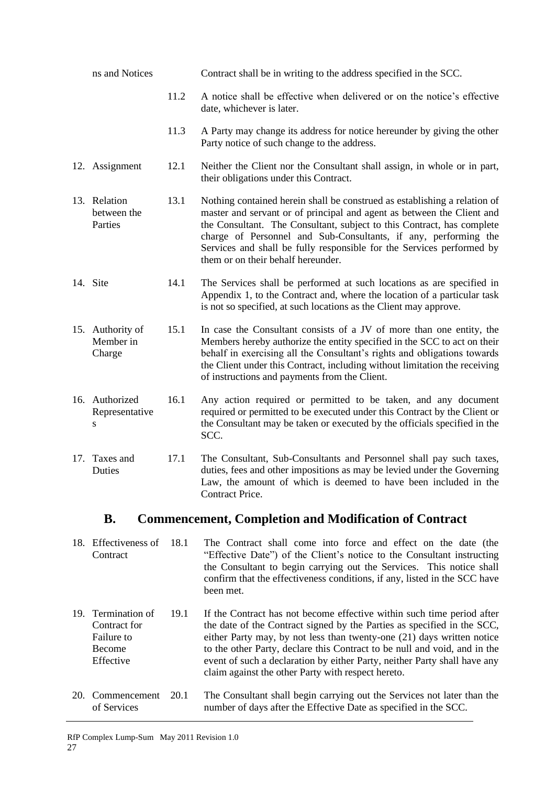<span id="page-35-2"></span><span id="page-35-1"></span><span id="page-35-0"></span>

| ns and Notices                                                            |      | Contract shall be in writing to the address specified in the SCC.                                                                                                                                                                                                                                                                                                                                               |  |
|---------------------------------------------------------------------------|------|-----------------------------------------------------------------------------------------------------------------------------------------------------------------------------------------------------------------------------------------------------------------------------------------------------------------------------------------------------------------------------------------------------------------|--|
|                                                                           | 11.2 | A notice shall be effective when delivered or on the notice's effective<br>date, whichever is later.                                                                                                                                                                                                                                                                                                            |  |
|                                                                           | 11.3 | A Party may change its address for notice hereunder by giving the other<br>Party notice of such change to the address.                                                                                                                                                                                                                                                                                          |  |
| 12. Assignment                                                            | 12.1 | Neither the Client nor the Consultant shall assign, in whole or in part,<br>their obligations under this Contract.                                                                                                                                                                                                                                                                                              |  |
| 13. Relation<br>between the<br>Parties                                    | 13.1 | Nothing contained herein shall be construed as establishing a relation of<br>master and servant or of principal and agent as between the Client and<br>the Consultant. The Consultant, subject to this Contract, has complete<br>charge of Personnel and Sub-Consultants, if any, performing the<br>Services and shall be fully responsible for the Services performed by<br>them or on their behalf hereunder. |  |
| 14. Site                                                                  | 14.1 | The Services shall be performed at such locations as are specified in<br>Appendix 1, to the Contract and, where the location of a particular task<br>is not so specified, at such locations as the Client may approve.                                                                                                                                                                                          |  |
| 15. Authority of<br>Member in<br>Charge                                   | 15.1 | In case the Consultant consists of a JV of more than one entity, the<br>Members hereby authorize the entity specified in the SCC to act on their<br>behalf in exercising all the Consultant's rights and obligations towards<br>the Client under this Contract, including without limitation the receiving<br>of instructions and payments from the Client.                                                     |  |
| 16. Authorized<br>Representative<br>S                                     | 16.1 | Any action required or permitted to be taken, and any document<br>required or permitted to be executed under this Contract by the Client or<br>the Consultant may be taken or executed by the officials specified in the<br>SCC.                                                                                                                                                                                |  |
| 17. Taxes and<br>Duties                                                   | 17.1 | The Consultant, Sub-Consultants and Personnel shall pay such taxes,<br>duties, fees and other impositions as may be levied under the Governing<br>Law, the amount of which is deemed to have been included in the<br>Contract Price.                                                                                                                                                                            |  |
| <b>B.</b><br><b>Commencement, Completion and Modification of Contract</b> |      |                                                                                                                                                                                                                                                                                                                                                                                                                 |  |
| 18. Effectiveness of<br>Contract                                          | 18.1 | The Contract shall come into force and effect on the date (the<br>"Effective Date") of the Client's notice to the Consultant instructing                                                                                                                                                                                                                                                                        |  |

- <span id="page-35-7"></span><span id="page-35-6"></span><span id="page-35-5"></span><span id="page-35-4"></span><span id="page-35-3"></span>the Consultant to begin carrying out the Services. This notice shall confirm that the effectiveness conditions, if any, listed in the SCC have been met. 19. Termination of 19.1 If the Contract has not become effective within such time period after
- <span id="page-35-8"></span>Contract for Failure to Become Effective the date of the Contract signed by the Parties as specified in the SCC, either Party may, by not less than twenty-one (21) days written notice to the other Party, declare this Contract to be null and void, and in the event of such a declaration by either Party, neither Party shall have any claim against the other Party with respect hereto.
- <span id="page-35-9"></span>20. Commencement of Services 20.1 The Consultant shall begin carrying out the Services not later than the number of days after the Effective Date as specified in the SCC.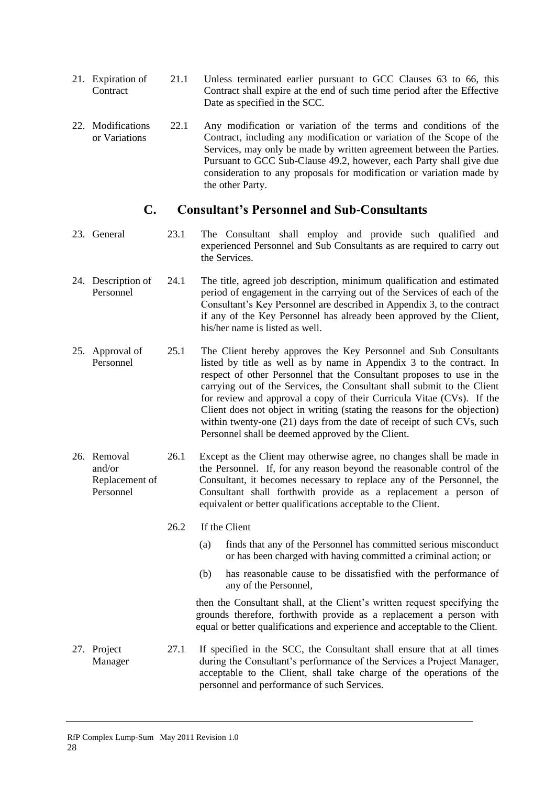- 21. Expiration of **Contract** 21.1 Unless terminated earlier pursuant to GCC Clauses 63 to 66, this Contract shall expire at the end of such time period after the Effective Date as specified in the SCC.
- 22. Modifications or Variations 22.1 Any modification or variation of the terms and conditions of the Contract, including any modification or variation of the Scope of the Services, may only be made by written agreement between the Parties. Pursuant to GCC Sub-Clause 49.2, however, each Party shall give due consideration to any proposals for modification or variation made by the other Party.

### **C. Consultant's Personnel and Sub-Consultants**

- 23. General 23.1 The Consultant shall employ and provide such qualified and experienced Personnel and Sub Consultants as are required to carry out the Services.
- 24. Description of Personnel 24.1 The title, agreed job description, minimum qualification and estimated period of engagement in the carrying out of the Services of each of the Consultant's Key Personnel are described in Appendix 3, to the contract if any of the Key Personnel has already been approved by the Client, his/her name is listed as well.
- 25. Approval of Personnel 25.1 The Client hereby approves the Key Personnel and Sub Consultants listed by title as well as by name in Appendix 3 to the contract. In respect of other Personnel that the Consultant proposes to use in the carrying out of the Services, the Consultant shall submit to the Client for review and approval a copy of their Curricula Vitae (CVs). If the Client does not object in writing (stating the reasons for the objection) within twenty-one (21) days from the date of receipt of such CVs, such Personnel shall be deemed approved by the Client.
- 26. Removal and/or Replacement of Personnel 26.1 Except as the Client may otherwise agree, no changes shall be made in the Personnel. If, for any reason beyond the reasonable control of the Consultant, it becomes necessary to replace any of the Personnel, the Consultant shall forthwith provide as a replacement a person of equivalent or better qualifications acceptable to the Client.

#### 26.2 If the Client

- (a) finds that any of the Personnel has committed serious misconduct or has been charged with having committed a criminal action; or
- (b) has reasonable cause to be dissatisfied with the performance of any of the Personnel,

then the Consultant shall, at the Client's written request specifying the grounds therefore, forthwith provide as a replacement a person with equal or better qualifications and experience and acceptable to the Client.

27. Project Manager 27.1 If specified in the SCC, the Consultant shall ensure that at all times during the Consultant's performance of the Services a Project Manager, acceptable to the Client, shall take charge of the operations of the personnel and performance of such Services.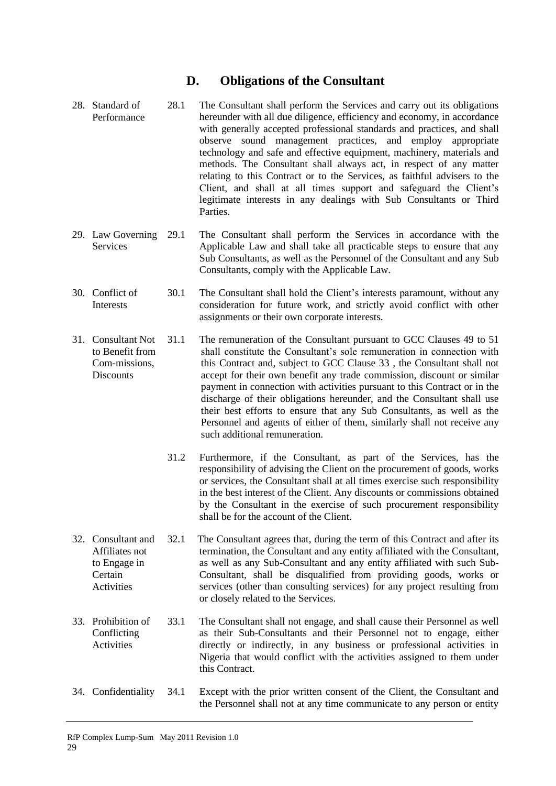### **D. Obligations of the Consultant**

- 28. Standard of Performance 28.1 The Consultant shall perform the Services and carry out its obligations hereunder with all due diligence, efficiency and economy, in accordance with generally accepted professional standards and practices, and shall observe sound management practices, and employ appropriate technology and safe and effective equipment, machinery, materials and methods. The Consultant shall always act, in respect of any matter relating to this Contract or to the Services, as faithful advisers to the Client, and shall at all times support and safeguard the Client's legitimate interests in any dealings with Sub Consultants or Third Parties.
- 29. Law Governing Services 29.1 The Consultant shall perform the Services in accordance with the Applicable Law and shall take all practicable steps to ensure that any Sub Consultants, as well as the Personnel of the Consultant and any Sub Consultants, comply with the Applicable Law.
- 30. Conflict of **Interests** 30.1 The Consultant shall hold the Client's interests paramount, without any consideration for future work, and strictly avoid conflict with other assignments or their own corporate interests.
- 31. Consultant Not to Benefit from Com-missions, **Discounts** 31.1 The remuneration of the Consultant pursuant to GCC Clauses 49 to 51 shall constitute the Consultant's sole remuneration in connection with this Contract and, subject to GCC Clause 33 , the Consultant shall not accept for their own benefit any trade commission, discount or similar payment in connection with activities pursuant to this Contract or in the discharge of their obligations hereunder, and the Consultant shall use their best efforts to ensure that any Sub Consultants, as well as the Personnel and agents of either of them, similarly shall not receive any such additional remuneration.
	- 31.2 Furthermore, if the Consultant, as part of the Services, has the responsibility of advising the Client on the procurement of goods, works or services, the Consultant shall at all times exercise such responsibility in the best interest of the Client. Any discounts or commissions obtained by the Consultant in the exercise of such procurement responsibility shall be for the account of the Client.
- 32. Consultant and Affiliates not to Engage in **Certain** Activities 32.1 The Consultant agrees that, during the term of this Contract and after its termination, the Consultant and any entity affiliated with the Consultant, as well as any Sub-Consultant and any entity affiliated with such Sub-Consultant, shall be disqualified from providing goods, works or services (other than consulting services) for any project resulting from or closely related to the Services.
- 33. Prohibition of Conflicting Activities 33.1 The Consultant shall not engage, and shall cause their Personnel as well as their Sub-Consultants and their Personnel not to engage, either directly or indirectly, in any business or professional activities in Nigeria that would conflict with the activities assigned to them under this Contract.
- 34. Confidentiality 34.1 Except with the prior written consent of the Client, the Consultant and the Personnel shall not at any time communicate to any person or entity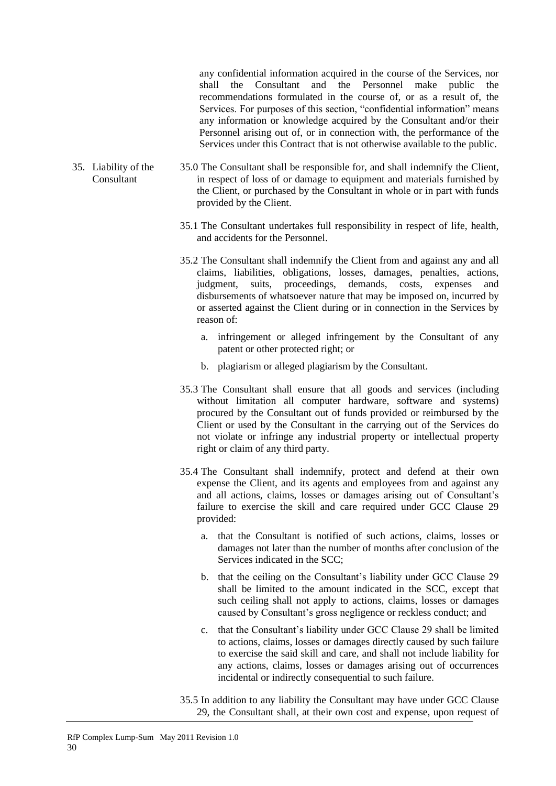any confidential information acquired in the course of the Services, nor shall the Consultant and the Personnel make public the recommendations formulated in the course of, or as a result of, the Services. For purposes of this section, "confidential information" means any information or knowledge acquired by the Consultant and/or their Personnel arising out of, or in connection with, the performance of the Services under this Contract that is not otherwise available to the public.

- 35. Liability of the Consultant 35.0 The Consultant shall be responsible for, and shall indemnify the Client, in respect of loss of or damage to equipment and materials furnished by the Client, or purchased by the Consultant in whole or in part with funds provided by the Client.
	- 35.1 The Consultant undertakes full responsibility in respect of life, health, and accidents for the Personnel.
	- 35.2 The Consultant shall indemnify the Client from and against any and all claims, liabilities, obligations, losses, damages, penalties, actions, judgment, suits, proceedings, demands, costs, expenses and disbursements of whatsoever nature that may be imposed on, incurred by or asserted against the Client during or in connection in the Services by reason of:
		- a. infringement or alleged infringement by the Consultant of any patent or other protected right; or
		- b. plagiarism or alleged plagiarism by the Consultant.
	- 35.3 The Consultant shall ensure that all goods and services (including without limitation all computer hardware, software and systems) procured by the Consultant out of funds provided or reimbursed by the Client or used by the Consultant in the carrying out of the Services do not violate or infringe any industrial property or intellectual property right or claim of any third party.
	- 35.4 The Consultant shall indemnify, protect and defend at their own expense the Client, and its agents and employees from and against any and all actions, claims, losses or damages arising out of Consultant's failure to exercise the skill and care required under GCC Clause 29 provided:
		- a. that the Consultant is notified of such actions, claims, losses or damages not later than the number of months after conclusion of the Services indicated in the SCC;
		- b. that the ceiling on the Consultant's liability under GCC Clause 29 shall be limited to the amount indicated in the SCC, except that such ceiling shall not apply to actions, claims, losses or damages caused by Consultant's gross negligence or reckless conduct; and
		- c. that the Consultant's liability under GCC Clause 29 shall be limited to actions, claims, losses or damages directly caused by such failure to exercise the said skill and care, and shall not include liability for any actions, claims, losses or damages arising out of occurrences incidental or indirectly consequential to such failure.
	- 35.5 In addition to any liability the Consultant may have under GCC Clause 29, the Consultant shall, at their own cost and expense, upon request of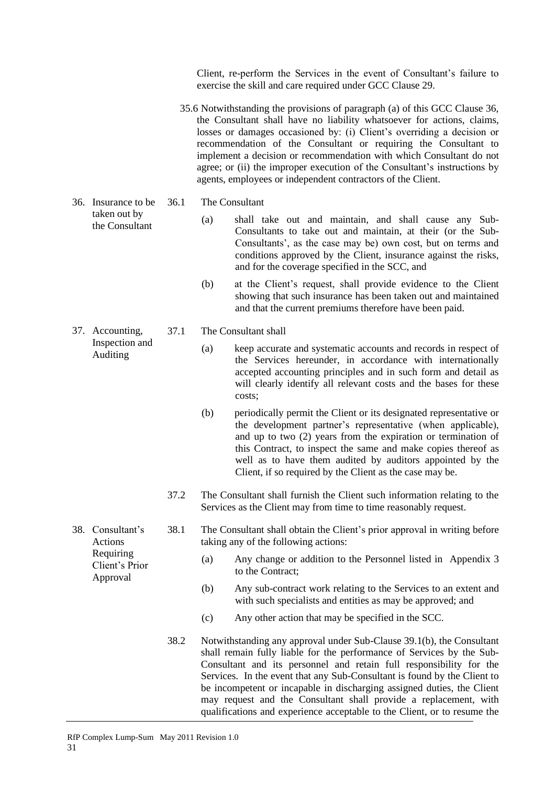Client, re-perform the Services in the event of Consultant's failure to exercise the skill and care required under GCC Clause 29.

- 35.6 Notwithstanding the provisions of paragraph (a) of this GCC Clause 36, the Consultant shall have no liability whatsoever for actions, claims, losses or damages occasioned by: (i) Client's overriding a decision or recommendation of the Consultant or requiring the Consultant to implement a decision or recommendation with which Consultant do not agree; or (ii) the improper execution of the Consultant's instructions by agents, employees or independent contractors of the Client.
- 36. Insurance to be 36.1 The Consultant
	- (a) shall take out and maintain, and shall cause any Sub-Consultants to take out and maintain, at their (or the Sub-Consultants', as the case may be) own cost, but on terms and conditions approved by the Client, insurance against the risks, and for the coverage specified in the SCC, and
	- (b) at the Client's request, shall provide evidence to the Client showing that such insurance has been taken out and maintained and that the current premiums therefore have been paid.

### 37.1 The Consultant shall

- (a) keep accurate and systematic accounts and records in respect of the Services hereunder, in accordance with internationally accepted accounting principles and in such form and detail as will clearly identify all relevant costs and the bases for these costs;
- (b) periodically permit the Client or its designated representative or the development partner's representative (when applicable), and up to two (2) years from the expiration or termination of this Contract, to inspect the same and make copies thereof as well as to have them audited by auditors appointed by the Client, if so required by the Client as the case may be.
- 37.2 The Consultant shall furnish the Client such information relating to the Services as the Client may from time to time reasonably request.
- 38.1 The Consultant shall obtain the Client's prior approval in writing before taking any of the following actions:
	- (a) Any change or addition to the Personnel listed in Appendix 3 to the Contract;
	- (b) Any sub-contract work relating to the Services to an extent and with such specialists and entities as may be approved; and
	- (c) Any other action that may be specified in the SCC.
	- 38.2 Notwithstanding any approval under Sub-Clause 39.1(b), the Consultant shall remain fully liable for the performance of Services by the Sub-Consultant and its personnel and retain full responsibility for the Services. In the event that any Sub-Consultant is found by the Client to be incompetent or incapable in discharging assigned duties, the Client may request and the Consultant shall provide a replacement, with qualifications and experience acceptable to the Client, or to resume the

31

taken out by the Consultant

37. Accounting, Inspection and Auditing

38. Consultant's Actions Requiring Client's Prior Approval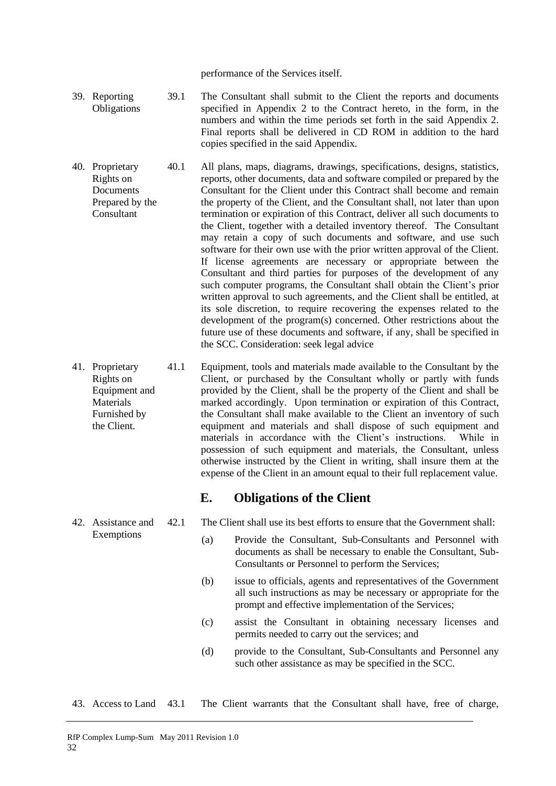performance of the Services itself.

- 39. Reporting **Obligations** 39.1 The Consultant shall submit to the Client the reports and documents specified in Appendix 2 to the Contract hereto, in the form, in the numbers and within the time periods set forth in the said Appendix 2. Final reports shall be delivered in CD ROM in addition to the hard copies specified in the said Appendix.
- 40. Proprietary Rights on **Documents** Prepared by the Consultant 40.1 All plans, maps, diagrams, drawings, specifications, designs, statistics, reports, other documents, data and software compiled or prepared by the Consultant for the Client under this Contract shall become and remain the property of the Client, and the Consultant shall, not later than upon termination or expiration of this Contract, deliver all such documents to the Client, together with a detailed inventory thereof. The Consultant may retain a copy of such documents and software, and use such software for their own use with the prior written approval of the Client. If license agreements are necessary or appropriate between the Consultant and third parties for purposes of the development of any such computer programs, the Consultant shall obtain the Client's prior written approval to such agreements, and the Client shall be entitled, at its sole discretion, to require recovering the expenses related to the development of the program(s) concerned. Other restrictions about the future use of these documents and software, if any, shall be specified in the SCC. Consideration: seek legal advice
- 41. Proprietary Rights on Equipment and **Materials** Furnished by the Client. 41.1 Equipment, tools and materials made available to the Consultant by the Client, or purchased by the Consultant wholly or partly with funds provided by the Client, shall be the property of the Client and shall be marked accordingly. Upon termination or expiration of this Contract, the Consultant shall make available to the Client an inventory of such equipment and materials and shall dispose of such equipment and materials in accordance with the Client's instructions. While in possession of such equipment and materials, the Consultant, unless otherwise instructed by the Client in writing, shall insure them at the expense of the Client in an amount equal to their full replacement value.

### **E. Obligations of the Client**

- 42.1 The Client shall use its best efforts to ensure that the Government shall:
	- (a) Provide the Consultant, Sub-Consultants and Personnel with documents as shall be necessary to enable the Consultant, Sub-Consultants or Personnel to perform the Services;
	- (b) issue to officials, agents and representatives of the Government all such instructions as may be necessary or appropriate for the prompt and effective implementation of the Services;
	- (c) assist the Consultant in obtaining necessary licenses and permits needed to carry out the services; and
	- (d) provide to the Consultant, Sub-Consultants and Personnel any such other assistance as may be specified in the SCC.
- 43. Access to Land 43.1 The Client warrants that the Consultant shall have, free of charge,

32

42. Assistance and Exemptions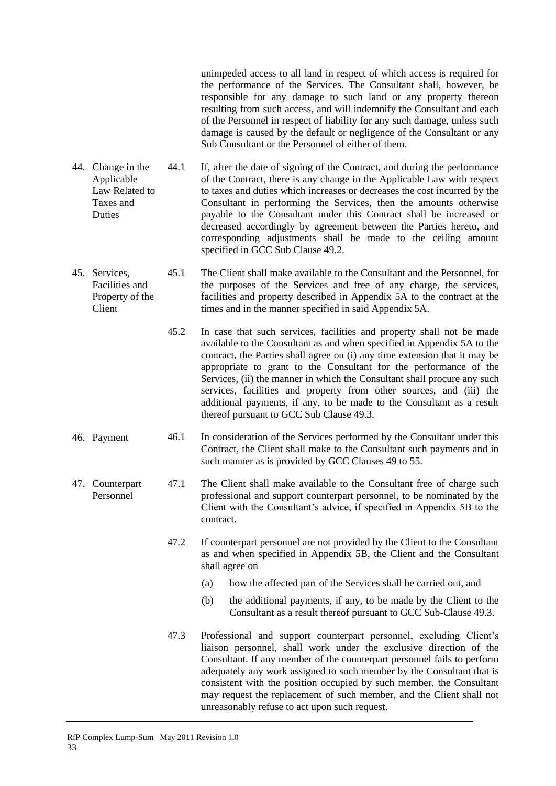unimpeded access to all land in respect of which access is required for the performance of the Services. The Consultant shall, however, be responsible for any damage to such land or any property thereon resulting from such access, and will indemnify the Consultant and each of the Personnel in respect of liability for any such damage, unless such damage is caused by the default or negligence of the Consultant or any Sub Consultant or the Personnel of either of them. 44. Change in the Applicable Law Related to Taxes and **Duties** 44.1 If, after the date of signing of the Contract, and during the performance of the Contract, there is any change in the Applicable Law with respect to taxes and duties which increases or decreases the cost incurred by the Consultant in performing the Services, then the amounts otherwise payable to the Consultant under this Contract shall be increased or decreased accordingly by agreement between the Parties hereto, and corresponding adjustments shall be made to the ceiling amount specified in GCC Sub Clause 49.2. 45. Services, Facilities and Property of the Client 45.1 The Client shall make available to the Consultant and the Personnel, for the purposes of the Services and free of any charge, the services, facilities and property described in Appendix 5A to the contract at the times and in the manner specified in said Appendix 5A. 45.2 In case that such services, facilities and property shall not be made available to the Consultant as and when specified in Appendix 5A to the contract, the Parties shall agree on (i) any time extension that it may be appropriate to grant to the Consultant for the performance of the Services, (ii) the manner in which the Consultant shall procure any such services, facilities and property from other sources, and (iii) the additional payments, if any, to be made to the Consultant as a result thereof pursuant to GCC Sub Clause 49.3. 46. Payment 46.1 In consideration of the Services performed by the Consultant under this Contract, the Client shall make to the Consultant such payments and in such manner as is provided by GCC Clauses 49 to 55. 47. Counterpart Personnel 47.1 The Client shall make available to the Consultant free of charge such professional and support counterpart personnel, to be nominated by the Client with the Consultant's advice, if specified in Appendix 5B to the contract. 47.2 If counterpart personnel are not provided by the Client to the Consultant as and when specified in Appendix 5B, the Client and the Consultant shall agree on (a) how the affected part of the Services shall be carried out, and (b) the additional payments, if any, to be made by the Client to the Consultant as a result thereof pursuant to GCC Sub-Clause 49.3. 47.3 Professional and support counterpart personnel, excluding Client's liaison personnel, shall work under the exclusive direction of the Consultant. If any member of the counterpart personnel fails to perform adequately any work assigned to such member by the Consultant that is consistent with the position occupied by such member, the Consultant may request the replacement of such member, and the Client shall not unreasonably refuse to act upon such request.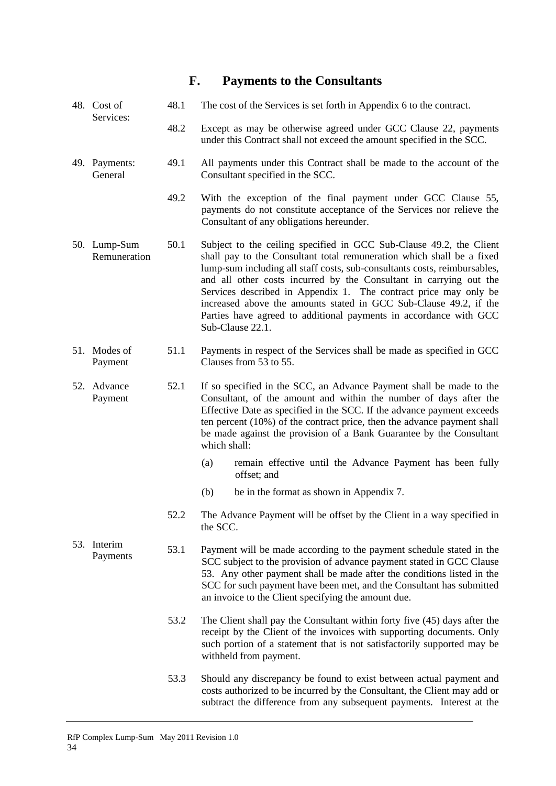#### 48. Cost of Services: 48.1 The cost of the Services is set forth in Appendix 6 to the contract. 48.2 Except as may be otherwise agreed under GCC Clause 22, payments under this Contract shall not exceed the amount specified in the SCC. 49. Payments: General 49.1 All payments under this Contract shall be made to the account of the Consultant specified in the SCC. 49.2 With the exception of the final payment under GCC Clause 55, payments do not constitute acceptance of the Services nor relieve the Consultant of any obligations hereunder. 50. Lump-Sum Remuneration 50.1 Subject to the ceiling specified in GCC Sub-Clause 49.2, the Client shall pay to the Consultant total remuneration which shall be a fixed lump-sum including all staff costs, sub-consultants costs, reimbursables, and all other costs incurred by the Consultant in carrying out the Services described in Appendix 1. The contract price may only be increased above the amounts stated in GCC Sub-Clause 49.2, if the Parties have agreed to additional payments in accordance with GCC Sub-Clause 22.1. 51. Modes of Payment 51.1 Payments in respect of the Services shall be made as specified in GCC Clauses from 53 to 55. 52. Advance Payment 52.1 If so specified in the SCC, an Advance Payment shall be made to the Consultant, of the amount and within the number of days after the Effective Date as specified in the SCC. If the advance payment exceeds ten percent (10%) of the contract price, then the advance payment shall be made against the provision of a Bank Guarantee by the Consultant which shall: (a) remain effective until the Advance Payment has been fully offset; and (b) be in the format as shown in Appendix 7. 52.2 The Advance Payment will be offset by the Client in a way specified in the SCC. 53. Interim Fragments 53.1 Payment will be made according to the payment schedule stated in the payments SCC subject to the provision of advance payment stated in GCC Clause 53. Any other payment shall be made after the conditions listed in the SCC for such payment have been met, and the Consultant has submitted an invoice to the Client specifying the amount due. 53.2 The Client shall pay the Consultant within forty five (45) days after the receipt by the Client of the invoices with supporting documents. Only such portion of a statement that is not satisfactorily supported may be

**F. Payments to the Consultants**

53.3 Should any discrepancy be found to exist between actual payment and costs authorized to be incurred by the Consultant, the Client may add or subtract the difference from any subsequent payments. Interest at the

34

withheld from payment.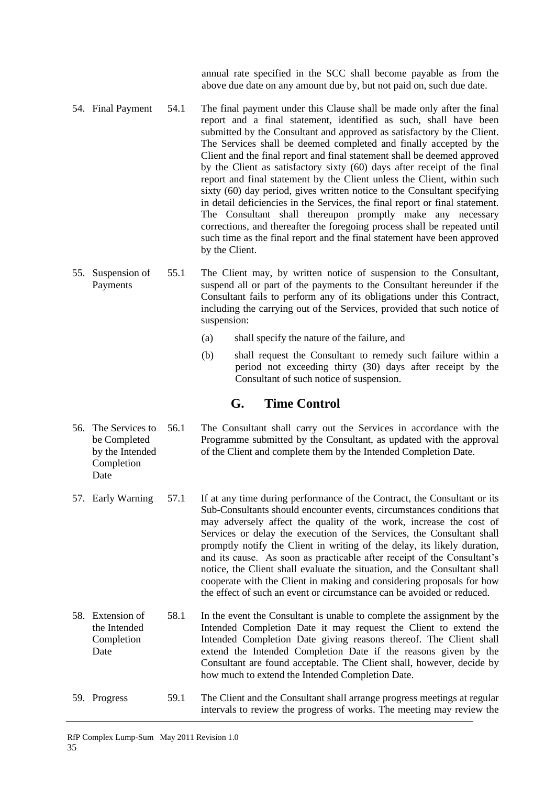annual rate specified in the SCC shall become payable as from the above due date on any amount due by, but not paid on, such due date.

- 54. Final Payment 54.1 The final payment under this Clause shall be made only after the final report and a final statement, identified as such, shall have been submitted by the Consultant and approved as satisfactory by the Client. The Services shall be deemed completed and finally accepted by the Client and the final report and final statement shall be deemed approved by the Client as satisfactory sixty (60) days after receipt of the final report and final statement by the Client unless the Client, within such sixty (60) day period, gives written notice to the Consultant specifying in detail deficiencies in the Services, the final report or final statement. The Consultant shall thereupon promptly make any necessary corrections, and thereafter the foregoing process shall be repeated until such time as the final report and the final statement have been approved by the Client.
- 55. Suspension of Payments 55.1 The Client may, by written notice of suspension to the Consultant, suspend all or part of the payments to the Consultant hereunder if the Consultant fails to perform any of its obligations under this Contract, including the carrying out of the Services, provided that such notice of suspension:
	- (a) shall specify the nature of the failure, and
	- (b) shall request the Consultant to remedy such failure within a period not exceeding thirty (30) days after receipt by the Consultant of such notice of suspension.

### **G. Time Control**

- 56. The Services to be Completed by the Intended Completion Date 56.1 The Consultant shall carry out the Services in accordance with the Programme submitted by the Consultant, as updated with the approval of the Client and complete them by the Intended Completion Date.
- 57. Early Warning 57.1 If at any time during performance of the Contract, the Consultant or its Sub-Consultants should encounter events, circumstances conditions that may adversely affect the quality of the work, increase the cost of Services or delay the execution of the Services, the Consultant shall promptly notify the Client in writing of the delay, its likely duration, and its cause. As soon as practicable after receipt of the Consultant's notice, the Client shall evaluate the situation, and the Consultant shall cooperate with the Client in making and considering proposals for how the effect of such an event or circumstance can be avoided or reduced.
- 58. Extension of the Intended **Completion** Date 58.1 In the event the Consultant is unable to complete the assignment by the Intended Completion Date it may request the Client to extend the Intended Completion Date giving reasons thereof. The Client shall extend the Intended Completion Date if the reasons given by the Consultant are found acceptable. The Client shall, however, decide by how much to extend the Intended Completion Date.
- 59. Progress 59.1 The Client and the Consultant shall arrange progress meetings at regular intervals to review the progress of works. The meeting may review the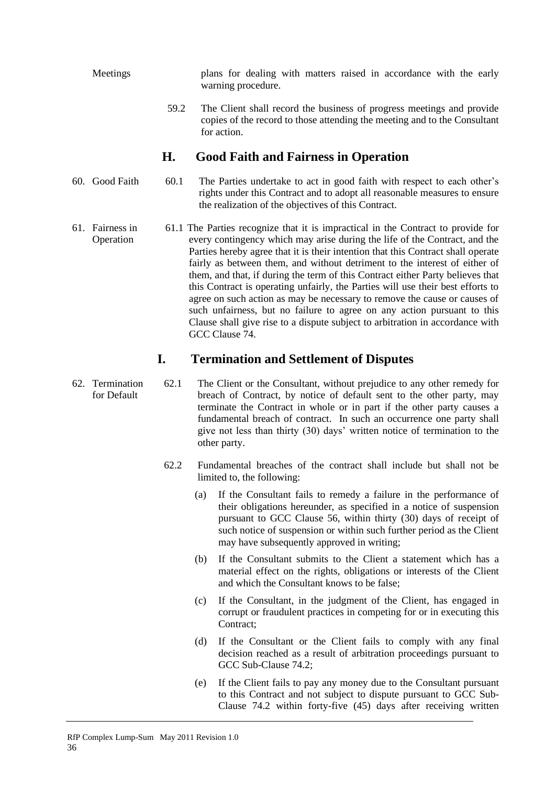Meetings plans for dealing with matters raised in accordance with the early warning procedure.

> 59.2 The Client shall record the business of progress meetings and provide copies of the record to those attending the meeting and to the Consultant for action.

### **H. Good Faith and Fairness in Operation**

- 60. Good Faith 60.1 The Parties undertake to act in good faith with respect to each other's rights under this Contract and to adopt all reasonable measures to ensure the realization of the objectives of this Contract.
- 61. Fairness in Operation 61.1 The Parties recognize that it is impractical in the Contract to provide for every contingency which may arise during the life of the Contract, and the Parties hereby agree that it is their intention that this Contract shall operate fairly as between them, and without detriment to the interest of either of them, and that, if during the term of this Contract either Party believes that this Contract is operating unfairly, the Parties will use their best efforts to agree on such action as may be necessary to remove the cause or causes of such unfairness, but no failure to agree on any action pursuant to this Clause shall give rise to a dispute subject to arbitration in accordance with GCC Clause 74.

### **I. Termination and Settlement of Disputes**

- 62. Termination for Default 62.1 The Client or the Consultant, without prejudice to any other remedy for breach of Contract, by notice of default sent to the other party, may terminate the Contract in whole or in part if the other party causes a fundamental breach of contract. In such an occurrence one party shall give not less than thirty (30) days' written notice of termination to the other party.
	- 62.2 Fundamental breaches of the contract shall include but shall not be limited to, the following:
		- (a) If the Consultant fails to remedy a failure in the performance of their obligations hereunder, as specified in a notice of suspension pursuant to GCC Clause 56, within thirty (30) days of receipt of such notice of suspension or within such further period as the Client may have subsequently approved in writing;
		- (b) If the Consultant submits to the Client a statement which has a material effect on the rights, obligations or interests of the Client and which the Consultant knows to be false;
		- (c) If the Consultant, in the judgment of the Client, has engaged in corrupt or fraudulent practices in competing for or in executing this Contract;
		- (d) If the Consultant or the Client fails to comply with any final decision reached as a result of arbitration proceedings pursuant to GCC Sub-Clause 74.2;
		- (e) If the Client fails to pay any money due to the Consultant pursuant to this Contract and not subject to dispute pursuant to GCC Sub-Clause 74.2 within forty-five (45) days after receiving written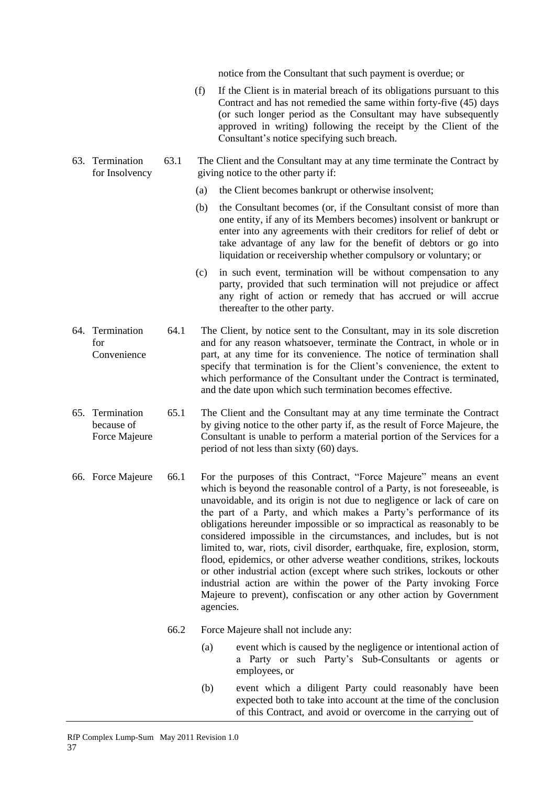notice from the Consultant that such payment is overdue; or

- (f) If the Client is in material breach of its obligations pursuant to this Contract and has not remedied the same within forty-five (45) days (or such longer period as the Consultant may have subsequently approved in writing) following the receipt by the Client of the Consultant's notice specifying such breach.
- 63. Termination for Insolvency 63.1 The Client and the Consultant may at any time terminate the Contract by giving notice to the other party if:
	- (a) the Client becomes bankrupt or otherwise insolvent;
	- (b) the Consultant becomes (or, if the Consultant consist of more than one entity, if any of its Members becomes) insolvent or bankrupt or enter into any agreements with their creditors for relief of debt or take advantage of any law for the benefit of debtors or go into liquidation or receivership whether compulsory or voluntary; or
	- (c) in such event, termination will be without compensation to any party, provided that such termination will not prejudice or affect any right of action or remedy that has accrued or will accrue thereafter to the other party.
- 64. Termination for Convenience 64.1 The Client, by notice sent to the Consultant, may in its sole discretion and for any reason whatsoever, terminate the Contract, in whole or in part, at any time for its convenience. The notice of termination shall specify that termination is for the Client's convenience, the extent to which performance of the Consultant under the Contract is terminated, and the date upon which such termination becomes effective.
- 65. Termination because of Force Majeure 65.1 The Client and the Consultant may at any time terminate the Contract by giving notice to the other party if, as the result of Force Majeure, the Consultant is unable to perform a material portion of the Services for a period of not less than sixty (60) days.
- 66. Force Majeure 66.1 For the purposes of this Contract, "Force Majeure" means an event which is beyond the reasonable control of a Party, is not foreseeable, is unavoidable, and its origin is not due to negligence or lack of care on the part of a Party, and which makes a Party's performance of its obligations hereunder impossible or so impractical as reasonably to be considered impossible in the circumstances, and includes, but is not limited to, war, riots, civil disorder, earthquake, fire, explosion, storm, flood, epidemics, or other adverse weather conditions, strikes, lockouts or other industrial action (except where such strikes, lockouts or other industrial action are within the power of the Party invoking Force Majeure to prevent), confiscation or any other action by Government agencies.

- 66.2 Force Majeure shall not include any:
	- (a) event which is caused by the negligence or intentional action of a Party or such Party's Sub-Consultants or agents or employees, or
	- (b) event which a diligent Party could reasonably have been expected both to take into account at the time of the conclusion of this Contract, and avoid or overcome in the carrying out of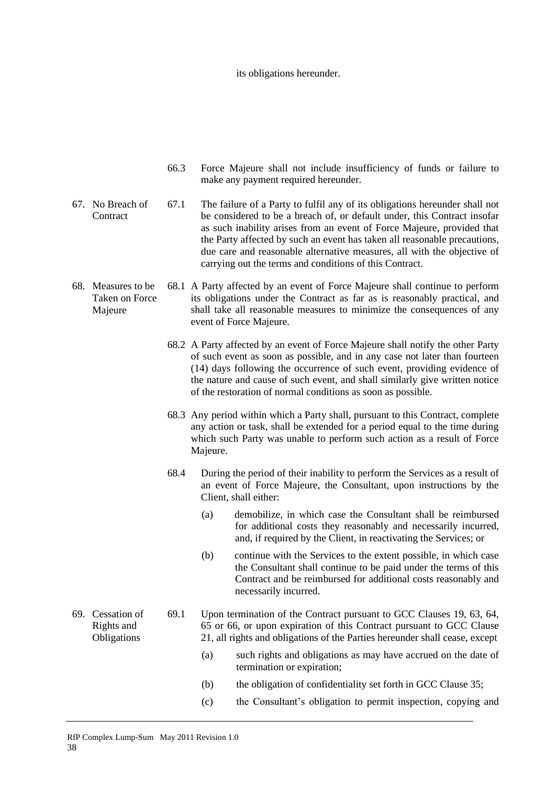#### its obligations hereunder.

- 66.3 Force Majeure shall not include insufficiency of funds or failure to make any payment required hereunder.
- 67. No Breach of **Contract** 67.1 The failure of a Party to fulfil any of its obligations hereunder shall not be considered to be a breach of, or default under, this Contract insofar as such inability arises from an event of Force Majeure, provided that the Party affected by such an event has taken all reasonable precautions, due care and reasonable alternative measures, all with the objective of carrying out the terms and conditions of this Contract.
- 68. Measures to be Taken on Force Majeure 68.1 A Party affected by an event of Force Majeure shall continue to perform its obligations under the Contract as far as is reasonably practical, and shall take all reasonable measures to minimize the consequences of any event of Force Majeure.
	- 68.2 A Party affected by an event of Force Majeure shall notify the other Party of such event as soon as possible, and in any case not later than fourteen (14) days following the occurrence of such event, providing evidence of the nature and cause of such event, and shall similarly give written notice of the restoration of normal conditions as soon as possible.
	- 68.3 Any period within which a Party shall, pursuant to this Contract, complete any action or task, shall be extended for a period equal to the time during which such Party was unable to perform such action as a result of Force Majeure.
	- 68.4 During the period of their inability to perform the Services as a result of an event of Force Majeure, the Consultant, upon instructions by the Client, shall either:
		- (a) demobilize, in which case the Consultant shall be reimbursed for additional costs they reasonably and necessarily incurred, and, if required by the Client, in reactivating the Services; or
		- (b) continue with the Services to the extent possible, in which case the Consultant shall continue to be paid under the terms of this Contract and be reimbursed for additional costs reasonably and necessarily incurred.
- 69. Cessation of Rights and Obligations 69.1 Upon termination of the Contract pursuant to GCC Clauses 19, 63, 64, 65 or 66, or upon expiration of this Contract pursuant to GCC Clause 21, all rights and obligations of the Parties hereunder shall cease, except

- (a) such rights and obligations as may have accrued on the date of termination or expiration;
- (b) the obligation of confidentiality set forth in GCC Clause 35;
- (c) the Consultant's obligation to permit inspection, copying and
- RfP Complex Lump-Sum May 2011 Revision 1.0 38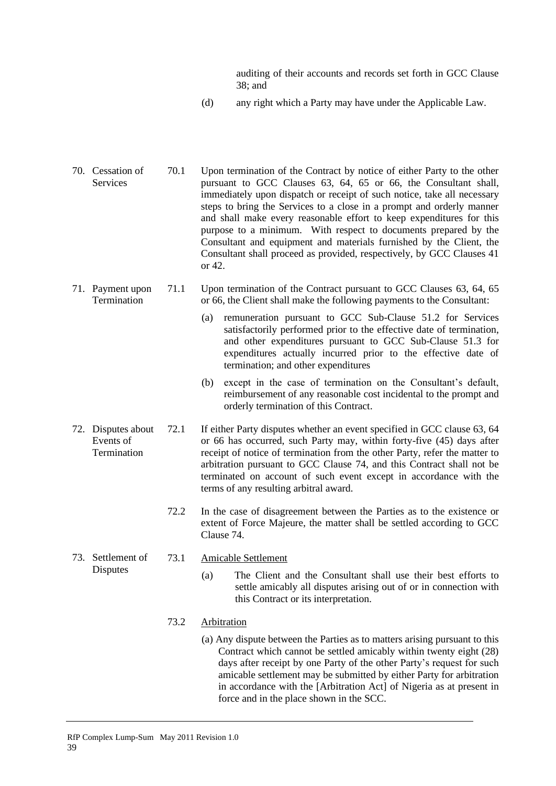auditing of their accounts and records set forth in GCC Clause 38; and

- (d) any right which a Party may have under the Applicable Law.
- 70. Cessation of Services 70.1 Upon termination of the Contract by notice of either Party to the other pursuant to GCC Clauses 63, 64, 65 or 66, the Consultant shall, immediately upon dispatch or receipt of such notice, take all necessary steps to bring the Services to a close in a prompt and orderly manner and shall make every reasonable effort to keep expenditures for this purpose to a minimum. With respect to documents prepared by the Consultant and equipment and materials furnished by the Client, the Consultant shall proceed as provided, respectively, by GCC Clauses 41 or 42.
- 71. Payment upon Termination 71.1 Upon termination of the Contract pursuant to GCC Clauses 63, 64, 65 or 66, the Client shall make the following payments to the Consultant:
	- (a) remuneration pursuant to GCC Sub-Clause 51.2 for Services satisfactorily performed prior to the effective date of termination, and other expenditures pursuant to GCC Sub-Clause 51.3 for expenditures actually incurred prior to the effective date of termination; and other expenditures
	- (b) except in the case of termination on the Consultant's default, reimbursement of any reasonable cost incidental to the prompt and orderly termination of this Contract.
- 72. Disputes about Events of Termination 72.1 If either Party disputes whether an event specified in GCC clause 63, 64 or 66 has occurred, such Party may, within forty-five (45) days after receipt of notice of termination from the other Party, refer the matter to arbitration pursuant to GCC Clause 74, and this Contract shall not be terminated on account of such event except in accordance with the terms of any resulting arbitral award.

39

- 72.2 In the case of disagreement between the Parties as to the existence or extent of Force Majeure, the matter shall be settled according to GCC Clause 74.
- 73. Settlement of **Disputes** 
	- 73.1 Amicable Settlement
		- (a) The Client and the Consultant shall use their best efforts to settle amicably all disputes arising out of or in connection with this Contract or its interpretation.

### 73.2 Arbitration

(a) Any dispute between the Parties as to matters arising pursuant to this Contract which cannot be settled amicably within twenty eight (28) days after receipt by one Party of the other Party's request for such amicable settlement may be submitted by either Party for arbitration in accordance with the [Arbitration Act] of Nigeria as at present in force and in the place shown in the SCC.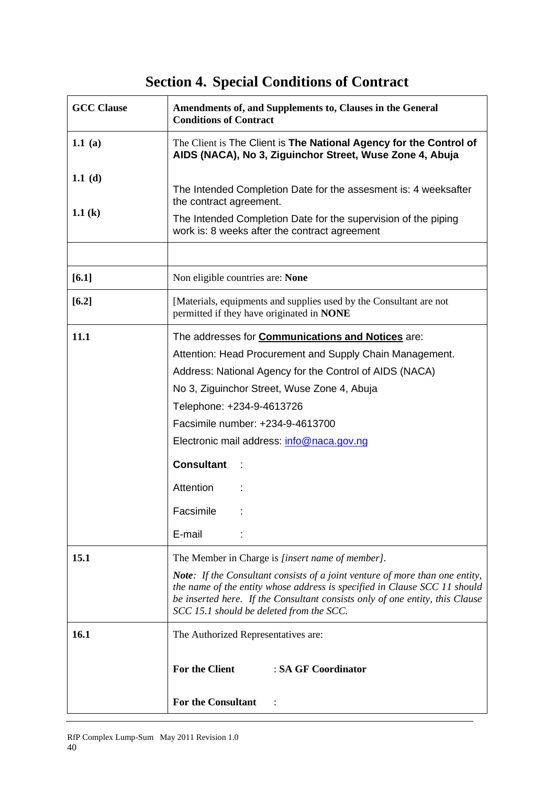# **Section 4. Special Conditions of Contract**

| <b>GCC Clause</b>    | Amendments of, and Supplements to, Clauses in the General<br><b>Conditions of Contract</b>                                                                                                                                                                                                   |
|----------------------|----------------------------------------------------------------------------------------------------------------------------------------------------------------------------------------------------------------------------------------------------------------------------------------------|
| 1.1 (a)              | The Client is The Client is The National Agency for the Control of<br>AIDS (NACA), No 3, Ziguinchor Street, Wuse Zone 4, Abuja                                                                                                                                                               |
| 1.1 (d)<br>1.1 $(k)$ | The Intended Completion Date for the assesment is: 4 weeksafter<br>the contract agreement.<br>The Intended Completion Date for the supervision of the piping<br>work is: 8 weeks after the contract agreement                                                                                |
|                      |                                                                                                                                                                                                                                                                                              |
| $[6.1]$              | Non eligible countries are: None                                                                                                                                                                                                                                                             |
| $[6.2]$              | [Materials, equipments and supplies used by the Consultant are not<br>permitted if they have originated in NONE                                                                                                                                                                              |
| 11.1                 | The addresses for <b>Communications and Notices</b> are:                                                                                                                                                                                                                                     |
|                      | Attention: Head Procurement and Supply Chain Management.                                                                                                                                                                                                                                     |
|                      | Address: National Agency for the Control of AIDS (NACA)                                                                                                                                                                                                                                      |
|                      | No 3, Ziguinchor Street, Wuse Zone 4, Abuja                                                                                                                                                                                                                                                  |
|                      | Telephone: +234-9-4613726                                                                                                                                                                                                                                                                    |
|                      | Facsimile number: +234-9-4613700                                                                                                                                                                                                                                                             |
|                      | Electronic mail address: info@naca.gov.ng                                                                                                                                                                                                                                                    |
|                      | <b>Consultant</b>                                                                                                                                                                                                                                                                            |
|                      | Attention                                                                                                                                                                                                                                                                                    |
|                      | Facsimile                                                                                                                                                                                                                                                                                    |
|                      | E-mail                                                                                                                                                                                                                                                                                       |
| <b>15.1</b>          | The Member in Charge is [insert name of member].                                                                                                                                                                                                                                             |
|                      | <b>Note:</b> If the Consultant consists of a joint venture of more than one entity,<br>the name of the entity whose address is specified in Clause SCC 11 should<br>be inserted here. If the Consultant consists only of one entity, this Clause<br>SCC 15.1 should be deleted from the SCC. |
| 16.1                 | The Authorized Representatives are:                                                                                                                                                                                                                                                          |
|                      | For the Client<br>: SA GF Coordinator<br><b>For the Consultant</b>                                                                                                                                                                                                                           |
|                      |                                                                                                                                                                                                                                                                                              |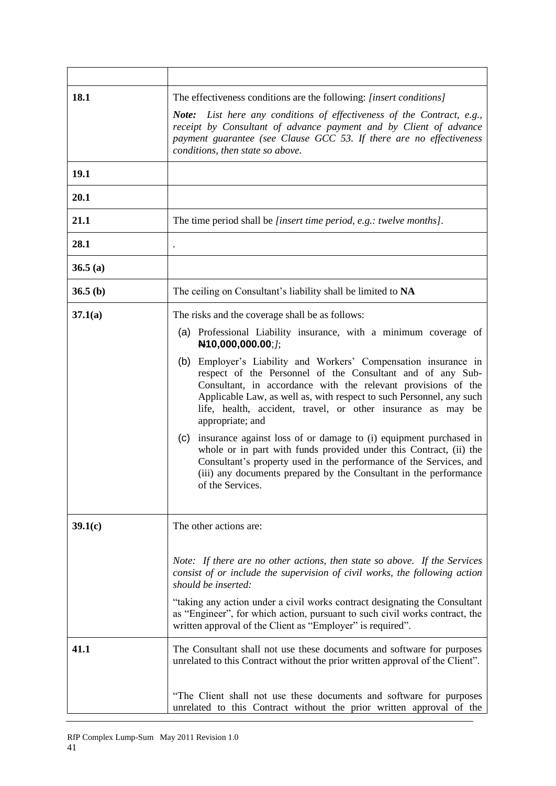| 18.1            | The effectiveness conditions are the following: [insert conditions]<br><b>Note:</b> List here any conditions of effectiveness of the Contract, e.g.,<br>receipt by Consultant of advance payment and by Client of advance<br>payment guarantee (see Clause GCC 53. If there are no effectiveness<br>conditions, then state so above.                                                                                                                                                                                                                                                                                                                                                                                                                                                                                 |
|-----------------|----------------------------------------------------------------------------------------------------------------------------------------------------------------------------------------------------------------------------------------------------------------------------------------------------------------------------------------------------------------------------------------------------------------------------------------------------------------------------------------------------------------------------------------------------------------------------------------------------------------------------------------------------------------------------------------------------------------------------------------------------------------------------------------------------------------------|
| 19.1            |                                                                                                                                                                                                                                                                                                                                                                                                                                                                                                                                                                                                                                                                                                                                                                                                                      |
| 20.1            |                                                                                                                                                                                                                                                                                                                                                                                                                                                                                                                                                                                                                                                                                                                                                                                                                      |
| 21.1            | The time period shall be <i>[insert time period, e.g.: twelve months]</i> .                                                                                                                                                                                                                                                                                                                                                                                                                                                                                                                                                                                                                                                                                                                                          |
| 28.1            |                                                                                                                                                                                                                                                                                                                                                                                                                                                                                                                                                                                                                                                                                                                                                                                                                      |
| 36.5(a)         |                                                                                                                                                                                                                                                                                                                                                                                                                                                                                                                                                                                                                                                                                                                                                                                                                      |
| 36.5(b)         | The ceiling on Consultant's liability shall be limited to NA                                                                                                                                                                                                                                                                                                                                                                                                                                                                                                                                                                                                                                                                                                                                                         |
| 37.1(a)         | The risks and the coverage shall be as follows:<br>(a) Professional Liability insurance, with a minimum coverage of<br>N10,000,000.00;/;<br>(b) Employer's Liability and Workers' Compensation insurance in<br>respect of the Personnel of the Consultant and of any Sub-<br>Consultant, in accordance with the relevant provisions of the<br>Applicable Law, as well as, with respect to such Personnel, any such<br>life, health, accident, travel, or other insurance as may be<br>appropriate; and<br>(c) insurance against loss of or damage to (i) equipment purchased in<br>whole or in part with funds provided under this Contract, (ii) the<br>Consultant's property used in the performance of the Services, and<br>(iii) any documents prepared by the Consultant in the performance<br>of the Services. |
| 39.1(c)<br>41.1 | The other actions are:<br>Note: If there are no other actions, then state so above. If the Services<br>consist of or include the supervision of civil works, the following action<br>should be inserted:<br>"taking any action under a civil works contract designating the Consultant<br>as "Engineer", for which action, pursuant to such civil works contract, the<br>written approval of the Client as "Employer" is required".<br>The Consultant shall not use these documents and software for purposes                                                                                                                                                                                                                                                                                                        |
|                 | unrelated to this Contract without the prior written approval of the Client".<br>"The Client shall not use these documents and software for purposes<br>unrelated to this Contract without the prior written approval of the                                                                                                                                                                                                                                                                                                                                                                                                                                                                                                                                                                                         |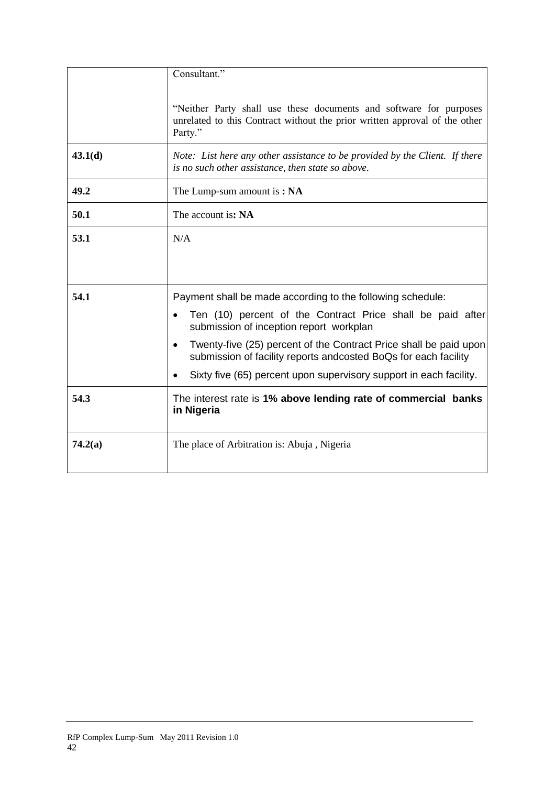|         | Consultant."                                                                                                                                                |
|---------|-------------------------------------------------------------------------------------------------------------------------------------------------------------|
|         | "Neither Party shall use these documents and software for purposes<br>unrelated to this Contract without the prior written approval of the other<br>Party." |
| 43.1(d) | Note: List here any other assistance to be provided by the Client. If there<br>is no such other assistance, then state so above.                            |
| 49.2    | The Lump-sum amount is: NA                                                                                                                                  |
| 50.1    | The account is: NA                                                                                                                                          |
| 53.1    | N/A                                                                                                                                                         |
|         |                                                                                                                                                             |
| 54.1    | Payment shall be made according to the following schedule:                                                                                                  |
|         | Ten (10) percent of the Contract Price shall be paid after<br>submission of inception report workplan                                                       |
|         | Twenty-five (25) percent of the Contract Price shall be paid upon<br>$\bullet$<br>submission of facility reports andcosted BoQs for each facility           |
|         | Sixty five (65) percent upon supervisory support in each facility.                                                                                          |
| 54.3    | The interest rate is 1% above lending rate of commercial banks<br>in Nigeria                                                                                |
| 74.2(a) | The place of Arbitration is: Abuja, Nigeria                                                                                                                 |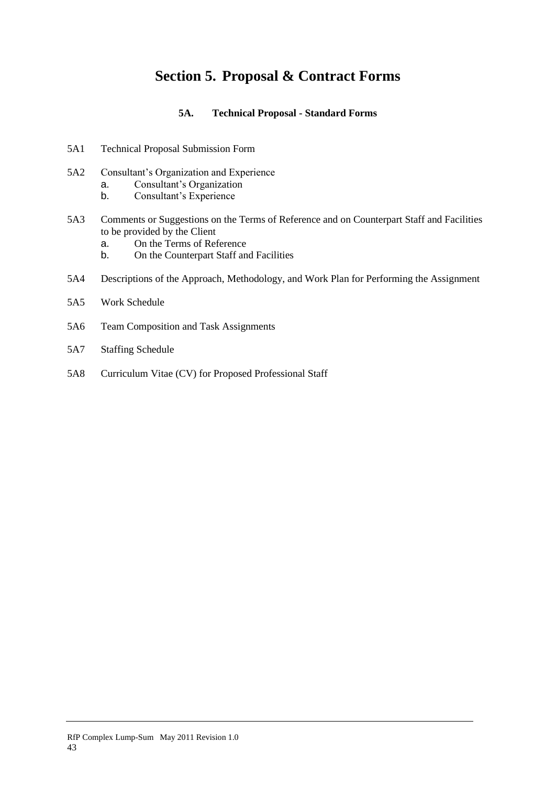# **Section 5. Proposal & Contract Forms**

### **5A. Technical Proposal - Standard Forms**

- 5A1 Technical Proposal Submission Form
- 5A2 Consultant's Organization and Experience
	- a. Consultant's Organization
	- b. Consultant's Experience
- 5A3 Comments or Suggestions on the Terms of Reference and on Counterpart Staff and Facilities to be provided by the Client
	- a. On the Terms of Reference
	- b. On the Counterpart Staff and Facilities
- 5A4 Descriptions of the Approach, Methodology, and Work Plan for Performing the Assignment

- 5A5 Work Schedule
- 5A6 Team Composition and Task Assignments
- 5A7 Staffing Schedule
- 5A8 Curriculum Vitae (CV) for Proposed Professional Staff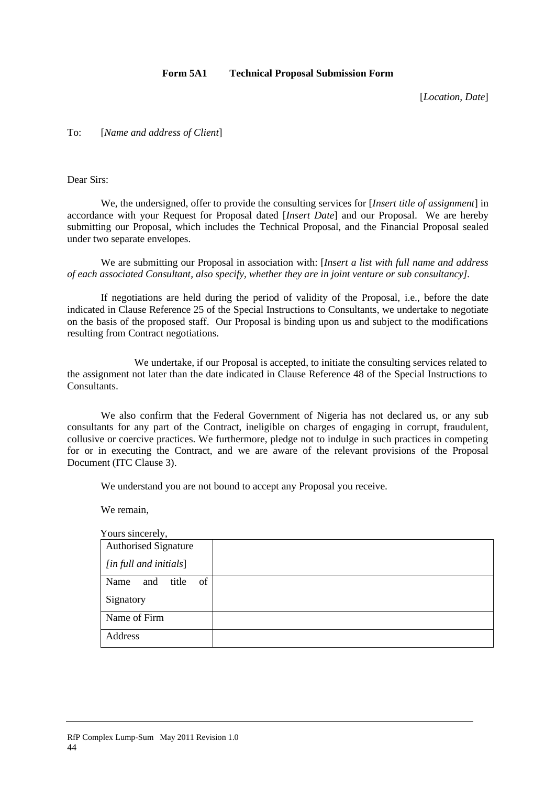### **Form 5A1 Technical Proposal Submission Form**

[*Location, Date*]

To: [*Name and address of Client*]

Dear Sirs:

We, the undersigned, offer to provide the consulting services for [*Insert title of assignment*] in accordance with your Request for Proposal dated [*Insert Date*] and our Proposal. We are hereby submitting our Proposal, which includes the Technical Proposal, and the Financial Proposal sealed under two separate envelopes.

We are submitting our Proposal in association with: [*Insert a list with full name and address of each associated Consultant, also specify, whether they are in joint venture or sub consultancy].*

If negotiations are held during the period of validity of the Proposal, i.e., before the date indicated in Clause Reference 25 of the Special Instructions to Consultants, we undertake to negotiate on the basis of the proposed staff. Our Proposal is binding upon us and subject to the modifications resulting from Contract negotiations.

We undertake, if our Proposal is accepted, to initiate the consulting services related to the assignment not later than the date indicated in Clause Reference 48 of the Special Instructions to Consultants.

We also confirm that the Federal Government of Nigeria has not declared us, or any sub consultants for any part of the Contract, ineligible on charges of engaging in corrupt, fraudulent, collusive or coercive practices. We furthermore, pledge not to indulge in such practices in competing for or in executing the Contract, and we are aware of the relevant provisions of the Proposal Document (ITC Clause 3).

We understand you are not bound to accept any Proposal you receive.

We remain,

| Yours sincerely,            |  |
|-----------------------------|--|
| <b>Authorised Signature</b> |  |
| [in full and initials]      |  |
| of<br>Name<br>title<br>and  |  |
| Signatory                   |  |
| Name of Firm                |  |
| Address                     |  |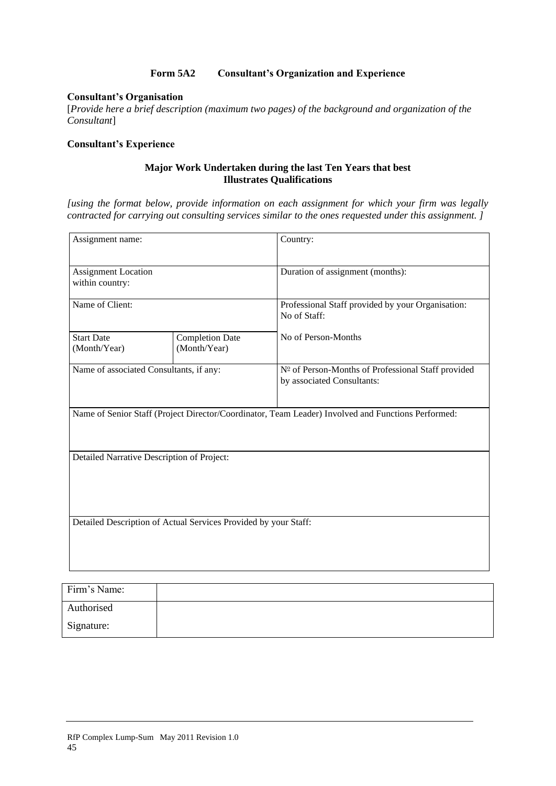### **Form 5A2 Consultant's Organization and Experience**

### **Consultant's Organisation**

[*Provide here a brief description (maximum two pages) of the background and organization of the Consultant*]

#### **Consultant's Experience**

#### **Major Work Undertaken during the last Ten Years that best Illustrates Qualifications**

*[using the format below, provide information on each assignment for which your firm was legally contracted for carrying out consulting services similar to the ones requested under this assignment. ]*

| Assignment name:                              |                                                                 | Country:                                                                                           |  |  |  |  |
|-----------------------------------------------|-----------------------------------------------------------------|----------------------------------------------------------------------------------------------------|--|--|--|--|
| <b>Assignment Location</b><br>within country: |                                                                 | Duration of assignment (months):                                                                   |  |  |  |  |
| Name of Client:                               |                                                                 | Professional Staff provided by your Organisation:<br>No of Staff:                                  |  |  |  |  |
| <b>Start Date</b><br>(Month/Year)             | <b>Completion Date</b><br>(Month/Year)                          | No of Person-Months                                                                                |  |  |  |  |
| Name of associated Consultants, if any:       |                                                                 | Nº of Person-Months of Professional Staff provided<br>by associated Consultants:                   |  |  |  |  |
|                                               |                                                                 | Name of Senior Staff (Project Director/Coordinator, Team Leader) Involved and Functions Performed: |  |  |  |  |
| Detailed Narrative Description of Project:    |                                                                 |                                                                                                    |  |  |  |  |
|                                               | Detailed Description of Actual Services Provided by your Staff: |                                                                                                    |  |  |  |  |
| Firm's Name:                                  |                                                                 |                                                                                                    |  |  |  |  |

| Firm's Name: |  |
|--------------|--|
| Authorised   |  |
| Signature:   |  |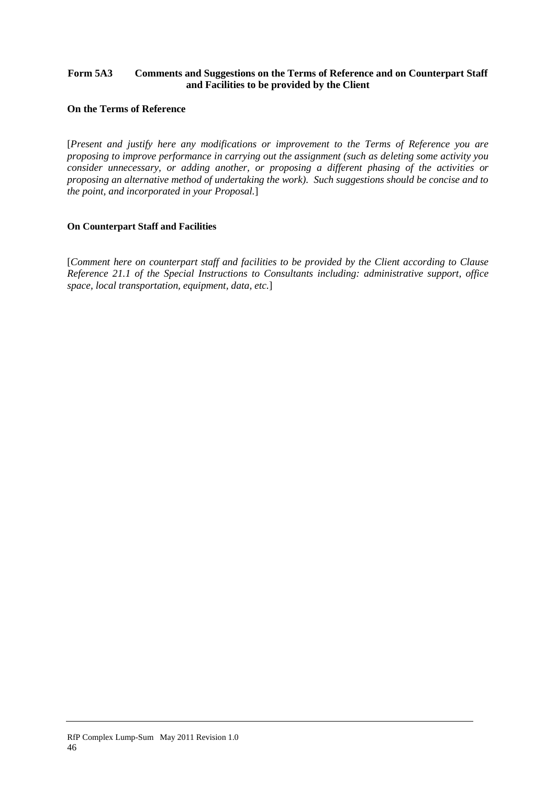### **Form 5A3 Comments and Suggestions on the Terms of Reference and on Counterpart Staff and Facilities to be provided by the Client**

### **On the Terms of Reference**

[*Present and justify here any modifications or improvement to the Terms of Reference you are proposing to improve performance in carrying out the assignment (such as deleting some activity you consider unnecessary, or adding another, or proposing a different phasing of the activities or proposing an alternative method of undertaking the work). Such suggestions should be concise and to the point, and incorporated in your Proposal.*]

### **On Counterpart Staff and Facilities**

[*Comment here on counterpart staff and facilities to be provided by the Client according to Clause Reference 21.1 of the Special Instructions to Consultants including: administrative support, office space, local transportation, equipment, data, etc.*]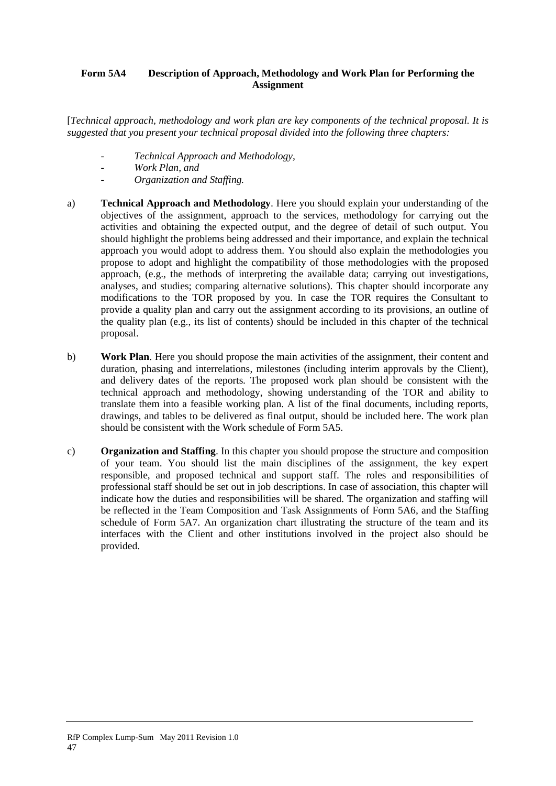### **Form 5A4 Description of Approach, Methodology and Work Plan for Performing the Assignment**

[*Technical approach, methodology and work plan are key components of the technical proposal. It is suggested that you present your technical proposal divided into the following three chapters:*

- *- Technical Approach and Methodology,*
- *- Work Plan, and*
- *- Organization and Staffing.*
- a) **Technical Approach and Methodology**. Here you should explain your understanding of the objectives of the assignment, approach to the services, methodology for carrying out the activities and obtaining the expected output, and the degree of detail of such output. You should highlight the problems being addressed and their importance, and explain the technical approach you would adopt to address them. You should also explain the methodologies you propose to adopt and highlight the compatibility of those methodologies with the proposed approach, (e.g., the methods of interpreting the available data; carrying out investigations, analyses, and studies; comparing alternative solutions). This chapter should incorporate any modifications to the TOR proposed by you. In case the TOR requires the Consultant to provide a quality plan and carry out the assignment according to its provisions, an outline of the quality plan (e.g., its list of contents) should be included in this chapter of the technical proposal.
- b) **Work Plan**. Here you should propose the main activities of the assignment, their content and duration, phasing and interrelations, milestones (including interim approvals by the Client), and delivery dates of the reports. The proposed work plan should be consistent with the technical approach and methodology, showing understanding of the TOR and ability to translate them into a feasible working plan. A list of the final documents, including reports, drawings, and tables to be delivered as final output, should be included here. The work plan should be consistent with the Work schedule of Form 5A5.
- c) **Organization and Staffing**. In this chapter you should propose the structure and composition of your team. You should list the main disciplines of the assignment, the key expert responsible, and proposed technical and support staff. The roles and responsibilities of professional staff should be set out in job descriptions. In case of association, this chapter will indicate how the duties and responsibilities will be shared. The organization and staffing will be reflected in the Team Composition and Task Assignments of Form 5A6, and the Staffing schedule of Form 5A7. An organization chart illustrating the structure of the team and its interfaces with the Client and other institutions involved in the project also should be provided.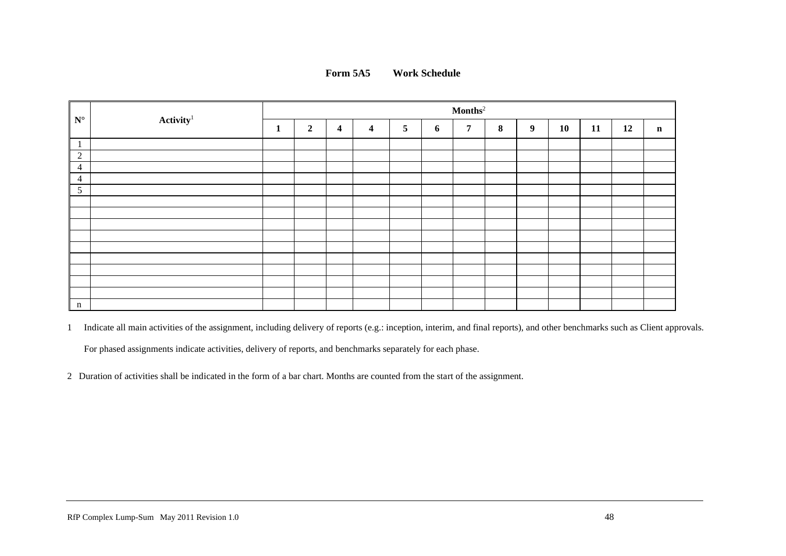

| $N^{\circ}$    |                       | $\mathbf{Months}^2$ |                |                  |                         |                |   |   |   |   |    |    |    |             |
|----------------|-----------------------|---------------------|----------------|------------------|-------------------------|----------------|---|---|---|---|----|----|----|-------------|
|                | $\mathbf{Activity}^1$ | $\mathbf{1}$        | $\overline{2}$ | $\boldsymbol{4}$ | $\overline{\mathbf{4}}$ | $\overline{5}$ | 6 | 7 | 8 | 9 | 10 | 11 | 12 | $\mathbf n$ |
| $\mathbf{1}$   |                       |                     |                |                  |                         |                |   |   |   |   |    |    |    |             |
| 2              |                       |                     |                |                  |                         |                |   |   |   |   |    |    |    |             |
| $\overline{4}$ |                       |                     |                |                  |                         |                |   |   |   |   |    |    |    |             |
| $\overline{4}$ |                       |                     |                |                  |                         |                |   |   |   |   |    |    |    |             |
| $\mathfrak{S}$ |                       |                     |                |                  |                         |                |   |   |   |   |    |    |    |             |
|                |                       |                     |                |                  |                         |                |   |   |   |   |    |    |    |             |
|                |                       |                     |                |                  |                         |                |   |   |   |   |    |    |    |             |
|                |                       |                     |                |                  |                         |                |   |   |   |   |    |    |    |             |
|                |                       |                     |                |                  |                         |                |   |   |   |   |    |    |    |             |
|                |                       |                     |                |                  |                         |                |   |   |   |   |    |    |    |             |
|                |                       |                     |                |                  |                         |                |   |   |   |   |    |    |    |             |
|                |                       |                     |                |                  |                         |                |   |   |   |   |    |    |    |             |
|                |                       |                     |                |                  |                         |                |   |   |   |   |    |    |    |             |
|                |                       |                     |                |                  |                         |                |   |   |   |   |    |    |    |             |
| $\mathbf n$    |                       |                     |                |                  |                         |                |   |   |   |   |    |    |    |             |

1 Indicate all main activities of the assignment, including delivery of reports (e.g.: inception, interim, and final reports), and other benchmarks such as Client approvals. For phased assignments indicate activities, delivery of reports, and benchmarks separately for each phase.

2 Duration of activities shall be indicated in the form of a bar chart. Months are counted from the start of the assignment.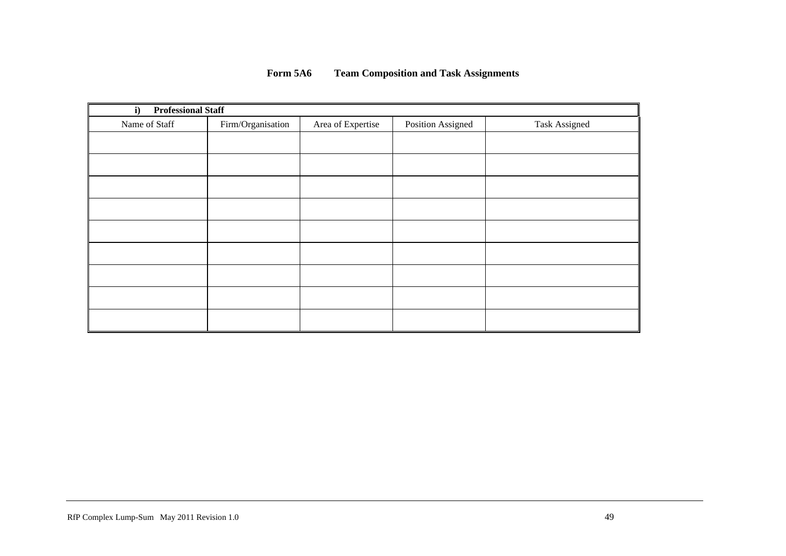| <b>Professional Staff</b><br>i) |                   |                   |                   |                      |
|---------------------------------|-------------------|-------------------|-------------------|----------------------|
| Name of Staff                   | Firm/Organisation | Area of Expertise | Position Assigned | <b>Task Assigned</b> |
|                                 |                   |                   |                   |                      |
|                                 |                   |                   |                   |                      |
|                                 |                   |                   |                   |                      |
|                                 |                   |                   |                   |                      |
|                                 |                   |                   |                   |                      |
|                                 |                   |                   |                   |                      |
|                                 |                   |                   |                   |                      |
|                                 |                   |                   |                   |                      |
|                                 |                   |                   |                   |                      |

49

### **Form 5A6 Team Composition and Task Assignments**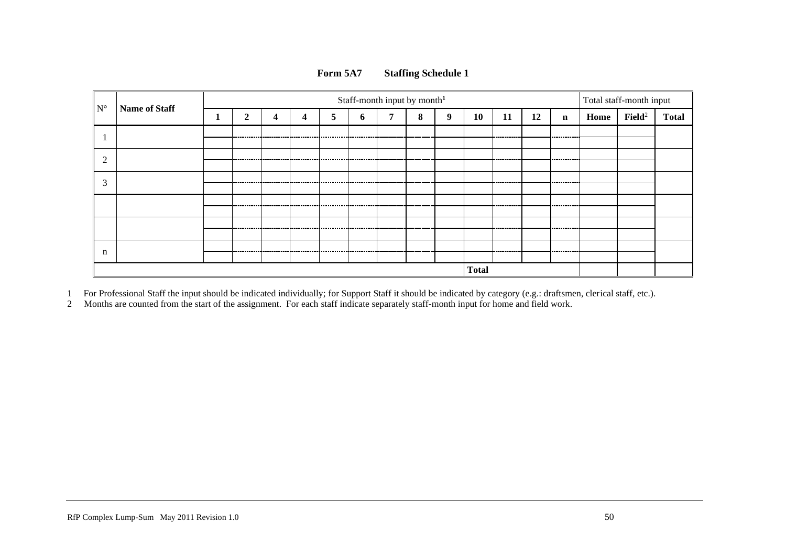| $N^{\circ}$         | <b>Name of Staff</b> | Staff-month input by month <sup>1</sup> |             |             |             |   |   |   |   |   | Total staff-month input |             |    |               |      |                    |              |
|---------------------|----------------------|-----------------------------------------|-------------|-------------|-------------|---|---|---|---|---|-------------------------|-------------|----|---------------|------|--------------------|--------------|
|                     |                      |                                         | ↑           | 4           | 4           | 5 | Ð | − | 8 | 9 | 10                      | 11          | 12 | $\mathbf n$   | Home | $\mathbf{Field}^2$ | <b>Total</b> |
|                     |                      |                                         |             |             |             |   |   |   |   |   |                         |             |    | ------------  |      |                    |              |
| $\sim$              |                      |                                         |             |             |             |   |   |   |   |   |                         |             |    | _________     |      |                    |              |
| $\rightarrow$<br>J. |                      |                                         |             |             |             |   |   |   |   |   |                         | ----------- |    | .             |      |                    |              |
|                     |                      |                                         | ----------- | ----------- | ----------- |   |   | . |   |   |                         | ---------   |    | -----------   |      |                    |              |
|                     |                      |                                         |             |             |             |   |   |   |   |   |                         | ----------  |    | ------------- |      |                    |              |
| n                   |                      |                                         |             |             |             |   |   |   |   |   |                         |             |    |               |      |                    |              |
|                     | <b>Total</b>         |                                         |             |             |             |   |   |   |   |   |                         |             |    |               |      |                    |              |

### **Form 5A7 Staffing Schedule 1**

1 For Professional Staff the input should be indicated individually; for Support Staff it should be indicated by category (e.g.: draftsmen, clerical staff, etc.).

2 Months are counted from the start of the assignment. For each staff indicate separately staff-month input for home and field work.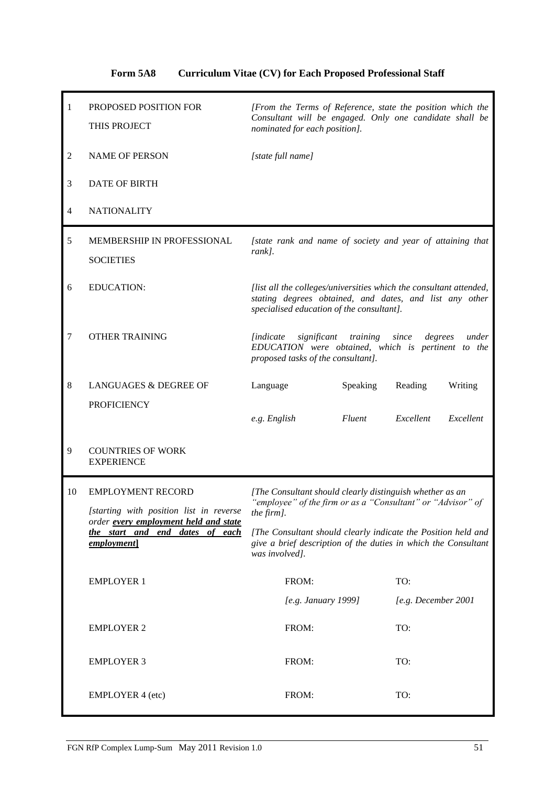### **Form 5A8 Curriculum Vitae (CV) for Each Proposed Professional Staff**

| $\mathbf{1}$ | PROPOSED POSITION FOR<br>THIS PROJECT                                                  | [From the Terms of Reference, state the position which the<br>Consultant will be engaged. Only one candidate shall be<br>nominated for each position].                     |                        |  |  |  |  |
|--------------|----------------------------------------------------------------------------------------|----------------------------------------------------------------------------------------------------------------------------------------------------------------------------|------------------------|--|--|--|--|
| 2            | <b>NAME OF PERSON</b>                                                                  | [state full name]                                                                                                                                                          |                        |  |  |  |  |
| 3            | <b>DATE OF BIRTH</b>                                                                   |                                                                                                                                                                            |                        |  |  |  |  |
| 4            | <b>NATIONALITY</b>                                                                     |                                                                                                                                                                            |                        |  |  |  |  |
| 5            | MEMBERSHIP IN PROFESSIONAL<br><b>SOCIETIES</b>                                         | [state rank and name of society and year of attaining that<br>rank].                                                                                                       |                        |  |  |  |  |
| 6            | <b>EDUCATION:</b>                                                                      | [list all the colleges/universities which the consultant attended,<br>stating degrees obtained, and dates, and list any other<br>specialised education of the consultant]. |                        |  |  |  |  |
| 7            | <b>OTHER TRAINING</b>                                                                  | training<br><i>lindicate</i><br>significant<br>since<br>degrees<br>under<br>EDUCATION were obtained, which is pertinent to the<br>proposed tasks of the consultant].       |                        |  |  |  |  |
| $\,8\,$      | <b>LANGUAGES &amp; DEGREE OF</b>                                                       | Language<br>Speaking                                                                                                                                                       | Reading<br>Writing     |  |  |  |  |
|              | <b>PROFICIENCY</b>                                                                     | e.g. English<br>Fluent                                                                                                                                                     | Excellent<br>Excellent |  |  |  |  |
| 9            | <b>COUNTRIES OF WORK</b><br><b>EXPERIENCE</b>                                          |                                                                                                                                                                            |                        |  |  |  |  |
| 10           | <b>EMPLOYMENT RECORD</b><br>[starting with position list in reverse                    | [The Consultant should clearly distinguish whether as an<br>"employee" of the firm or as a "Consultant" or "Advisor" of<br>the firm].                                      |                        |  |  |  |  |
|              | order every employment held and state<br>the start and end dates of each<br>employment | [The Consultant should clearly indicate the Position held and<br>give a brief description of the duties in which the Consultant<br>was involved].                          |                        |  |  |  |  |
|              | <b>EMPLOYER 1</b>                                                                      | FROM:                                                                                                                                                                      | TO:                    |  |  |  |  |
|              |                                                                                        | [e.g. January 1999]                                                                                                                                                        | [e.g. December 2001    |  |  |  |  |
|              | <b>EMPLOYER 2</b>                                                                      | FROM:                                                                                                                                                                      | TO:                    |  |  |  |  |
|              | <b>EMPLOYER 3</b>                                                                      | FROM:                                                                                                                                                                      | TO:                    |  |  |  |  |
|              | <b>EMPLOYER 4 (etc)</b>                                                                | FROM:                                                                                                                                                                      | TO:                    |  |  |  |  |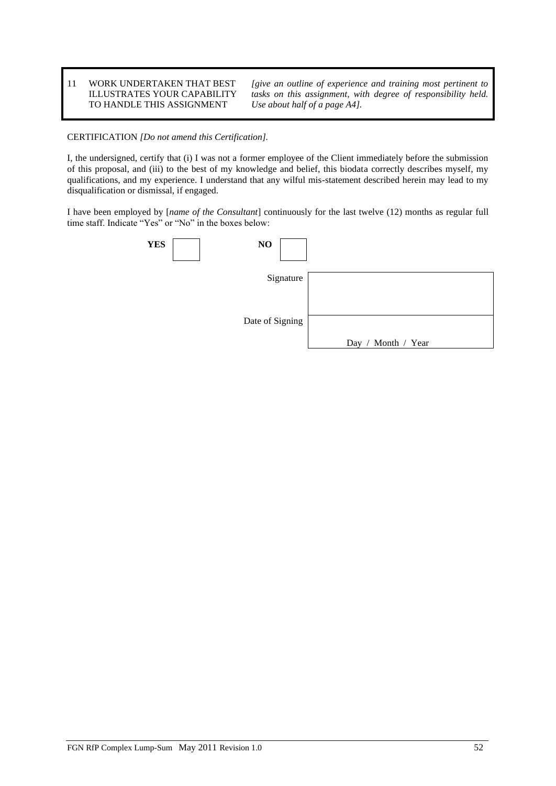11 WORK UNDERTAKEN THAT BEST ILLUSTRATES YOUR CAPABILITY TO HANDLE THIS ASSIGNMENT

*[give an outline of experience and training most pertinent to tasks on this assignment, with degree of responsibility held. Use about half of a page A4].*

CERTIFICATION *[Do not amend this Certification].*

I, the undersigned, certify that (i) I was not a former employee of the Client immediately before the submission of this proposal, and (iii) to the best of my knowledge and belief, this biodata correctly describes myself, my qualifications, and my experience. I understand that any wilful mis-statement described herein may lead to my disqualification or dismissal, if engaged.

I have been employed by [*name of the Consultant*] continuously for the last twelve (12) months as regular full time staff. Indicate "Yes" or "No" in the boxes below:

| <b>YES</b> | NO              |                         |
|------------|-----------------|-------------------------|
|            | Signature       |                         |
|            |                 |                         |
|            | Date of Signing |                         |
|            |                 | Month / Year<br>Day $/$ |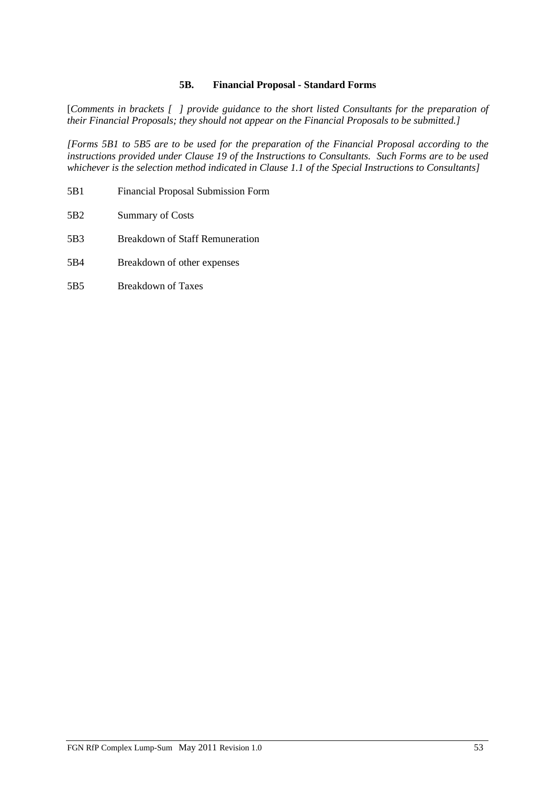### **5B. Financial Proposal - Standard Forms**

[*Comments in brackets [ ] provide guidance to the short listed Consultants for the preparation of their Financial Proposals; they should not appear on the Financial Proposals to be submitted.]*

*[Forms 5B1 to 5B5 are to be used for the preparation of the Financial Proposal according to the instructions provided under Clause 19 of the Instructions to Consultants. Such Forms are to be used whichever is the selection method indicated in Clause 1.1 of the Special Instructions to Consultants]*

- 5B1 Financial Proposal Submission Form
- 5B2 Summary of Costs
- 5B3 Breakdown of Staff Remuneration
- 5B4 Breakdown of other expenses
- 5B5 Breakdown of Taxes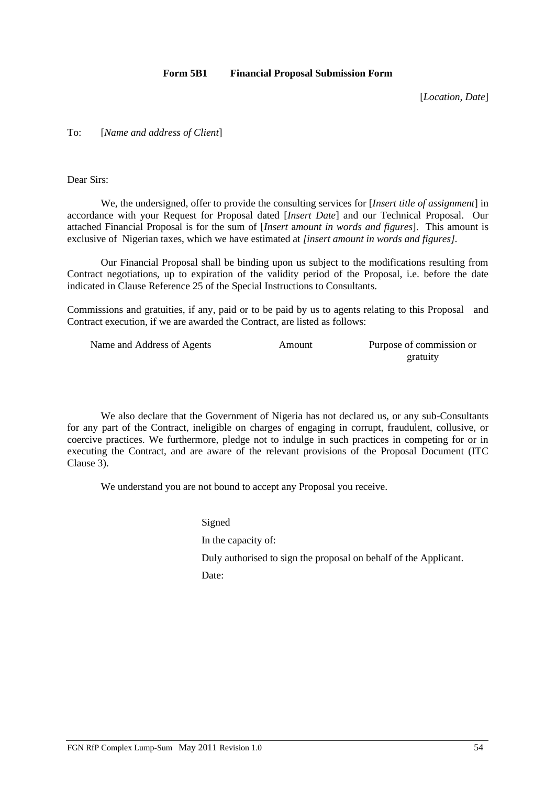#### **Form 5B1 Financial Proposal Submission Form**

[*Location, Date*]

### To: [*Name and address of Client*]

Dear Sirs:

We, the undersigned, offer to provide the consulting services for [*Insert title of assignment*] in accordance with your Request for Proposal dated [*Insert Date*] and our Technical Proposal. Our attached Financial Proposal is for the sum of [*Insert* a*mount in words and figures*]. This amount is exclusive of Nigerian taxes, which we have estimated at *[insert amount in words and figures].*

Our Financial Proposal shall be binding upon us subject to the modifications resulting from Contract negotiations, up to expiration of the validity period of the Proposal, i.e. before the date indicated in Clause Reference 25 of the Special Instructions to Consultants.

Commissions and gratuities, if any, paid or to be paid by us to agents relating to this Proposal and Contract execution, if we are awarded the Contract, are listed as follows:

| Name and Address of Agents | Amount | Purpose of commission or |
|----------------------------|--------|--------------------------|
|                            |        | gratuity                 |

We also declare that the Government of Nigeria has not declared us, or any sub-Consultants for any part of the Contract, ineligible on charges of engaging in corrupt, fraudulent, collusive, or coercive practices. We furthermore, pledge not to indulge in such practices in competing for or in executing the Contract, and are aware of the relevant provisions of the Proposal Document (ITC Clause 3).

We understand you are not bound to accept any Proposal you receive.

Signed In the capacity of: Duly authorised to sign the proposal on behalf of the Applicant. Date: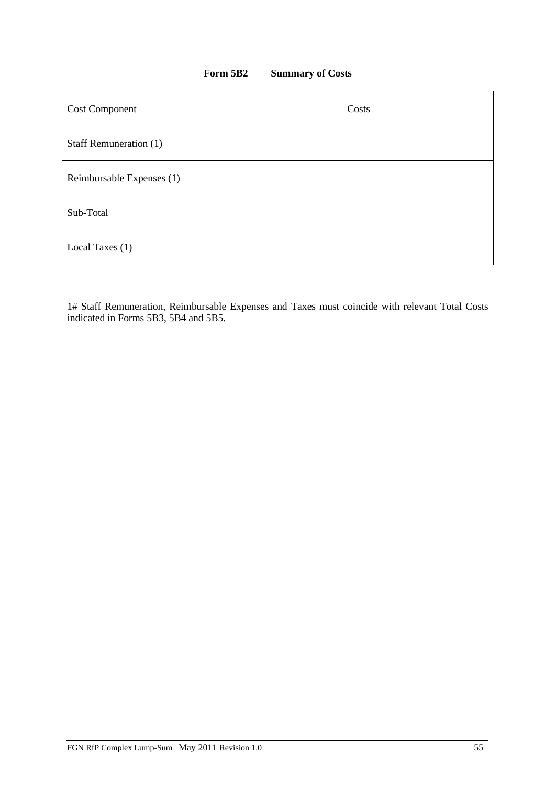### **Form 5B2 Summary of Costs**

| <b>Cost Component</b>     | Costs |
|---------------------------|-------|
| Staff Remuneration (1)    |       |
| Reimbursable Expenses (1) |       |
| Sub-Total                 |       |
| Local Taxes (1)           |       |

1# Staff Remuneration, Reimbursable Expenses and Taxes must coincide with relevant Total Costs indicated in Forms 5B3, 5B4 and 5B5.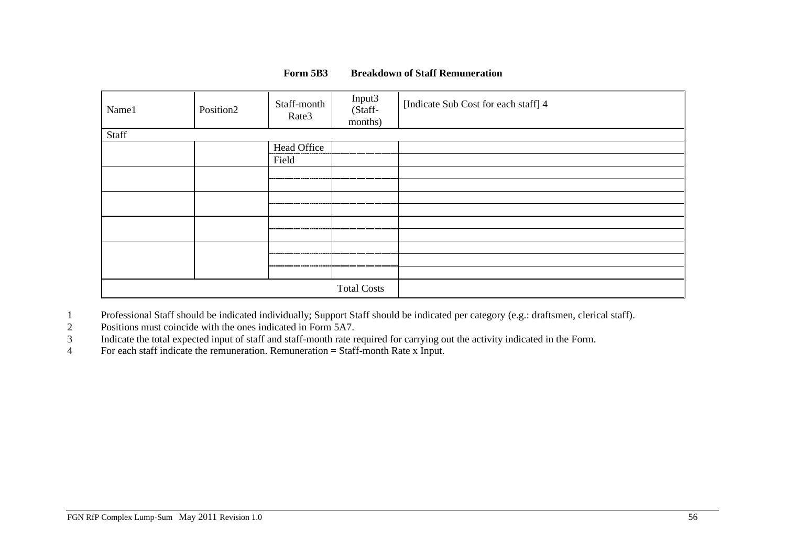### **Form 5B3 Breakdown of Staff Remuneration**

| Name1 | Position <sub>2</sub> | Staff-month<br>Rate3 | Input3<br>(Staff-<br>months) | [Indicate Sub Cost for each staff] 4 |
|-------|-----------------------|----------------------|------------------------------|--------------------------------------|
| Staff |                       |                      |                              |                                      |
|       |                       | Head Office          |                              |                                      |
|       |                       | Field                |                              |                                      |
|       |                       |                      |                              |                                      |
|       |                       |                      |                              |                                      |
|       |                       |                      |                              |                                      |
|       |                       |                      |                              |                                      |
|       |                       |                      |                              |                                      |
|       |                       |                      |                              |                                      |
|       |                       |                      |                              |                                      |
|       |                       |                      |                              |                                      |
|       |                       |                      |                              |                                      |
|       |                       |                      | <b>Total Costs</b>           |                                      |

1 Professional Staff should be indicated individually; Support Staff should be indicated per category (e.g.: draftsmen, clerical staff).

2 Positions must coincide with the ones indicated in Form 5A7.

3 Indicate the total expected input of staff and staff-month rate required for carrying out the activity indicated in the Form.

4 For each staff indicate the remuneration. Remuneration = Staff-month Rate x Input.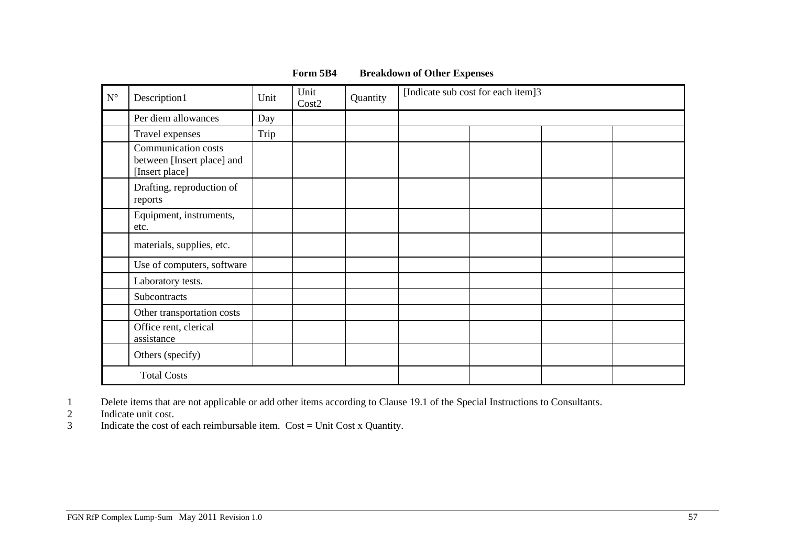| $\mathbf{N}^{\circ}$ | Description1                                                        | Unit | Unit<br>Cost2 | Quantity | [Indicate sub cost for each item]3 |  |  |
|----------------------|---------------------------------------------------------------------|------|---------------|----------|------------------------------------|--|--|
|                      | Per diem allowances                                                 | Day  |               |          |                                    |  |  |
|                      | Travel expenses                                                     | Trip |               |          |                                    |  |  |
|                      | Communication costs<br>between [Insert place] and<br>[Insert place] |      |               |          |                                    |  |  |
|                      | Drafting, reproduction of<br>reports                                |      |               |          |                                    |  |  |
|                      | Equipment, instruments,<br>etc.                                     |      |               |          |                                    |  |  |
|                      | materials, supplies, etc.                                           |      |               |          |                                    |  |  |
|                      | Use of computers, software                                          |      |               |          |                                    |  |  |
|                      | Laboratory tests.                                                   |      |               |          |                                    |  |  |
|                      | Subcontracts                                                        |      |               |          |                                    |  |  |
|                      | Other transportation costs                                          |      |               |          |                                    |  |  |
|                      | Office rent, clerical<br>assistance                                 |      |               |          |                                    |  |  |
|                      | Others (specify)                                                    |      |               |          |                                    |  |  |
|                      | <b>Total Costs</b>                                                  |      |               |          |                                    |  |  |

### **Form 5B4 Breakdown of Other Expenses**

1 Delete items that are not applicable or add other items according to Clause 19.1 of the Special Instructions to Consultants.<br>2 Indicate unit cost.<br>5 Indicate the cost of each reimbursable item. Cost = Unit Cost x Quantit

Indicate unit cost.

Indicate the cost of each reimbursable item.  $Cost = Unit Cost x$  Quantity.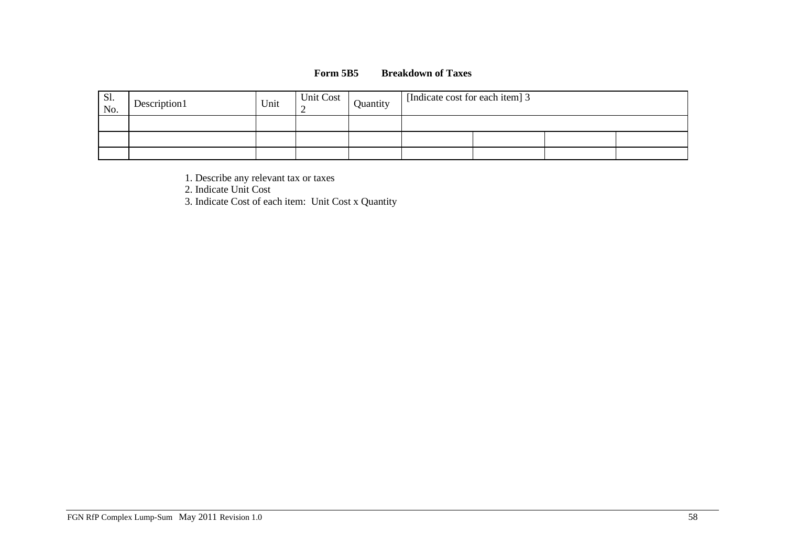### **Form 5B5 Breakdown of Taxes**

| Sl.<br>No. | Description1 | Unit | <b>Unit Cost</b> | Quantity | [Indicate cost for each item] 3 |  |  |  |
|------------|--------------|------|------------------|----------|---------------------------------|--|--|--|
|            |              |      |                  |          |                                 |  |  |  |
|            |              |      |                  |          |                                 |  |  |  |
|            |              |      |                  |          |                                 |  |  |  |

1. Describe any relevant tax or taxes

2. Indicate Unit Cost

3. Indicate Cost of each item: Unit Cost x Quantity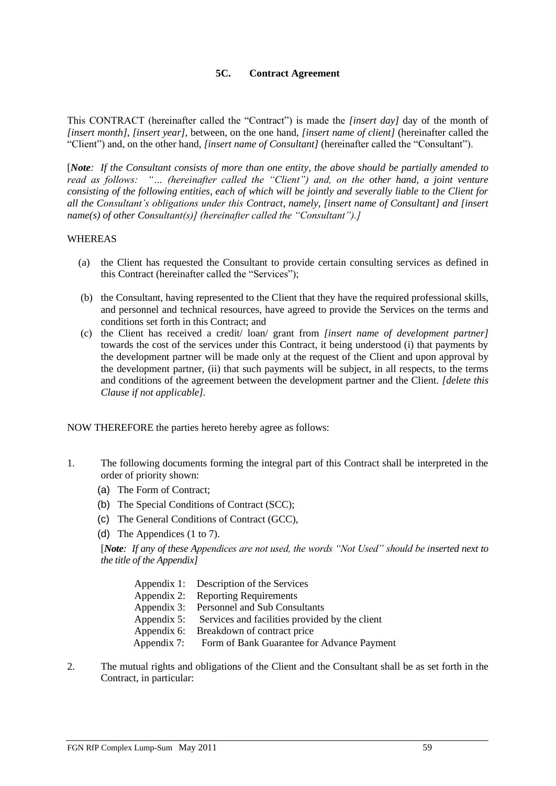### **5C. Contract Agreement**

This CONTRACT (hereinafter called the "Contract") is made the *[insert day]* day of the month of *[insert month]*, *[insert year]*, between, on the one hand, *[insert name of client]* (hereinafter called the "Client") and, on the other hand, *[insert name of Consultant]* (hereinafter called the "Consultant").

[*Note: If the Consultant consists of more than one entity, the above should be partially amended to read as follows: "… (hereinafter called the "Client") and, on the other hand, a joint venture consisting of the following entities, each of which will be jointly and severally liable to the Client for all the Consultant's obligations under this Contract, namely, [insert name of Consultant] and [insert name(s) of other Consultant(s)] (hereinafter called the "Consultant").]*

#### WHEREAS

- (a) the Client has requested the Consultant to provide certain consulting services as defined in this Contract (hereinafter called the "Services");
- (b) the Consultant, having represented to the Client that they have the required professional skills, and personnel and technical resources, have agreed to provide the Services on the terms and conditions set forth in this Contract; and
- (c) the Client has received a credit/ loan/ grant from *[insert name of development partner]* towards the cost of the services under this Contract, it being understood (i) that payments by the development partner will be made only at the request of the Client and upon approval by the development partner, (ii) that such payments will be subject, in all respects, to the terms and conditions of the agreement between the development partner and the Client. *[delete this Clause if not applicable].*

NOW THEREFORE the parties hereto hereby agree as follows:

- 1. The following documents forming the integral part of this Contract shall be interpreted in the order of priority shown:
	- (a) The Form of Contract;
	- (b) The Special Conditions of Contract (SCC);
	- (c) The General Conditions of Contract (GCC),
	- (d) The Appendices (1 to 7).

[*Note: If any of these Appendices are not used, the words "Not Used" should be inserted next to the title of the Appendix]*

| Appendix 1: Description of the Services                    |
|------------------------------------------------------------|
| Appendix 2: Reporting Requirements                         |
| Appendix 3: Personnel and Sub Consultants                  |
| Appendix 5: Services and facilities provided by the client |
| Appendix 6: Breakdown of contract price                    |
| Appendix 7: Form of Bank Guarantee for Advance Payment     |
|                                                            |

2. The mutual rights and obligations of the Client and the Consultant shall be as set forth in the Contract, in particular: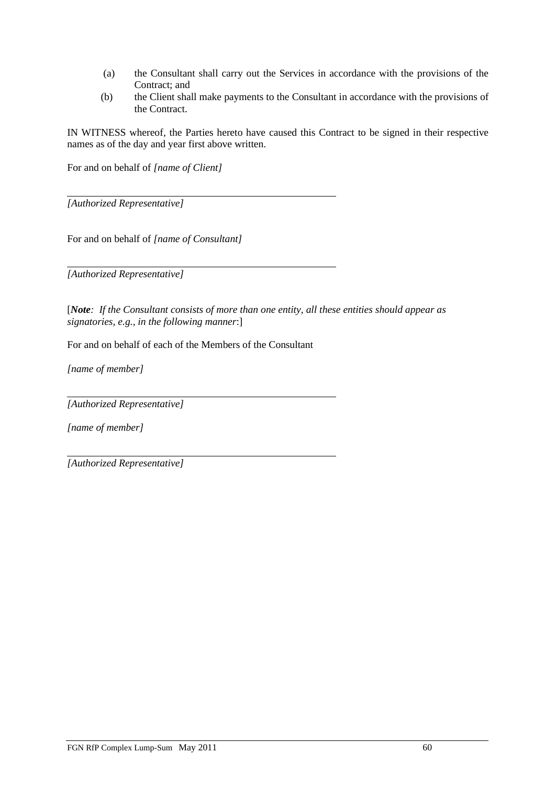- (a) the Consultant shall carry out the Services in accordance with the provisions of the Contract; and
- (b) the Client shall make payments to the Consultant in accordance with the provisions of the Contract.

IN WITNESS whereof, the Parties hereto have caused this Contract to be signed in their respective names as of the day and year first above written.

For and on behalf of *[name of Client]*

*[Authorized Representative]*

For and on behalf of *[name of Consultant]*

*[Authorized Representative]*

[*Note: If the Consultant consists of more than one entity, all these entities should appear as signatories, e.g., in the following manner*:]

For and on behalf of each of the Members of the Consultant

*[name of member]*

*[Authorized Representative]*

*[name of member]*

*[Authorized Representative]*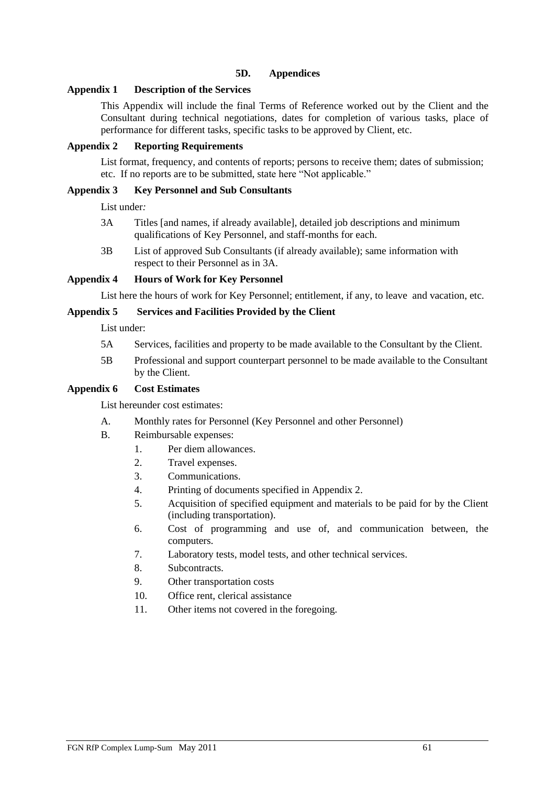### **5D. Appendices**

### **Appendix 1 Description of the Services**

This Appendix will include the final Terms of Reference worked out by the Client and the Consultant during technical negotiations, dates for completion of various tasks, place of performance for different tasks, specific tasks to be approved by Client, etc.

### **Appendix 2 Reporting Requirements**

List format, frequency, and contents of reports; persons to receive them; dates of submission; etc. If no reports are to be submitted, state here "Not applicable."

### **Appendix 3 Key Personnel and Sub Consultants**

List under*:*

- 3A Titles [and names, if already available], detailed job descriptions and minimum qualifications of Key Personnel, and staff-months for each.
- 3B List of approved Sub Consultants (if already available); same information with respect to their Personnel as in 3A.

### **Appendix 4 Hours of Work for Key Personnel**

List here the hours of work for Key Personnel; entitlement, if any, to leave and vacation, etc.

### **Appendix 5 Services and Facilities Provided by the Client**

List under:

- 5A Services, facilities and property to be made available to the Consultant by the Client.
- 5B Professional and support counterpart personnel to be made available to the Consultant by the Client.

### **Appendix 6 Cost Estimates**

List hereunder cost estimates:

- A. Monthly rates for Personnel (Key Personnel and other Personnel)
- B. Reimbursable expenses:
	- 1. Per diem allowances.
	- 2. Travel expenses.
	- 3. Communications.
	- 4. Printing of documents specified in Appendix 2.
	- 5. Acquisition of specified equipment and materials to be paid for by the Client (including transportation).
	- 6. Cost of programming and use of, and communication between, the computers.
	- 7. Laboratory tests, model tests, and other technical services.
	- 8. Subcontracts.
	- 9. Other transportation costs
	- 10. Office rent, clerical assistance
	- 11. Other items not covered in the foregoing*.*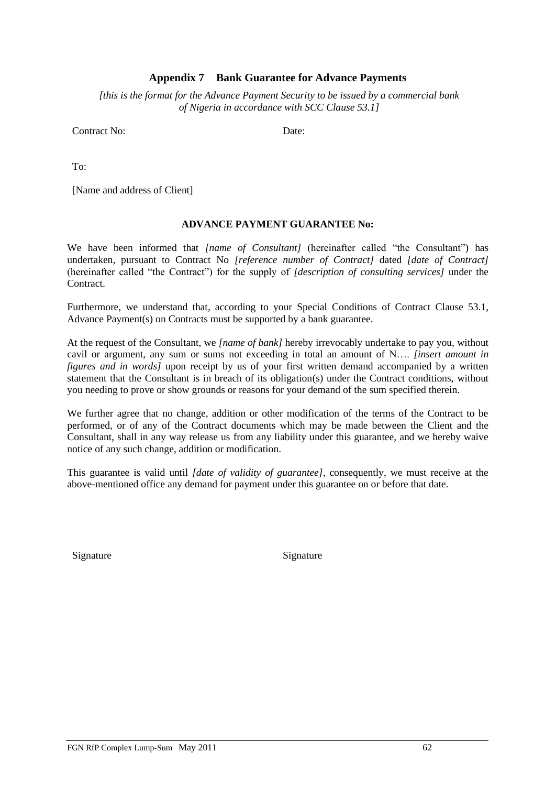### **Appendix 7 Bank Guarantee for Advance Payments**

*[this is the format for the Advance Payment Security to be issued by a commercial bank of Nigeria in accordance with SCC Clause 53.1]*

Contract No: Date: Date:

To:

[Name and address of Client]

#### **ADVANCE PAYMENT GUARANTEE No:**

We have been informed that *[name of Consultant]* (hereinafter called "the Consultant") has undertaken, pursuant to Contract No *[reference number of Contract]* dated *[date of Contract]* (hereinafter called "the Contract") for the supply of *[description of consulting services]* under the **Contract** 

Furthermore, we understand that, according to your Special Conditions of Contract Clause 53.1, Advance Payment(s) on Contracts must be supported by a bank guarantee.

At the request of the Consultant, we *[name of bank]* hereby irrevocably undertake to pay you, without cavil or argument, any sum or sums not exceeding in total an amount of N…. *[insert amount in figures and in words]* upon receipt by us of your first written demand accompanied by a written statement that the Consultant is in breach of its obligation(s) under the Contract conditions, without you needing to prove or show grounds or reasons for your demand of the sum specified therein.

We further agree that no change, addition or other modification of the terms of the Contract to be performed, or of any of the Contract documents which may be made between the Client and the Consultant, shall in any way release us from any liability under this guarantee, and we hereby waive notice of any such change, addition or modification.

This guarantee is valid until *[date of validity of guarantee]*, consequently, we must receive at the above-mentioned office any demand for payment under this guarantee on or before that date.

Signature Signature Signature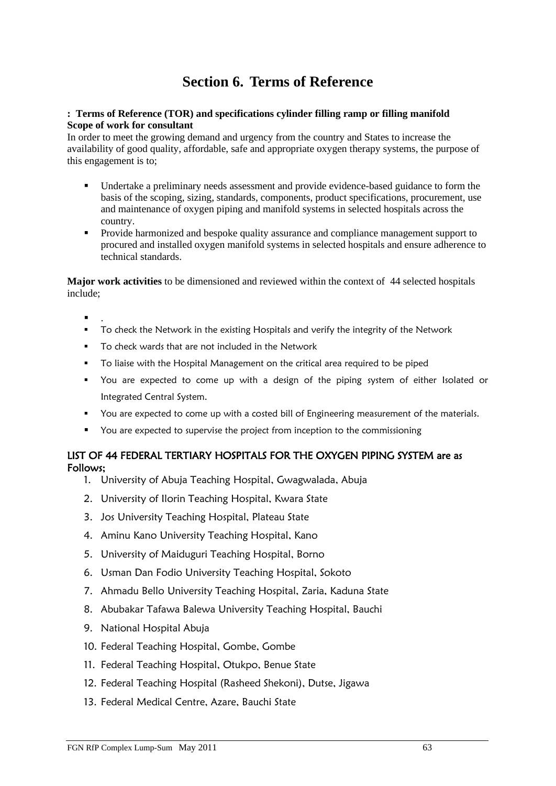# **Section 6. Terms of Reference**

### **: Terms of Reference (TOR) and specifications cylinder filling ramp or filling manifold Scope of work for consultant**

In order to meet the growing demand and urgency from the country and States to increase the availability of good quality, affordable, safe and appropriate oxygen therapy systems, the purpose of this engagement is to;

- Undertake a preliminary needs assessment and provide evidence-based guidance to form the basis of the scoping, sizing, standards, components, product specifications, procurement, use and maintenance of oxygen piping and manifold systems in selected hospitals across the country.
- Provide harmonized and bespoke quality assurance and compliance management support to procured and installed oxygen manifold systems in selected hospitals and ensure adherence to technical standards.

**Major work activities** to be dimensioned and reviewed within the context of 44 selected hospitals include;

- $\blacksquare$  .
- **•** To check the Network in the existing Hospitals and verify the integrity of the Network
- To check wards that are not included in the Network
- To liaise with the Hospital Management on the critical area required to be piped
- You are expected to come up with a design of the piping system of either Isolated or Integrated Central System.
- You are expected to come up with a costed bill of Engineering measurement of the materials.
- You are expected to supervise the project from inception to the commissioning

### LIST OF 44 FEDERAL TERTIARY HOSPITALS FOR THE OXYGEN PIPING SYSTEM are as Follows;

- 1. University of Abuja Teaching Hospital, Gwagwalada, Abuja
- 2. University of Ilorin Teaching Hospital, Kwara State
- 3. Jos University Teaching Hospital, Plateau State
- 4. Aminu Kano University Teaching Hospital, Kano
- 5. University of Maiduguri Teaching Hospital, Borno
- 6. Usman Dan Fodio University Teaching Hospital, Sokoto
- 7. Ahmadu Bello University Teaching Hospital, Zaria, Kaduna State
- 8. Abubakar Tafawa Balewa University Teaching Hospital, Bauchi
- 9. National Hospital Abuja
- 10. Federal Teaching Hospital, Gombe, Gombe
- 11. Federal Teaching Hospital, Otukpo, Benue State
- 12. Federal Teaching Hospital (Rasheed Shekoni), Dutse, Jigawa
- 13. Federal Medical Centre, Azare, Bauchi State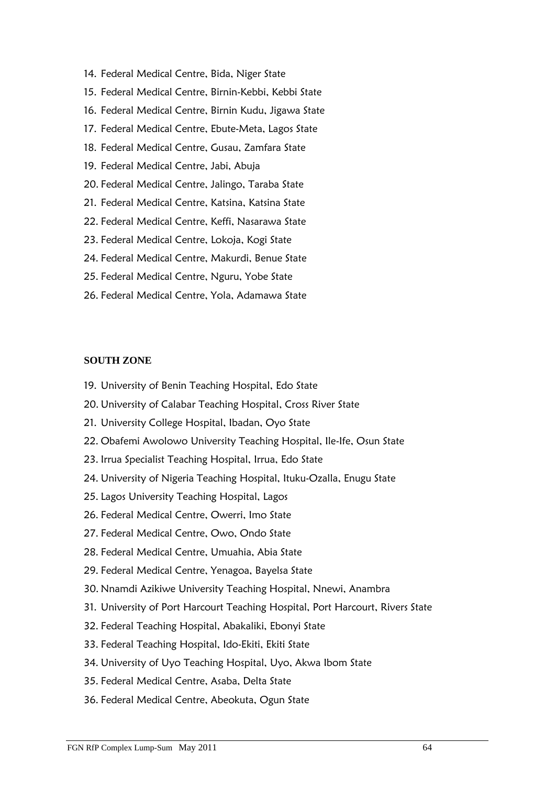- 14. Federal Medical Centre, Bida, Niger State
- 15. Federal Medical Centre, Birnin-Kebbi, Kebbi State
- 16. Federal Medical Centre, Birnin Kudu, Jigawa State
- 17. Federal Medical Centre, Ebute-Meta, Lagos State
- 18. Federal Medical Centre, Gusau, Zamfara State
- 19. Federal Medical Centre, Jabi, Abuja
- 20. Federal Medical Centre, Jalingo, Taraba State
- 21. Federal Medical Centre, Katsina, Katsina State
- 22. Federal Medical Centre, Keffi, Nasarawa State
- 23. Federal Medical Centre, Lokoja, Kogi State
- 24. Federal Medical Centre, Makurdi, Benue State
- 25. Federal Medical Centre, Nguru, Yobe State
- 26. Federal Medical Centre, Yola, Adamawa State

## **SOUTH ZONE**

- 19. University of Benin Teaching Hospital, Edo State
- 20. University of Calabar Teaching Hospital, Cross River State
- 21. University College Hospital, Ibadan, Oyo State
- 22. Obafemi Awolowo University Teaching Hospital, Ile-Ife, Osun State
- 23. Irrua Specialist Teaching Hospital, Irrua, Edo State
- 24. University of Nigeria Teaching Hospital, Ituku-Ozalla, Enugu State
- 25. Lagos University Teaching Hospital, Lagos
- 26. Federal Medical Centre, Owerri, Imo State
- 27. Federal Medical Centre, Owo, Ondo State
- 28. Federal Medical Centre, Umuahia, Abia State
- 29. Federal Medical Centre, Yenagoa, Bayelsa State
- 30. Nnamdi Azikiwe University Teaching Hospital, Nnewi, Anambra
- 31. University of Port Harcourt Teaching Hospital, Port Harcourt, Rivers State
- 32. Federal Teaching Hospital, Abakaliki, Ebonyi State
- 33. Federal Teaching Hospital, Ido-Ekiti, Ekiti State
- 34. University of Uyo Teaching Hospital, Uyo, Akwa Ibom State
- 35. Federal Medical Centre, Asaba, Delta State
- 36. Federal Medical Centre, Abeokuta, Ogun State